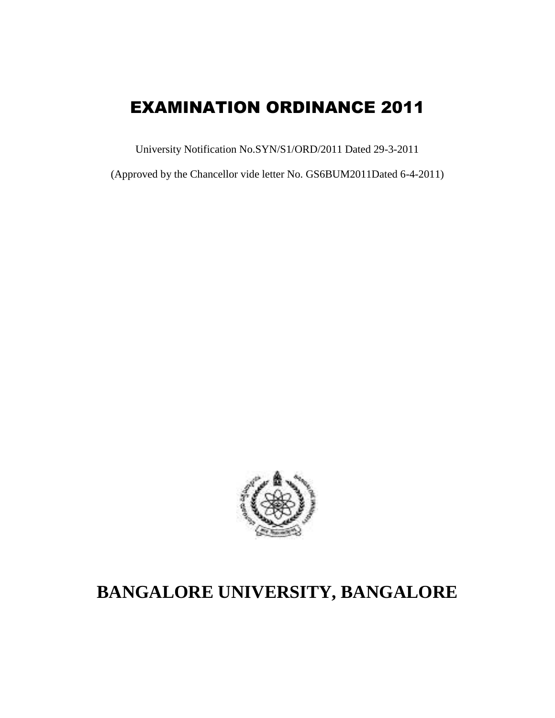# EXAMINATION ORDINANCE 2011

University Notification No.SYN/S1/ORD/2011 Dated 29-3-2011

(Approved by the Chancellor vide letter No. GS6BUM2011Dated 6-4-2011)



# **BANGALORE UNIVERSITY, BANGALORE**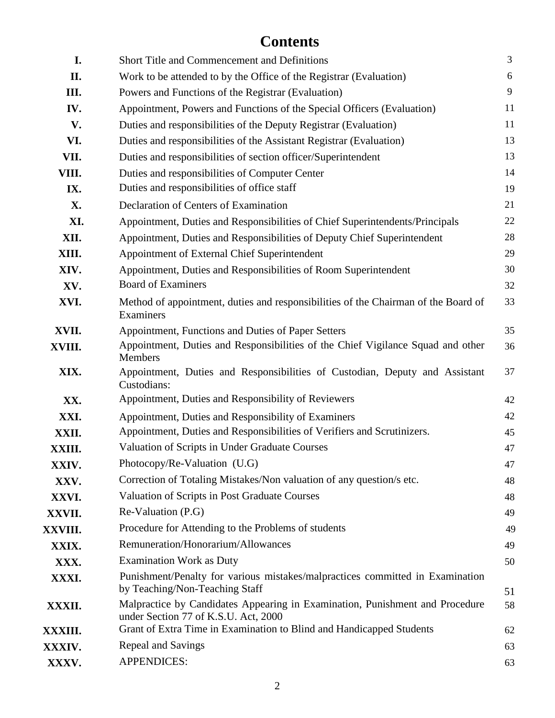# **Contents**

| I.      | <b>Short Title and Commencement and Definitions</b>                                                                  | $\overline{3}$ |
|---------|----------------------------------------------------------------------------------------------------------------------|----------------|
| II.     | Work to be attended to by the Office of the Registrar (Evaluation)                                                   | 6              |
| III.    | Powers and Functions of the Registrar (Evaluation)                                                                   | 9              |
| IV.     | Appointment, Powers and Functions of the Special Officers (Evaluation)                                               | 11             |
| V.      | Duties and responsibilities of the Deputy Registrar (Evaluation)                                                     | 11             |
| VI.     | Duties and responsibilities of the Assistant Registrar (Evaluation)                                                  | 13             |
| VII.    | Duties and responsibilities of section officer/Superintendent                                                        | 13             |
| VIII.   | Duties and responsibilities of Computer Center                                                                       | 14             |
| IX.     | Duties and responsibilities of office staff                                                                          | 19             |
| X.      | Declaration of Centers of Examination                                                                                | 21             |
| XI.     | Appointment, Duties and Responsibilities of Chief Superintendents/Principals                                         | 22             |
| XII.    | Appointment, Duties and Responsibilities of Deputy Chief Superintendent                                              | 28             |
| XIII.   | Appointment of External Chief Superintendent                                                                         | 29             |
| XIV.    | Appointment, Duties and Responsibilities of Room Superintendent                                                      | 30             |
| XV.     | <b>Board of Examiners</b>                                                                                            | 32             |
| XVI.    | Method of appointment, duties and responsibilities of the Chairman of the Board of<br>Examiners                      | 33             |
| XVII.   | Appointment, Functions and Duties of Paper Setters                                                                   | 35             |
| XVIII.  | Appointment, Duties and Responsibilities of the Chief Vigilance Squad and other<br>Members                           | 36             |
| XIX.    | Appointment, Duties and Responsibilities of Custodian, Deputy and Assistant<br>Custodians:                           | 37             |
| XX.     | Appointment, Duties and Responsibility of Reviewers                                                                  | 42             |
| XXI.    | Appointment, Duties and Responsibility of Examiners                                                                  | 42             |
| XXII.   | Appointment, Duties and Responsibilities of Verifiers and Scrutinizers.                                              | 45             |
| XXIII.  | Valuation of Scripts in Under Graduate Courses                                                                       | 47             |
| XXIV.   | Photocopy/Re-Valuation (U.G)                                                                                         | 47             |
| XXV.    | Correction of Totaling Mistakes/Non valuation of any question/s etc.                                                 | 48             |
| XXVI.   | Valuation of Scripts in Post Graduate Courses                                                                        | 48             |
| XXVII.  | Re-Valuation (P.G)                                                                                                   | 49             |
| XXVIII. | Procedure for Attending to the Problems of students                                                                  | 49             |
| XXIX.   | Remuneration/Honorarium/Allowances                                                                                   | 49             |
| XXX.    | <b>Examination Work as Duty</b>                                                                                      | 50             |
| XXXI.   | Punishment/Penalty for various mistakes/malpractices committed in Examination<br>by Teaching/Non-Teaching Staff      | 51             |
| XXXII.  | Malpractice by Candidates Appearing in Examination, Punishment and Procedure<br>under Section 77 of K.S.U. Act, 2000 | 58             |
| XXXIII. | Grant of Extra Time in Examination to Blind and Handicapped Students                                                 | 62             |
| XXXIV.  | Repeal and Savings                                                                                                   | 63             |
| XXXV.   | APPENDICES:                                                                                                          | 63             |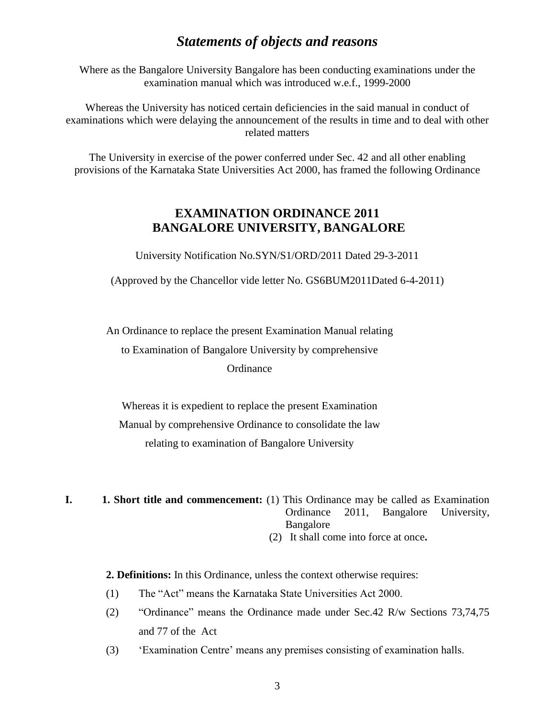# *Statements of objects and reasons*

Where as the Bangalore University Bangalore has been conducting examinations under the examination manual which was introduced w.e.f., 1999-2000

Whereas the University has noticed certain deficiencies in the said manual in conduct of examinations which were delaying the announcement of the results in time and to deal with other related matters

The University in exercise of the power conferred under Sec. 42 and all other enabling provisions of the Karnataka State Universities Act 2000, has framed the following Ordinance

# **EXAMINATION ORDINANCE 2011 BANGALORE UNIVERSITY, BANGALORE**

University Notification No.SYN/S1/ORD/2011 Dated 29-3-2011

(Approved by the Chancellor vide letter No. GS6BUM2011Dated 6-4-2011)

An Ordinance to replace the present Examination Manual relating

to Examination of Bangalore University by comprehensive

#### **Ordinance**

Whereas it is expedient to replace the present Examination Manual by comprehensive Ordinance to consolidate the law relating to examination of Bangalore University

**I. 1. Short title and commencement:** (1) This Ordinance may be called as Examination Ordinance 2011, Bangalore University, Bangalore (2) It shall come into force at once**.**

**2. Definitions:** In this Ordinance, unless the context otherwise requires:

- (1) The "Act" means the Karnataka State Universities Act 2000.
- (2) "Ordinance" means the Ordinance made under Sec.42 R/w Sections 73,74,75 and 77 of the Act
- (3) 'Examination Centre' means any premises consisting of examination halls.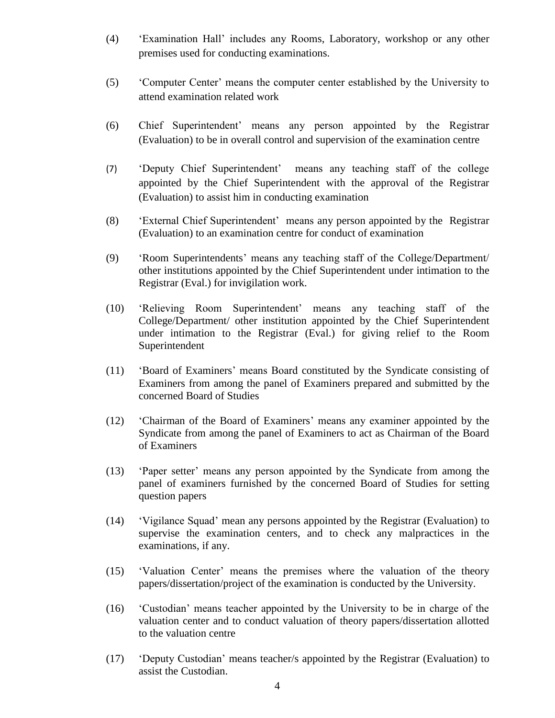- (4) 'Examination Hall' includes any Rooms, Laboratory, workshop or any other premises used for conducting examinations.
- (5) 'Computer Center' means the computer center established by the University to attend examination related work
- (6) Chief Superintendent' means any person appointed by the Registrar (Evaluation) to be in overall control and supervision of the examination centre
- (7) 'Deputy Chief Superintendent' means any teaching staff of the college appointed by the Chief Superintendent with the approval of the Registrar (Evaluation) to assist him in conducting examination
- (8) 'External Chief Superintendent' means any person appointed by the Registrar (Evaluation) to an examination centre for conduct of examination
- (9) 'Room Superintendents' means any teaching staff of the College/Department/ other institutions appointed by the Chief Superintendent under intimation to the Registrar (Eval.) for invigilation work.
- (10) 'Relieving Room Superintendent' means any teaching staff of the College/Department/ other institution appointed by the Chief Superintendent under intimation to the Registrar (Eval.) for giving relief to the Room Superintendent
- (11) 'Board of Examiners' means Board constituted by the Syndicate consisting of Examiners from among the panel of Examiners prepared and submitted by the concerned Board of Studies
- (12) 'Chairman of the Board of Examiners' means any examiner appointed by the Syndicate from among the panel of Examiners to act as Chairman of the Board of Examiners
- (13) 'Paper setter' means any person appointed by the Syndicate from among the panel of examiners furnished by the concerned Board of Studies for setting question papers
- (14) 'Vigilance Squad' mean any persons appointed by the Registrar (Evaluation) to supervise the examination centers, and to check any malpractices in the examinations, if any.
- (15) 'Valuation Center' means the premises where the valuation of the theory papers/dissertation/project of the examination is conducted by the University.
- (16) 'Custodian' means teacher appointed by the University to be in charge of the valuation center and to conduct valuation of theory papers/dissertation allotted to the valuation centre
- (17) 'Deputy Custodian' means teacher/s appointed by the Registrar (Evaluation) to assist the Custodian.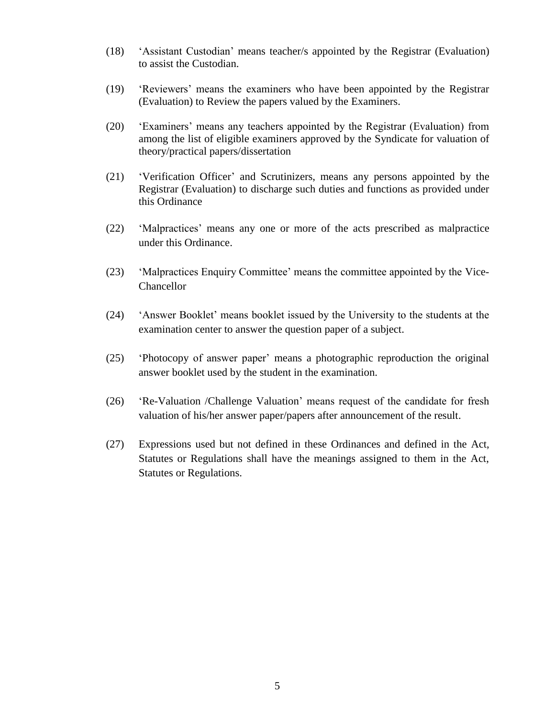- (18) 'Assistant Custodian' means teacher/s appointed by the Registrar (Evaluation) to assist the Custodian.
- (19) 'Reviewers' means the examiners who have been appointed by the Registrar (Evaluation) to Review the papers valued by the Examiners.
- (20) 'Examiners' means any teachers appointed by the Registrar (Evaluation) from among the list of eligible examiners approved by the Syndicate for valuation of theory/practical papers/dissertation
- (21) 'Verification Officer' and Scrutinizers, means any persons appointed by the Registrar (Evaluation) to discharge such duties and functions as provided under this Ordinance
- (22) 'Malpractices' means any one or more of the acts prescribed as malpractice under this Ordinance.
- (23) 'Malpractices Enquiry Committee' means the committee appointed by the Vice-Chancellor
- (24) 'Answer Booklet' means booklet issued by the University to the students at the examination center to answer the question paper of a subject.
- (25) 'Photocopy of answer paper' means a photographic reproduction the original answer booklet used by the student in the examination.
- (26) 'Re-Valuation /Challenge Valuation' means request of the candidate for fresh valuation of his/her answer paper/papers after announcement of the result.
- (27) Expressions used but not defined in these Ordinances and defined in the Act, Statutes or Regulations shall have the meanings assigned to them in the Act, Statutes or Regulations.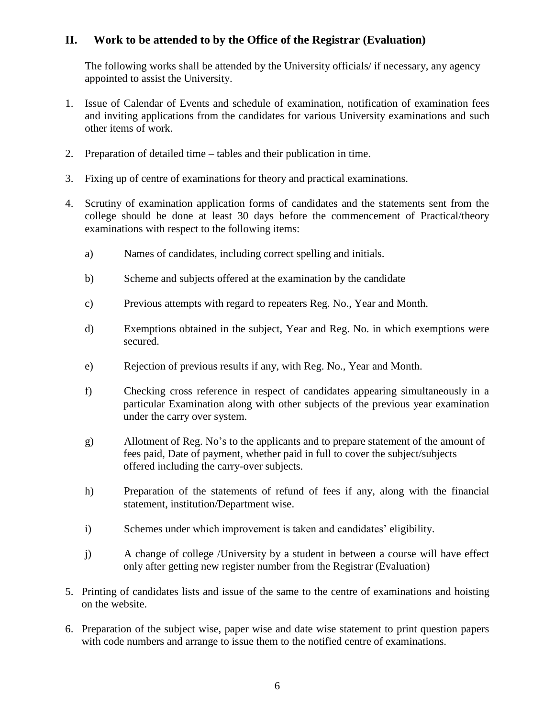# **II. Work to be attended to by the Office of the Registrar (Evaluation)**

The following works shall be attended by the University officials/ if necessary, any agency appointed to assist the University.

- 1. Issue of Calendar of Events and schedule of examination, notification of examination fees and inviting applications from the candidates for various University examinations and such other items of work.
- 2. Preparation of detailed time tables and their publication in time.
- 3. Fixing up of centre of examinations for theory and practical examinations.
- 4. Scrutiny of examination application forms of candidates and the statements sent from the college should be done at least 30 days before the commencement of Practical/theory examinations with respect to the following items:
	- a) Names of candidates, including correct spelling and initials.
	- b) Scheme and subjects offered at the examination by the candidate
	- c) Previous attempts with regard to repeaters Reg. No., Year and Month.
	- d) Exemptions obtained in the subject, Year and Reg. No. in which exemptions were secured.
	- e) Rejection of previous results if any, with Reg. No., Year and Month.
	- f) Checking cross reference in respect of candidates appearing simultaneously in a particular Examination along with other subjects of the previous year examination under the carry over system.
	- g) Allotment of Reg. No's to the applicants and to prepare statement of the amount of fees paid, Date of payment, whether paid in full to cover the subject/subjects offered including the carry-over subjects.
	- h) Preparation of the statements of refund of fees if any, along with the financial statement, institution/Department wise.
	- i) Schemes under which improvement is taken and candidates' eligibility.
	- j) A change of college /University by a student in between a course will have effect only after getting new register number from the Registrar (Evaluation)
- 5. Printing of candidates lists and issue of the same to the centre of examinations and hoisting on the website.
- 6. Preparation of the subject wise, paper wise and date wise statement to print question papers with code numbers and arrange to issue them to the notified centre of examinations.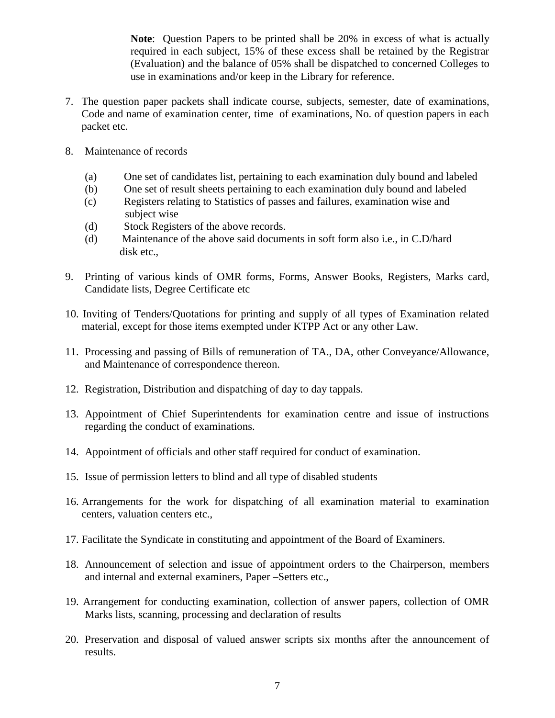**Note**: Question Papers to be printed shall be 20% in excess of what is actually required in each subject, 15% of these excess shall be retained by the Registrar (Evaluation) and the balance of 05% shall be dispatched to concerned Colleges to use in examinations and/or keep in the Library for reference.

- 7. The question paper packets shall indicate course, subjects, semester, date of examinations, Code and name of examination center, time of examinations, No. of question papers in each packet etc.
- 8. Maintenance of records
	- (a) One set of candidates list, pertaining to each examination duly bound and labeled
	- (b) One set of result sheets pertaining to each examination duly bound and labeled
	- (c) Registers relating to Statistics of passes and failures, examination wise and subject wise
	- (d) Stock Registers of the above records.
	- (d) Maintenance of the above said documents in soft form also i.e., in C.D/hard disk etc.,
- 9. Printing of various kinds of OMR forms, Forms, Answer Books, Registers, Marks card, Candidate lists, Degree Certificate etc
- 10. Inviting of Tenders/Quotations for printing and supply of all types of Examination related material, except for those items exempted under KTPP Act or any other Law.
- 11. Processing and passing of Bills of remuneration of TA., DA, other Conveyance/Allowance, and Maintenance of correspondence thereon.
- 12. Registration, Distribution and dispatching of day to day tappals.
- 13. Appointment of Chief Superintendents for examination centre and issue of instructions regarding the conduct of examinations.
- 14. Appointment of officials and other staff required for conduct of examination.
- 15. Issue of permission letters to blind and all type of disabled students
- 16. Arrangements for the work for dispatching of all examination material to examination centers, valuation centers etc.,
- 17. Facilitate the Syndicate in constituting and appointment of the Board of Examiners.
- 18. Announcement of selection and issue of appointment orders to the Chairperson, members and internal and external examiners, Paper –Setters etc.,
- 19. Arrangement for conducting examination, collection of answer papers, collection of OMR Marks lists, scanning, processing and declaration of results
- 20. Preservation and disposal of valued answer scripts six months after the announcement of results.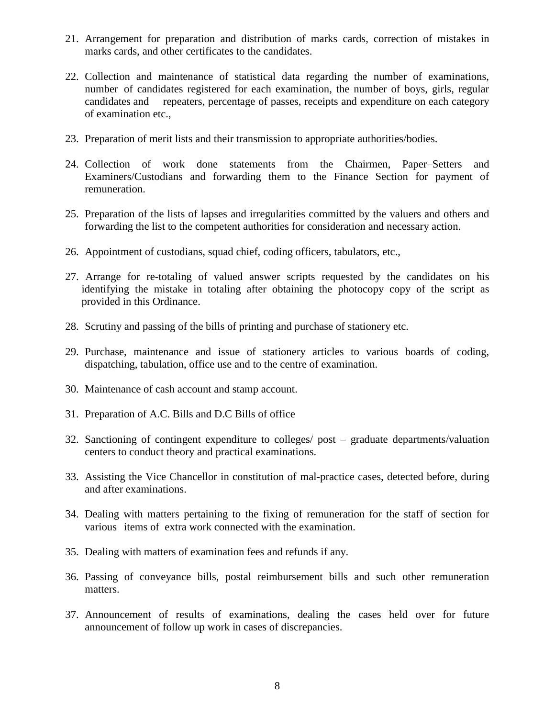- 21. Arrangement for preparation and distribution of marks cards, correction of mistakes in marks cards, and other certificates to the candidates.
- 22. Collection and maintenance of statistical data regarding the number of examinations, number of candidates registered for each examination, the number of boys, girls, regular candidates and repeaters, percentage of passes, receipts and expenditure on each category of examination etc.,
- 23. Preparation of merit lists and their transmission to appropriate authorities/bodies.
- 24. Collection of work done statements from the Chairmen, Paper–Setters and Examiners/Custodians and forwarding them to the Finance Section for payment of remuneration.
- 25. Preparation of the lists of lapses and irregularities committed by the valuers and others and forwarding the list to the competent authorities for consideration and necessary action.
- 26. Appointment of custodians, squad chief, coding officers, tabulators, etc.,
- 27. Arrange for re-totaling of valued answer scripts requested by the candidates on his identifying the mistake in totaling after obtaining the photocopy copy of the script as provided in this Ordinance.
- 28. Scrutiny and passing of the bills of printing and purchase of stationery etc.
- 29. Purchase, maintenance and issue of stationery articles to various boards of coding, dispatching, tabulation, office use and to the centre of examination.
- 30. Maintenance of cash account and stamp account.
- 31. Preparation of A.C. Bills and D.C Bills of office
- 32. Sanctioning of contingent expenditure to colleges/ post graduate departments/valuation centers to conduct theory and practical examinations.
- 33. Assisting the Vice Chancellor in constitution of mal-practice cases, detected before, during and after examinations.
- 34. Dealing with matters pertaining to the fixing of remuneration for the staff of section for various items of extra work connected with the examination.
- 35. Dealing with matters of examination fees and refunds if any.
- 36. Passing of conveyance bills, postal reimbursement bills and such other remuneration matters.
- 37. Announcement of results of examinations, dealing the cases held over for future announcement of follow up work in cases of discrepancies.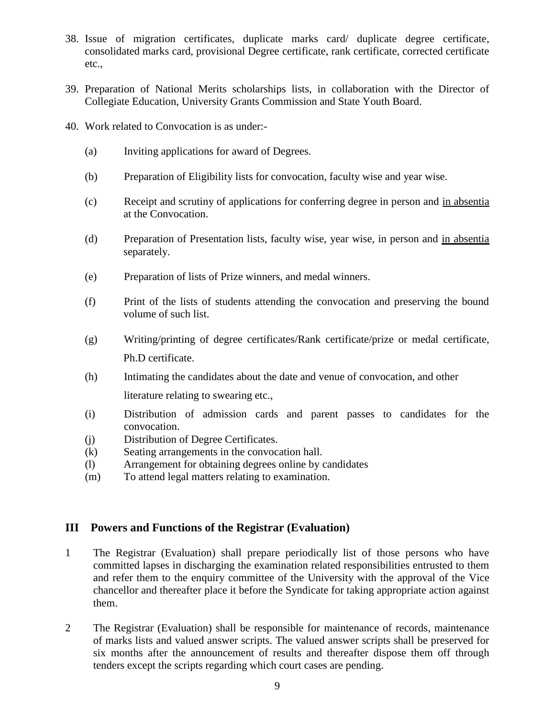- 38. Issue of migration certificates, duplicate marks card/ duplicate degree certificate, consolidated marks card, provisional Degree certificate, rank certificate, corrected certificate etc.,
- 39. Preparation of National Merits scholarships lists, in collaboration with the Director of Collegiate Education, University Grants Commission and State Youth Board.
- 40. Work related to Convocation is as under:-
	- (a) Inviting applications for award of Degrees.
	- (b) Preparation of Eligibility lists for convocation, faculty wise and year wise.
	- (c) Receipt and scrutiny of applications for conferring degree in person and in absentia at the Convocation.
	- (d) Preparation of Presentation lists, faculty wise, year wise, in person and in absentia separately.
	- (e) Preparation of lists of Prize winners, and medal winners.
	- (f) Print of the lists of students attending the convocation and preserving the bound volume of such list.
	- (g) Writing/printing of degree certificates/Rank certificate/prize or medal certificate, Ph.D certificate.
	- (h) Intimating the candidates about the date and venue of convocation, and other

literature relating to swearing etc.,

- (i) Distribution of admission cards and parent passes to candidates for the convocation.
- (j) Distribution of Degree Certificates.
- (k) Seating arrangements in the convocation hall.
- (l) Arrangement for obtaining degrees online by candidates
- (m) To attend legal matters relating to examination.

#### **III Powers and Functions of the Registrar (Evaluation)**

- 1 The Registrar (Evaluation) shall prepare periodically list of those persons who have committed lapses in discharging the examination related responsibilities entrusted to them and refer them to the enquiry committee of the University with the approval of the Vice chancellor and thereafter place it before the Syndicate for taking appropriate action against them.
- 2 The Registrar (Evaluation) shall be responsible for maintenance of records, maintenance of marks lists and valued answer scripts. The valued answer scripts shall be preserved for six months after the announcement of results and thereafter dispose them off through tenders except the scripts regarding which court cases are pending.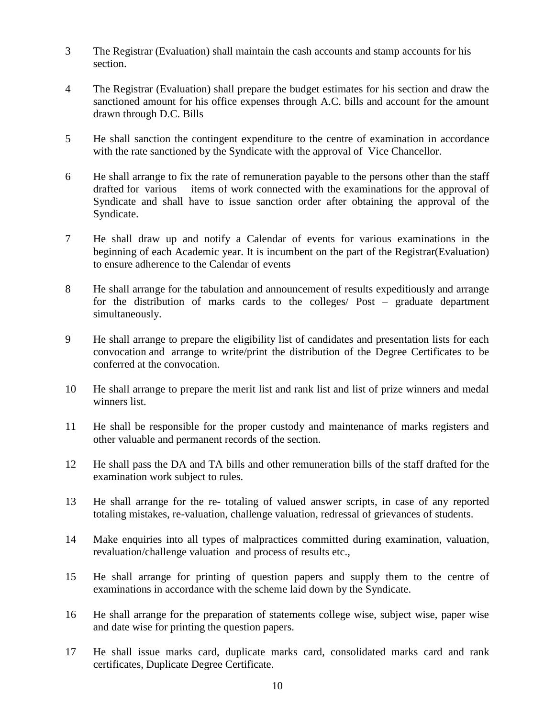- 3 The Registrar (Evaluation) shall maintain the cash accounts and stamp accounts for his section.
- 4 The Registrar (Evaluation) shall prepare the budget estimates for his section and draw the sanctioned amount for his office expenses through A.C. bills and account for the amount drawn through D.C. Bills
- 5 He shall sanction the contingent expenditure to the centre of examination in accordance with the rate sanctioned by the Syndicate with the approval of Vice Chancellor.
- 6 He shall arrange to fix the rate of remuneration payable to the persons other than the staff drafted for various items of work connected with the examinations for the approval of Syndicate and shall have to issue sanction order after obtaining the approval of the Syndicate.
- 7 He shall draw up and notify a Calendar of events for various examinations in the beginning of each Academic year. It is incumbent on the part of the Registrar(Evaluation) to ensure adherence to the Calendar of events
- 8 He shall arrange for the tabulation and announcement of results expeditiously and arrange for the distribution of marks cards to the colleges/ Post – graduate department simultaneously.
- 9 He shall arrange to prepare the eligibility list of candidates and presentation lists for each convocation and arrange to write/print the distribution of the Degree Certificates to be conferred at the convocation.
- 10 He shall arrange to prepare the merit list and rank list and list of prize winners and medal winners list.
- 11 He shall be responsible for the proper custody and maintenance of marks registers and other valuable and permanent records of the section.
- 12 He shall pass the DA and TA bills and other remuneration bills of the staff drafted for the examination work subject to rules.
- 13 He shall arrange for the re- totaling of valued answer scripts, in case of any reported totaling mistakes, re-valuation, challenge valuation, redressal of grievances of students.
- 14 Make enquiries into all types of malpractices committed during examination, valuation, revaluation/challenge valuation and process of results etc.,
- 15 He shall arrange for printing of question papers and supply them to the centre of examinations in accordance with the scheme laid down by the Syndicate.
- 16 He shall arrange for the preparation of statements college wise, subject wise, paper wise and date wise for printing the question papers.
- 17 He shall issue marks card, duplicate marks card, consolidated marks card and rank certificates, Duplicate Degree Certificate.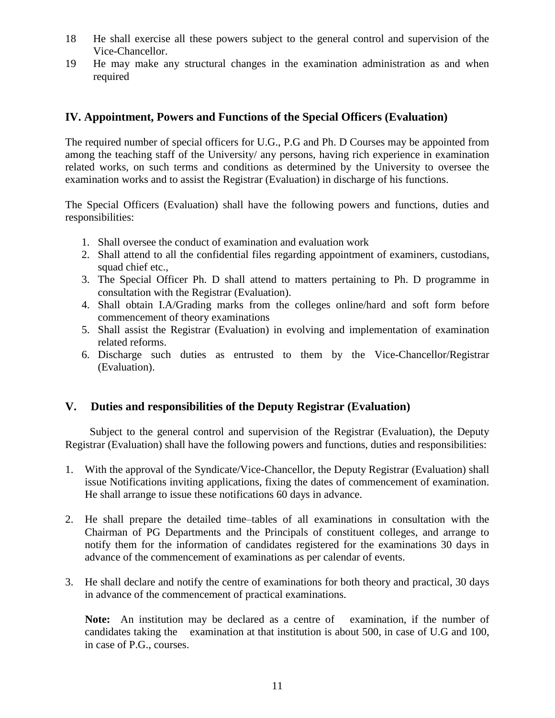- 18 He shall exercise all these powers subject to the general control and supervision of the Vice-Chancellor.
- 19 He may make any structural changes in the examination administration as and when required

## **IV. Appointment, Powers and Functions of the Special Officers (Evaluation)**

The required number of special officers for U.G., P.G and Ph. D Courses may be appointed from among the teaching staff of the University/ any persons, having rich experience in examination related works, on such terms and conditions as determined by the University to oversee the examination works and to assist the Registrar (Evaluation) in discharge of his functions.

The Special Officers (Evaluation) shall have the following powers and functions, duties and responsibilities:

- 1. Shall oversee the conduct of examination and evaluation work
- 2. Shall attend to all the confidential files regarding appointment of examiners, custodians, squad chief etc.,
- 3. The Special Officer Ph. D shall attend to matters pertaining to Ph. D programme in consultation with the Registrar (Evaluation).
- 4. Shall obtain I.A/Grading marks from the colleges online/hard and soft form before commencement of theory examinations
- 5. Shall assist the Registrar (Evaluation) in evolving and implementation of examination related reforms.
- 6. Discharge such duties as entrusted to them by the Vice-Chancellor/Registrar (Evaluation).

# **V. Duties and responsibilities of the Deputy Registrar (Evaluation)**

 Subject to the general control and supervision of the Registrar (Evaluation), the Deputy Registrar (Evaluation) shall have the following powers and functions, duties and responsibilities:

- 1. With the approval of the Syndicate/Vice-Chancellor, the Deputy Registrar (Evaluation) shall issue Notifications inviting applications, fixing the dates of commencement of examination. He shall arrange to issue these notifications 60 days in advance.
- 2. He shall prepare the detailed time–tables of all examinations in consultation with the Chairman of PG Departments and the Principals of constituent colleges, and arrange to notify them for the information of candidates registered for the examinations 30 days in advance of the commencement of examinations as per calendar of events.
- 3. He shall declare and notify the centre of examinations for both theory and practical, 30 days in advance of the commencement of practical examinations.

**Note:** An institution may be declared as a centre of examination, if the number of candidates taking the examination at that institution is about 500, in case of U.G and 100, in case of P.G., courses.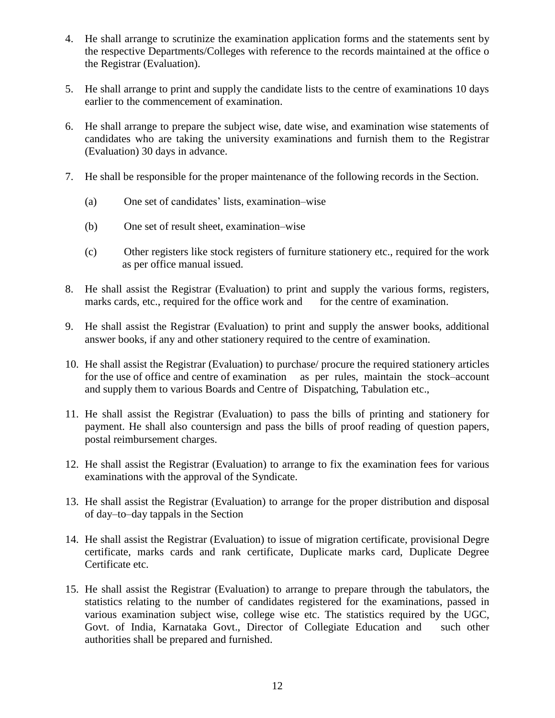- 4. He shall arrange to scrutinize the examination application forms and the statements sent by the respective Departments/Colleges with reference to the records maintained at the office o the Registrar (Evaluation).
- 5. He shall arrange to print and supply the candidate lists to the centre of examinations 10 days earlier to the commencement of examination.
- 6. He shall arrange to prepare the subject wise, date wise, and examination wise statements of candidates who are taking the university examinations and furnish them to the Registrar (Evaluation) 30 days in advance.
- 7. He shall be responsible for the proper maintenance of the following records in the Section.
	- (a) One set of candidates' lists, examination–wise
	- (b) One set of result sheet, examination–wise
	- (c) Other registers like stock registers of furniture stationery etc., required for the work as per office manual issued.
- 8. He shall assist the Registrar (Evaluation) to print and supply the various forms, registers, marks cards, etc., required for the office work and for the centre of examination.
- 9. He shall assist the Registrar (Evaluation) to print and supply the answer books, additional answer books, if any and other stationery required to the centre of examination.
- 10. He shall assist the Registrar (Evaluation) to purchase/ procure the required stationery articles for the use of office and centre of examination as per rules, maintain the stock–account and supply them to various Boards and Centre of Dispatching, Tabulation etc.,
- 11. He shall assist the Registrar (Evaluation) to pass the bills of printing and stationery for payment. He shall also countersign and pass the bills of proof reading of question papers, postal reimbursement charges.
- 12. He shall assist the Registrar (Evaluation) to arrange to fix the examination fees for various examinations with the approval of the Syndicate.
- 13. He shall assist the Registrar (Evaluation) to arrange for the proper distribution and disposal of day–to–day tappals in the Section
- 14. He shall assist the Registrar (Evaluation) to issue of migration certificate, provisional Degre certificate, marks cards and rank certificate, Duplicate marks card, Duplicate Degree Certificate etc.
- 15. He shall assist the Registrar (Evaluation) to arrange to prepare through the tabulators, the statistics relating to the number of candidates registered for the examinations, passed in various examination subject wise, college wise etc. The statistics required by the UGC, Govt. of India, Karnataka Govt., Director of Collegiate Education and such other authorities shall be prepared and furnished.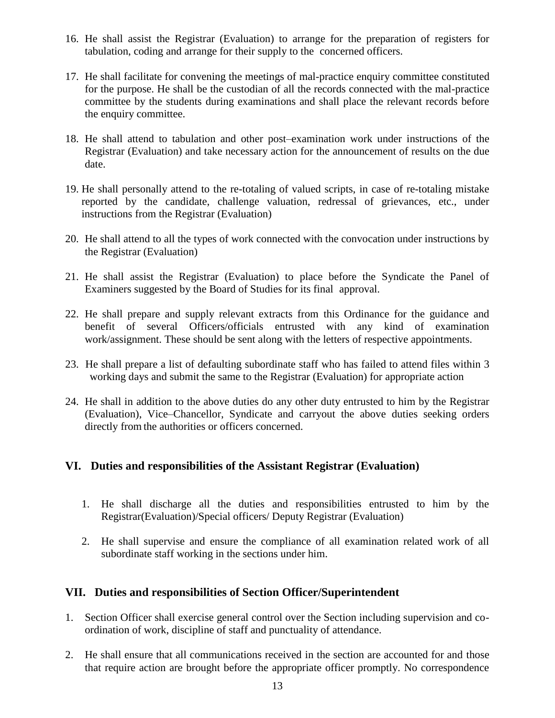- 16. He shall assist the Registrar (Evaluation) to arrange for the preparation of registers for tabulation, coding and arrange for their supply to the concerned officers.
- 17. He shall facilitate for convening the meetings of mal-practice enquiry committee constituted for the purpose. He shall be the custodian of all the records connected with the mal-practice committee by the students during examinations and shall place the relevant records before the enquiry committee.
- 18. He shall attend to tabulation and other post–examination work under instructions of the Registrar (Evaluation) and take necessary action for the announcement of results on the due date.
- 19. He shall personally attend to the re-totaling of valued scripts, in case of re-totaling mistake reported by the candidate, challenge valuation, redressal of grievances, etc., under instructions from the Registrar (Evaluation)
- 20. He shall attend to all the types of work connected with the convocation under instructions by the Registrar (Evaluation)
- 21. He shall assist the Registrar (Evaluation) to place before the Syndicate the Panel of Examiners suggested by the Board of Studies for its final approval.
- 22. He shall prepare and supply relevant extracts from this Ordinance for the guidance and benefit of several Officers/officials entrusted with any kind of examination work/assignment. These should be sent along with the letters of respective appointments.
- 23. He shall prepare a list of defaulting subordinate staff who has failed to attend files within 3 working days and submit the same to the Registrar (Evaluation) for appropriate action
- 24. He shall in addition to the above duties do any other duty entrusted to him by the Registrar (Evaluation), Vice–Chancellor, Syndicate and carryout the above duties seeking orders directly from the authorities or officers concerned.

#### **VI. Duties and responsibilities of the Assistant Registrar (Evaluation)**

- 1. He shall discharge all the duties and responsibilities entrusted to him by the Registrar(Evaluation)/Special officers/ Deputy Registrar (Evaluation)
- 2. He shall supervise and ensure the compliance of all examination related work of all subordinate staff working in the sections under him.

#### **VII. Duties and responsibilities of Section Officer/Superintendent**

- 1. Section Officer shall exercise general control over the Section including supervision and coordination of work, discipline of staff and punctuality of attendance.
- 2. He shall ensure that all communications received in the section are accounted for and those that require action are brought before the appropriate officer promptly. No correspondence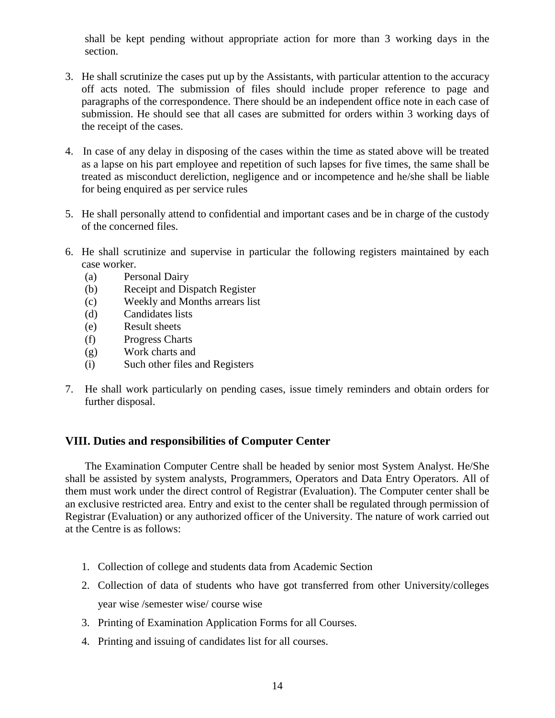shall be kept pending without appropriate action for more than 3 working days in the section.

- 3. He shall scrutinize the cases put up by the Assistants, with particular attention to the accuracy off acts noted. The submission of files should include proper reference to page and paragraphs of the correspondence. There should be an independent office note in each case of submission. He should see that all cases are submitted for orders within 3 working days of the receipt of the cases.
- 4. In case of any delay in disposing of the cases within the time as stated above will be treated as a lapse on his part employee and repetition of such lapses for five times, the same shall be treated as misconduct dereliction, negligence and or incompetence and he/she shall be liable for being enquired as per service rules
- 5. He shall personally attend to confidential and important cases and be in charge of the custody of the concerned files.
- 6. He shall scrutinize and supervise in particular the following registers maintained by each case worker.
	- (a) Personal Dairy
	- (b) Receipt and Dispatch Register
	- (c) Weekly and Months arrears list
	- (d) Candidates lists
	- (e) Result sheets
	- (f) Progress Charts
	- (g) Work charts and
	- (i) Such other files and Registers
- 7. He shall work particularly on pending cases, issue timely reminders and obtain orders for further disposal.

#### **VIII. Duties and responsibilities of Computer Center**

The Examination Computer Centre shall be headed by senior most System Analyst. He/She shall be assisted by system analysts, Programmers, Operators and Data Entry Operators. All of them must work under the direct control of Registrar (Evaluation). The Computer center shall be an exclusive restricted area. Entry and exist to the center shall be regulated through permission of Registrar (Evaluation) or any authorized officer of the University. The nature of work carried out at the Centre is as follows:

- 1. Collection of college and students data from Academic Section
- 2. Collection of data of students who have got transferred from other University/colleges year wise /semester wise/ course wise
- 3. Printing of Examination Application Forms for all Courses.
- 4. Printing and issuing of candidates list for all courses.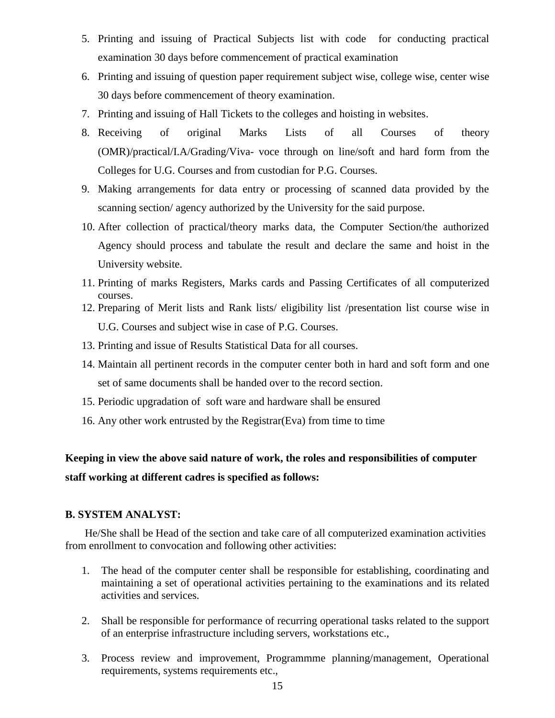- 5. Printing and issuing of Practical Subjects list with code for conducting practical examination 30 days before commencement of practical examination
- 6. Printing and issuing of question paper requirement subject wise, college wise, center wise 30 days before commencement of theory examination.
- 7. Printing and issuing of Hall Tickets to the colleges and hoisting in websites.
- 8. Receiving of original Marks Lists of all Courses of theory (OMR)/practical/I.A/Grading/Viva- voce through on line/soft and hard form from the Colleges for U.G. Courses and from custodian for P.G. Courses.
- 9. Making arrangements for data entry or processing of scanned data provided by the scanning section/ agency authorized by the University for the said purpose.
- 10. After collection of practical/theory marks data, the Computer Section/the authorized Agency should process and tabulate the result and declare the same and hoist in the University website.
- 11. Printing of marks Registers, Marks cards and Passing Certificates of all computerized courses.
- 12. Preparing of Merit lists and Rank lists/ eligibility list /presentation list course wise in U.G. Courses and subject wise in case of P.G. Courses.
- 13. Printing and issue of Results Statistical Data for all courses.
- 14. Maintain all pertinent records in the computer center both in hard and soft form and one set of same documents shall be handed over to the record section.
- 15. Periodic upgradation of soft ware and hardware shall be ensured
- 16. Any other work entrusted by the Registrar(Eva) from time to time

# **Keeping in view the above said nature of work, the roles and responsibilities of computer staff working at different cadres is specified as follows:**

#### **B. SYSTEM ANALYST:**

He/She shall be Head of the section and take care of all computerized examination activities from enrollment to convocation and following other activities:

- 1. The head of the computer center shall be responsible for establishing, coordinating and maintaining a set of operational activities pertaining to the examinations and its related activities and services.
- 2. Shall be responsible for performance of recurring operational tasks related to the support of an enterprise infrastructure including servers, workstations etc.,
- 3. Process review and improvement, Programmme planning/management, Operational requirements, systems requirements etc.,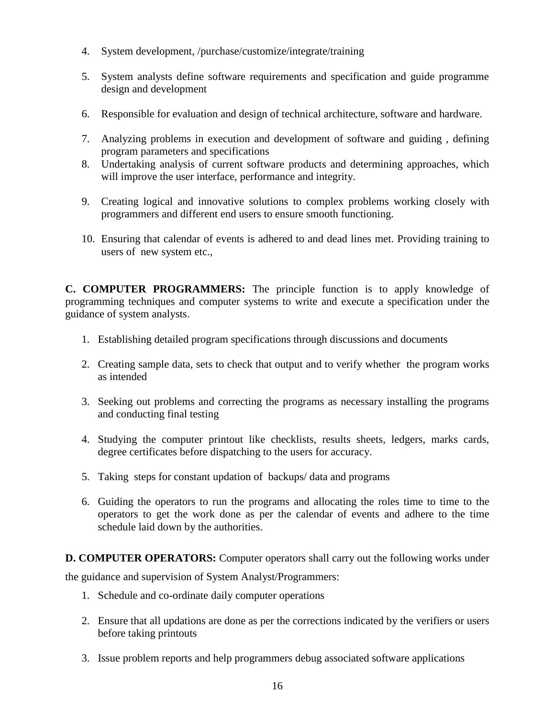- 4. System development, /purchase/customize/integrate/training
- 5. System analysts define software requirements and specification and guide programme design and development
- 6. Responsible for evaluation and design of technical architecture, software and hardware.
- 7. Analyzing problems in execution and development of software and guiding , defining program parameters and specifications
- 8. Undertaking analysis of current software products and determining approaches, which will improve the user interface, performance and integrity.
- 9. Creating logical and innovative solutions to complex problems working closely with programmers and different end users to ensure smooth functioning.
- 10. Ensuring that calendar of events is adhered to and dead lines met. Providing training to users of new system etc.,

**C. COMPUTER PROGRAMMERS:** The principle function is to apply knowledge of programming techniques and computer systems to write and execute a specification under the guidance of system analysts.

- 1. Establishing detailed program specifications through discussions and documents
- 2. Creating sample data, sets to check that output and to verify whether the program works as intended
- 3. Seeking out problems and correcting the programs as necessary installing the programs and conducting final testing
- 4. Studying the computer printout like checklists, results sheets, ledgers, marks cards, degree certificates before dispatching to the users for accuracy.
- 5. Taking steps for constant updation of backups/ data and programs
- 6. Guiding the operators to run the programs and allocating the roles time to time to the operators to get the work done as per the calendar of events and adhere to the time schedule laid down by the authorities.

**D. COMPUTER OPERATORS:** Computer operators shall carry out the following works under

the guidance and supervision of System Analyst/Programmers:

- 1. Schedule and co-ordinate daily computer operations
- 2. Ensure that all updations are done as per the corrections indicated by the verifiers or users before taking printouts
- 3. Issue problem reports and help programmers debug associated software applications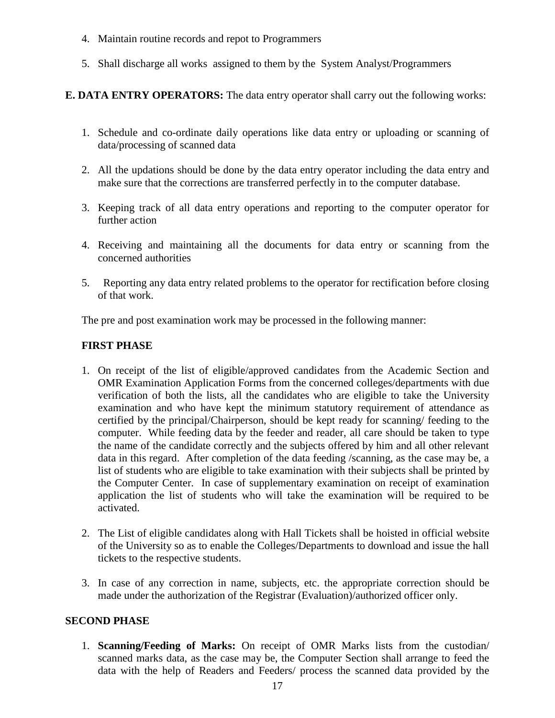- 4. Maintain routine records and repot to Programmers
- 5. Shall discharge all works assigned to them by the System Analyst/Programmers

## **E. DATA ENTRY OPERATORS:** The data entry operator shall carry out the following works:

- 1. Schedule and co-ordinate daily operations like data entry or uploading or scanning of data/processing of scanned data
- 2. All the updations should be done by the data entry operator including the data entry and make sure that the corrections are transferred perfectly in to the computer database.
- 3. Keeping track of all data entry operations and reporting to the computer operator for further action
- 4. Receiving and maintaining all the documents for data entry or scanning from the concerned authorities
- 5. Reporting any data entry related problems to the operator for rectification before closing of that work.

The pre and post examination work may be processed in the following manner:

#### **FIRST PHASE**

- 1. On receipt of the list of eligible/approved candidates from the Academic Section and OMR Examination Application Forms from the concerned colleges/departments with due verification of both the lists, all the candidates who are eligible to take the University examination and who have kept the minimum statutory requirement of attendance as certified by the principal/Chairperson, should be kept ready for scanning/ feeding to the computer. While feeding data by the feeder and reader, all care should be taken to type the name of the candidate correctly and the subjects offered by him and all other relevant data in this regard. After completion of the data feeding /scanning, as the case may be, a list of students who are eligible to take examination with their subjects shall be printed by the Computer Center. In case of supplementary examination on receipt of examination application the list of students who will take the examination will be required to be activated.
- 2. The List of eligible candidates along with Hall Tickets shall be hoisted in official website of the University so as to enable the Colleges/Departments to download and issue the hall tickets to the respective students.
- 3. In case of any correction in name, subjects, etc. the appropriate correction should be made under the authorization of the Registrar (Evaluation)/authorized officer only.

#### **SECOND PHASE**

1. **Scanning/Feeding of Marks:** On receipt of OMR Marks lists from the custodian/ scanned marks data, as the case may be, the Computer Section shall arrange to feed the data with the help of Readers and Feeders/ process the scanned data provided by the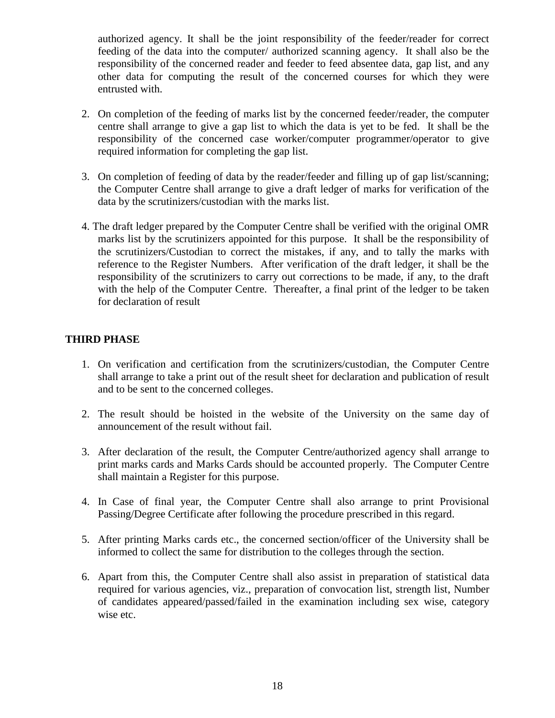authorized agency. It shall be the joint responsibility of the feeder/reader for correct feeding of the data into the computer/ authorized scanning agency. It shall also be the responsibility of the concerned reader and feeder to feed absentee data, gap list, and any other data for computing the result of the concerned courses for which they were entrusted with.

- 2. On completion of the feeding of marks list by the concerned feeder/reader, the computer centre shall arrange to give a gap list to which the data is yet to be fed. It shall be the responsibility of the concerned case worker/computer programmer/operator to give required information for completing the gap list.
- 3. On completion of feeding of data by the reader/feeder and filling up of gap list/scanning; the Computer Centre shall arrange to give a draft ledger of marks for verification of the data by the scrutinizers/custodian with the marks list.
- 4. The draft ledger prepared by the Computer Centre shall be verified with the original OMR marks list by the scrutinizers appointed for this purpose. It shall be the responsibility of the scrutinizers/Custodian to correct the mistakes, if any, and to tally the marks with reference to the Register Numbers. After verification of the draft ledger, it shall be the responsibility of the scrutinizers to carry out corrections to be made, if any, to the draft with the help of the Computer Centre. Thereafter, a final print of the ledger to be taken for declaration of result

#### **THIRD PHASE**

- 1. On verification and certification from the scrutinizers/custodian, the Computer Centre shall arrange to take a print out of the result sheet for declaration and publication of result and to be sent to the concerned colleges.
- 2. The result should be hoisted in the website of the University on the same day of announcement of the result without fail.
- 3. After declaration of the result, the Computer Centre/authorized agency shall arrange to print marks cards and Marks Cards should be accounted properly. The Computer Centre shall maintain a Register for this purpose.
- 4. In Case of final year, the Computer Centre shall also arrange to print Provisional Passing/Degree Certificate after following the procedure prescribed in this regard.
- 5. After printing Marks cards etc., the concerned section/officer of the University shall be informed to collect the same for distribution to the colleges through the section.
- 6. Apart from this, the Computer Centre shall also assist in preparation of statistical data required for various agencies, viz., preparation of convocation list, strength list, Number of candidates appeared/passed/failed in the examination including sex wise, category wise etc.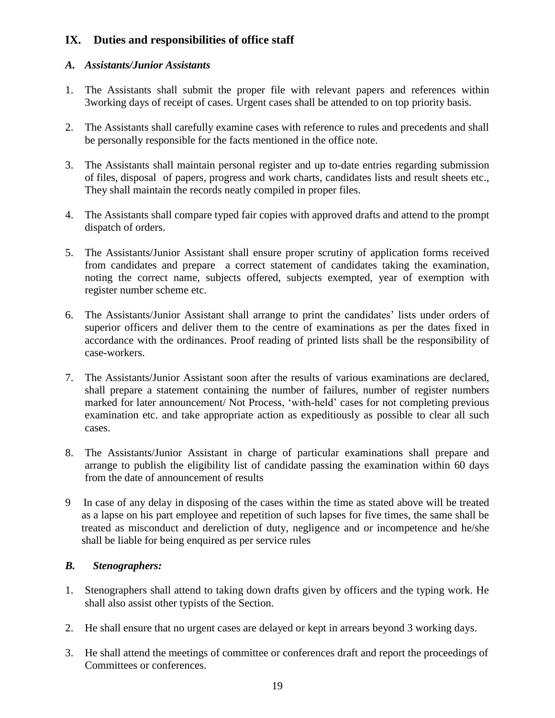# **IX. Duties and responsibilities of office staff**

#### *A. Assistants/Junior Assistants*

- 1. The Assistants shall submit the proper file with relevant papers and references within 3working days of receipt of cases. Urgent cases shall be attended to on top priority basis.
- 2. The Assistants shall carefully examine cases with reference to rules and precedents and shall be personally responsible for the facts mentioned in the office note.
- 3. The Assistants shall maintain personal register and up to-date entries regarding submission of files, disposal of papers, progress and work charts, candidates lists and result sheets etc., They shall maintain the records neatly compiled in proper files.
- 4. The Assistants shall compare typed fair copies with approved drafts and attend to the prompt dispatch of orders.
- 5. The Assistants/Junior Assistant shall ensure proper scrutiny of application forms received from candidates and prepare a correct statement of candidates taking the examination, noting the correct name, subjects offered, subjects exempted, year of exemption with register number scheme etc.
- 6. The Assistants/Junior Assistant shall arrange to print the candidates' lists under orders of superior officers and deliver them to the centre of examinations as per the dates fixed in accordance with the ordinances. Proof reading of printed lists shall be the responsibility of case-workers.
- 7. The Assistants/Junior Assistant soon after the results of various examinations are declared, shall prepare a statement containing the number of failures, number of register numbers marked for later announcement/ Not Process, 'with-held' cases for not completing previous examination etc. and take appropriate action as expeditiously as possible to clear all such cases.
- 8. The Assistants/Junior Assistant in charge of particular examinations shall prepare and arrange to publish the eligibility list of candidate passing the examination within 60 days from the date of announcement of results
- 9 In case of any delay in disposing of the cases within the time as stated above will be treated as a lapse on his part employee and repetition of such lapses for five times, the same shall be treated as misconduct and dereliction of duty, negligence and or incompetence and he/she shall be liable for being enquired as per service rules

# *B. Stenographers:*

- 1. Stenographers shall attend to taking down drafts given by officers and the typing work. He shall also assist other typists of the Section.
- 2. He shall ensure that no urgent cases are delayed or kept in arrears beyond 3 working days.
- 3. He shall attend the meetings of committee or conferences draft and report the proceedings of Committees or conferences.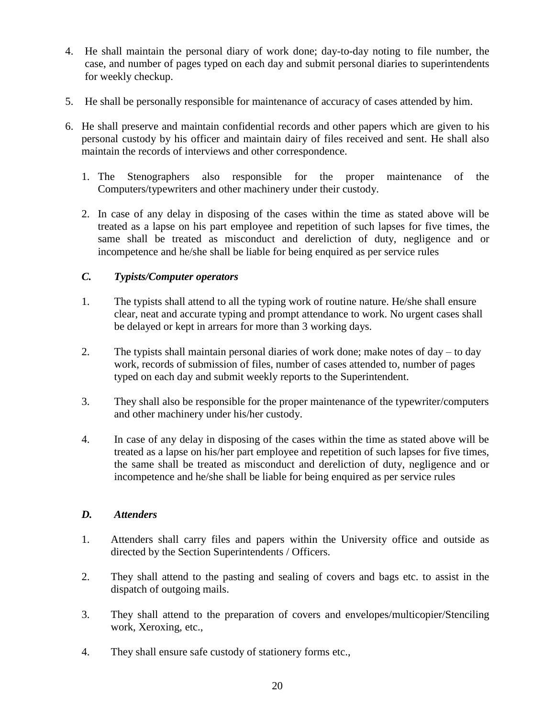- 4. He shall maintain the personal diary of work done; day-to-day noting to file number, the case, and number of pages typed on each day and submit personal diaries to superintendents for weekly checkup.
- 5. He shall be personally responsible for maintenance of accuracy of cases attended by him.
- 6. He shall preserve and maintain confidential records and other papers which are given to his personal custody by his officer and maintain dairy of files received and sent. He shall also maintain the records of interviews and other correspondence.
	- 1. The Stenographers also responsible for the proper maintenance of the Computers/typewriters and other machinery under their custody.
	- 2. In case of any delay in disposing of the cases within the time as stated above will be treated as a lapse on his part employee and repetition of such lapses for five times, the same shall be treated as misconduct and dereliction of duty, negligence and or incompetence and he/she shall be liable for being enquired as per service rules

#### *C. Typists/Computer operators*

- 1. The typists shall attend to all the typing work of routine nature. He/she shall ensure clear, neat and accurate typing and prompt attendance to work. No urgent cases shall be delayed or kept in arrears for more than 3 working days.
- 2. The typists shall maintain personal diaries of work done; make notes of day to day work, records of submission of files, number of cases attended to, number of pages typed on each day and submit weekly reports to the Superintendent.
- 3. They shall also be responsible for the proper maintenance of the typewriter/computers and other machinery under his/her custody.
- 4. In case of any delay in disposing of the cases within the time as stated above will be treated as a lapse on his/her part employee and repetition of such lapses for five times, the same shall be treated as misconduct and dereliction of duty, negligence and or incompetence and he/she shall be liable for being enquired as per service rules

#### *D. Attenders*

- 1. Attenders shall carry files and papers within the University office and outside as directed by the Section Superintendents / Officers.
- 2. They shall attend to the pasting and sealing of covers and bags etc. to assist in the dispatch of outgoing mails.
- 3. They shall attend to the preparation of covers and envelopes/multicopier/Stenciling work, Xeroxing, etc.,
- 4. They shall ensure safe custody of stationery forms etc.,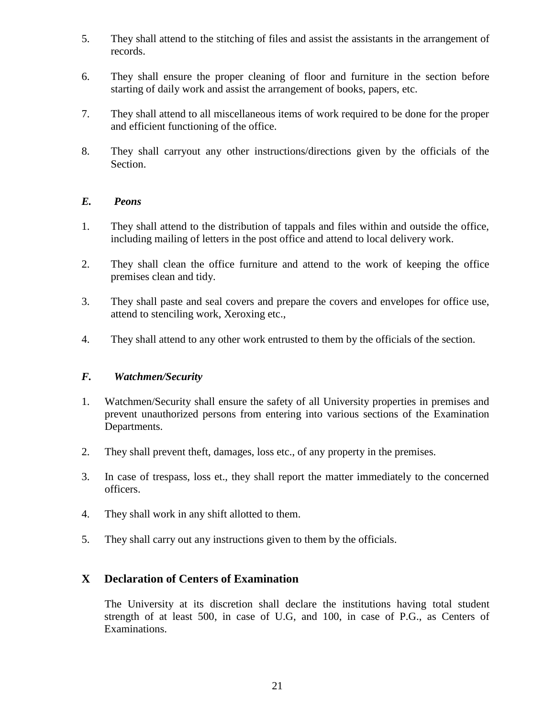- 5. They shall attend to the stitching of files and assist the assistants in the arrangement of records.
- 6. They shall ensure the proper cleaning of floor and furniture in the section before starting of daily work and assist the arrangement of books, papers, etc.
- 7. They shall attend to all miscellaneous items of work required to be done for the proper and efficient functioning of the office.
- 8. They shall carryout any other instructions/directions given by the officials of the Section.

#### *E. Peons*

- 1. They shall attend to the distribution of tappals and files within and outside the office, including mailing of letters in the post office and attend to local delivery work.
- 2. They shall clean the office furniture and attend to the work of keeping the office premises clean and tidy.
- 3. They shall paste and seal covers and prepare the covers and envelopes for office use, attend to stenciling work, Xeroxing etc.,
- 4. They shall attend to any other work entrusted to them by the officials of the section.

#### *F. Watchmen/Security*

- 1. Watchmen/Security shall ensure the safety of all University properties in premises and prevent unauthorized persons from entering into various sections of the Examination Departments.
- 2. They shall prevent theft, damages, loss etc., of any property in the premises.
- 3. In case of trespass, loss et., they shall report the matter immediately to the concerned officers.
- 4. They shall work in any shift allotted to them.
- 5. They shall carry out any instructions given to them by the officials.

#### **X Declaration of Centers of Examination**

The University at its discretion shall declare the institutions having total student strength of at least 500, in case of U.G, and 100, in case of P.G., as Centers of Examinations.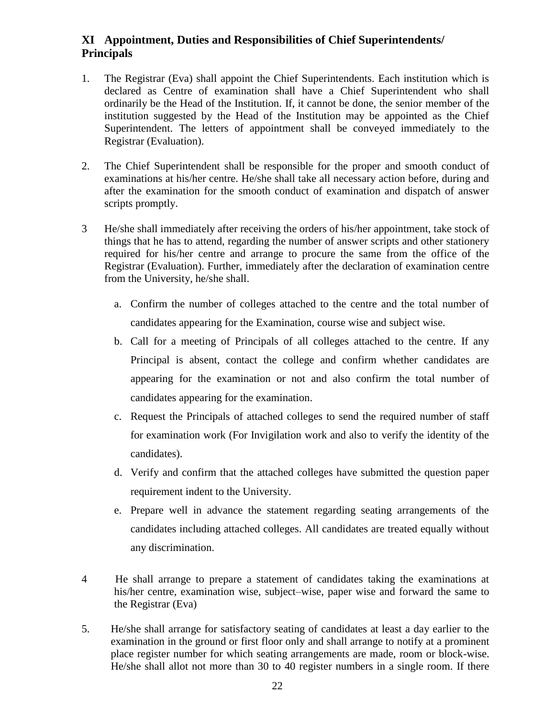# **XI Appointment, Duties and Responsibilities of Chief Superintendents/ Principals**

- 1. The Registrar (Eva) shall appoint the Chief Superintendents. Each institution which is declared as Centre of examination shall have a Chief Superintendent who shall ordinarily be the Head of the Institution. If, it cannot be done, the senior member of the institution suggested by the Head of the Institution may be appointed as the Chief Superintendent. The letters of appointment shall be conveyed immediately to the Registrar (Evaluation).
- 2. The Chief Superintendent shall be responsible for the proper and smooth conduct of examinations at his/her centre. He/she shall take all necessary action before, during and after the examination for the smooth conduct of examination and dispatch of answer scripts promptly.
- 3 He/she shall immediately after receiving the orders of his/her appointment, take stock of things that he has to attend, regarding the number of answer scripts and other stationery required for his/her centre and arrange to procure the same from the office of the Registrar (Evaluation). Further, immediately after the declaration of examination centre from the University, he/she shall.
	- a. Confirm the number of colleges attached to the centre and the total number of candidates appearing for the Examination, course wise and subject wise.
	- b. Call for a meeting of Principals of all colleges attached to the centre. If any Principal is absent, contact the college and confirm whether candidates are appearing for the examination or not and also confirm the total number of candidates appearing for the examination.
	- c. Request the Principals of attached colleges to send the required number of staff for examination work (For Invigilation work and also to verify the identity of the candidates).
	- d. Verify and confirm that the attached colleges have submitted the question paper requirement indent to the University.
	- e. Prepare well in advance the statement regarding seating arrangements of the candidates including attached colleges. All candidates are treated equally without any discrimination.
- 4 He shall arrange to prepare a statement of candidates taking the examinations at his/her centre, examination wise, subject–wise, paper wise and forward the same to the Registrar (Eva)
- 5. He/she shall arrange for satisfactory seating of candidates at least a day earlier to the examination in the ground or first floor only and shall arrange to notify at a prominent place register number for which seating arrangements are made, room or block-wise. He/she shall allot not more than 30 to 40 register numbers in a single room. If there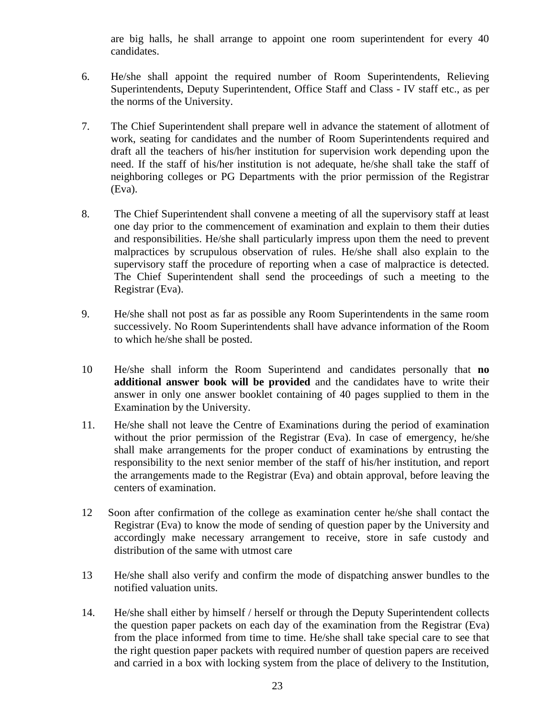are big halls, he shall arrange to appoint one room superintendent for every 40 candidates.

- 6. He/she shall appoint the required number of Room Superintendents, Relieving Superintendents, Deputy Superintendent, Office Staff and Class - IV staff etc., as per the norms of the University.
- 7. The Chief Superintendent shall prepare well in advance the statement of allotment of work, seating for candidates and the number of Room Superintendents required and draft all the teachers of his/her institution for supervision work depending upon the need. If the staff of his/her institution is not adequate, he/she shall take the staff of neighboring colleges or PG Departments with the prior permission of the Registrar (Eva).
- 8. The Chief Superintendent shall convene a meeting of all the supervisory staff at least one day prior to the commencement of examination and explain to them their duties and responsibilities. He/she shall particularly impress upon them the need to prevent malpractices by scrupulous observation of rules. He/she shall also explain to the supervisory staff the procedure of reporting when a case of malpractice is detected. The Chief Superintendent shall send the proceedings of such a meeting to the Registrar (Eva).
- 9. He/she shall not post as far as possible any Room Superintendents in the same room successively. No Room Superintendents shall have advance information of the Room to which he/she shall be posted.
- 10 He/she shall inform the Room Superintend and candidates personally that **no additional answer book will be provided** and the candidates have to write their answer in only one answer booklet containing of 40 pages supplied to them in the Examination by the University.
- 11. He/she shall not leave the Centre of Examinations during the period of examination without the prior permission of the Registrar (Eva). In case of emergency, he/she shall make arrangements for the proper conduct of examinations by entrusting the responsibility to the next senior member of the staff of his/her institution, and report the arrangements made to the Registrar (Eva) and obtain approval, before leaving the centers of examination.
- 12 Soon after confirmation of the college as examination center he/she shall contact the Registrar (Eva) to know the mode of sending of question paper by the University and accordingly make necessary arrangement to receive, store in safe custody and distribution of the same with utmost care
- 13 He/she shall also verify and confirm the mode of dispatching answer bundles to the notified valuation units.
- 14. He/she shall either by himself / herself or through the Deputy Superintendent collects the question paper packets on each day of the examination from the Registrar (Eva) from the place informed from time to time. He/she shall take special care to see that the right question paper packets with required number of question papers are received and carried in a box with locking system from the place of delivery to the Institution,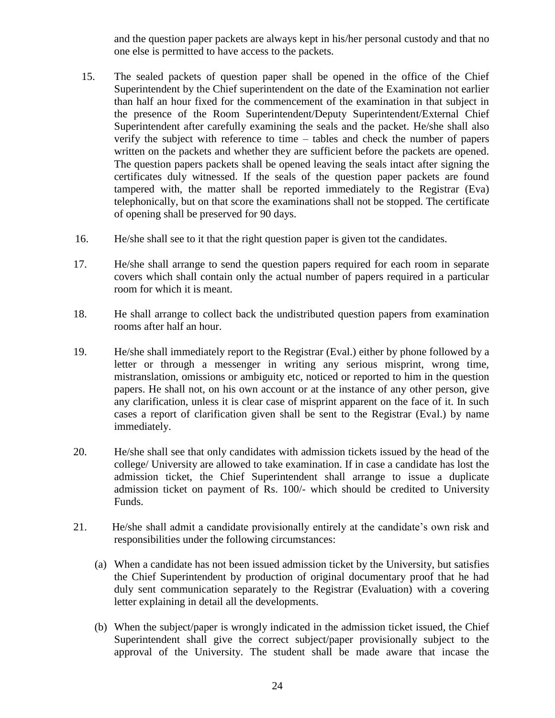and the question paper packets are always kept in his/her personal custody and that no one else is permitted to have access to the packets.

- 15. The sealed packets of question paper shall be opened in the office of the Chief Superintendent by the Chief superintendent on the date of the Examination not earlier than half an hour fixed for the commencement of the examination in that subject in the presence of the Room Superintendent/Deputy Superintendent/External Chief Superintendent after carefully examining the seals and the packet. He/she shall also verify the subject with reference to time – tables and check the number of papers written on the packets and whether they are sufficient before the packets are opened. The question papers packets shall be opened leaving the seals intact after signing the certificates duly witnessed. If the seals of the question paper packets are found tampered with, the matter shall be reported immediately to the Registrar (Eva) telephonically, but on that score the examinations shall not be stopped. The certificate of opening shall be preserved for 90 days.
- 16. He/she shall see to it that the right question paper is given tot the candidates.
- 17. He/she shall arrange to send the question papers required for each room in separate covers which shall contain only the actual number of papers required in a particular room for which it is meant.
- 18. He shall arrange to collect back the undistributed question papers from examination rooms after half an hour.
- 19. He/she shall immediately report to the Registrar (Eval.) either by phone followed by a letter or through a messenger in writing any serious misprint, wrong time, mistranslation, omissions or ambiguity etc, noticed or reported to him in the question papers. He shall not, on his own account or at the instance of any other person, give any clarification, unless it is clear case of misprint apparent on the face of it. In such cases a report of clarification given shall be sent to the Registrar (Eval.) by name immediately.
- 20. He/she shall see that only candidates with admission tickets issued by the head of the college/ University are allowed to take examination. If in case a candidate has lost the admission ticket, the Chief Superintendent shall arrange to issue a duplicate admission ticket on payment of Rs. 100/- which should be credited to University Funds.
- 21. He/she shall admit a candidate provisionally entirely at the candidate's own risk and responsibilities under the following circumstances:
	- (a) When a candidate has not been issued admission ticket by the University, but satisfies the Chief Superintendent by production of original documentary proof that he had duly sent communication separately to the Registrar (Evaluation) with a covering letter explaining in detail all the developments.
	- (b) When the subject/paper is wrongly indicated in the admission ticket issued, the Chief Superintendent shall give the correct subject/paper provisionally subject to the approval of the University. The student shall be made aware that incase the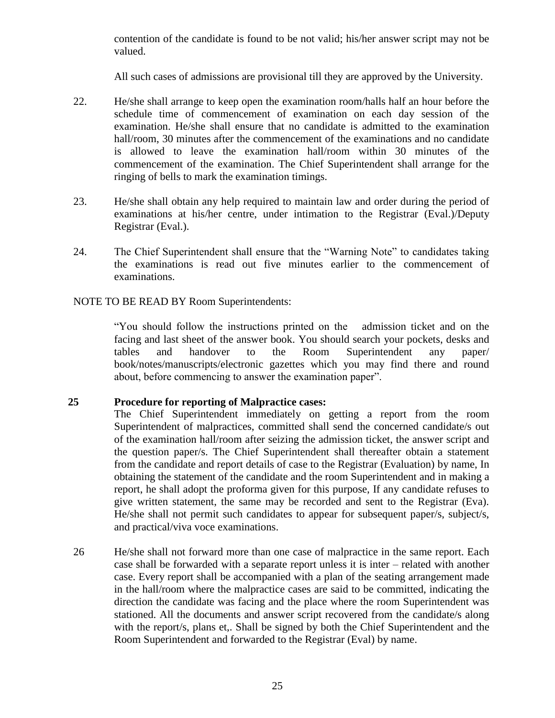contention of the candidate is found to be not valid; his/her answer script may not be valued.

All such cases of admissions are provisional till they are approved by the University.

- 22. He/she shall arrange to keep open the examination room/halls half an hour before the schedule time of commencement of examination on each day session of the examination. He/she shall ensure that no candidate is admitted to the examination hall/room, 30 minutes after the commencement of the examinations and no candidate is allowed to leave the examination hall/room within 30 minutes of the commencement of the examination. The Chief Superintendent shall arrange for the ringing of bells to mark the examination timings.
- 23. He/she shall obtain any help required to maintain law and order during the period of examinations at his/her centre, under intimation to the Registrar (Eval.)/Deputy Registrar (Eval.).
- 24. The Chief Superintendent shall ensure that the "Warning Note" to candidates taking the examinations is read out five minutes earlier to the commencement of examinations.

#### NOTE TO BE READ BY Room Superintendents:

"You should follow the instructions printed on the admission ticket and on the facing and last sheet of the answer book. You should search your pockets, desks and tables and handover to the Room Superintendent any paper/ book/notes/manuscripts/electronic gazettes which you may find there and round about, before commencing to answer the examination paper".

#### **25 Procedure for reporting of Malpractice cases:**

The Chief Superintendent immediately on getting a report from the room Superintendent of malpractices, committed shall send the concerned candidate/s out of the examination hall/room after seizing the admission ticket, the answer script and the question paper/s. The Chief Superintendent shall thereafter obtain a statement from the candidate and report details of case to the Registrar (Evaluation) by name, In obtaining the statement of the candidate and the room Superintendent and in making a report, he shall adopt the proforma given for this purpose, If any candidate refuses to give written statement, the same may be recorded and sent to the Registrar (Eva). He/she shall not permit such candidates to appear for subsequent paper/s, subject/s, and practical/viva voce examinations.

26 He/she shall not forward more than one case of malpractice in the same report. Each case shall be forwarded with a separate report unless it is inter – related with another case. Every report shall be accompanied with a plan of the seating arrangement made in the hall/room where the malpractice cases are said to be committed, indicating the direction the candidate was facing and the place where the room Superintendent was stationed. All the documents and answer script recovered from the candidate/s along with the report/s, plans et,. Shall be signed by both the Chief Superintendent and the Room Superintendent and forwarded to the Registrar (Eval) by name.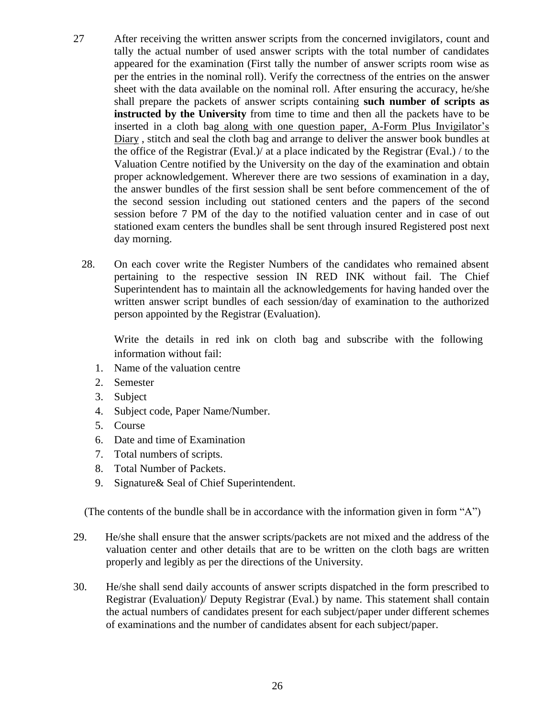- 27 After receiving the written answer scripts from the concerned invigilators, count and tally the actual number of used answer scripts with the total number of candidates appeared for the examination (First tally the number of answer scripts room wise as per the entries in the nominal roll). Verify the correctness of the entries on the answer sheet with the data available on the nominal roll. After ensuring the accuracy, he/she shall prepare the packets of answer scripts containing **such number of scripts as instructed by the University** from time to time and then all the packets have to be inserted in a cloth bag along with one question paper, A-Form Plus Invigilator's Diary , stitch and seal the cloth bag and arrange to deliver the answer book bundles at the office of the Registrar (Eval.)/ at a place indicated by the Registrar (Eval.) / to the Valuation Centre notified by the University on the day of the examination and obtain proper acknowledgement. Wherever there are two sessions of examination in a day, the answer bundles of the first session shall be sent before commencement of the of the second session including out stationed centers and the papers of the second session before 7 PM of the day to the notified valuation center and in case of out stationed exam centers the bundles shall be sent through insured Registered post next day morning.
	- 28. On each cover write the Register Numbers of the candidates who remained absent pertaining to the respective session IN RED INK without fail. The Chief Superintendent has to maintain all the acknowledgements for having handed over the written answer script bundles of each session/day of examination to the authorized person appointed by the Registrar (Evaluation).

 Write the details in red ink on cloth bag and subscribe with the following information without fail:

- 1. Name of the valuation centre
- 2. Semester
- 3. Subject
- 4. Subject code, Paper Name/Number.
- 5. Course
- 6. Date and time of Examination
- 7. Total numbers of scripts.
- 8. Total Number of Packets.
- 9. Signature& Seal of Chief Superintendent.

(The contents of the bundle shall be in accordance with the information given in form "A")

- 29. He/she shall ensure that the answer scripts/packets are not mixed and the address of the valuation center and other details that are to be written on the cloth bags are written properly and legibly as per the directions of the University.
- 30. He/she shall send daily accounts of answer scripts dispatched in the form prescribed to Registrar (Evaluation)/ Deputy Registrar (Eval.) by name. This statement shall contain the actual numbers of candidates present for each subject/paper under different schemes of examinations and the number of candidates absent for each subject/paper.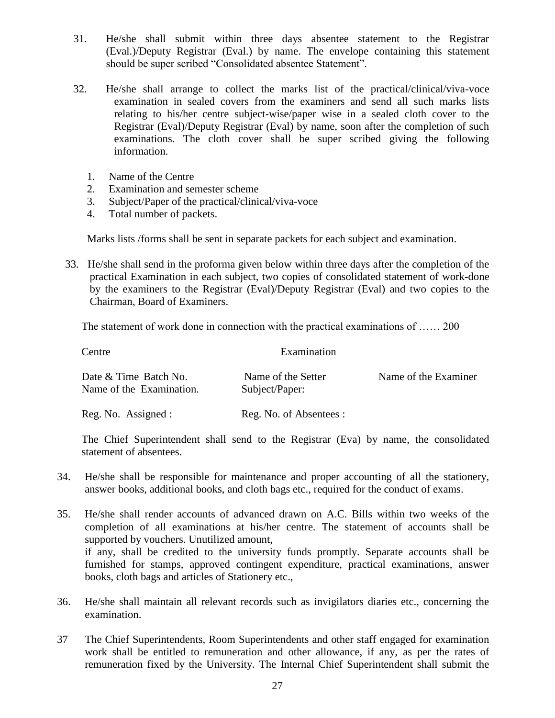- 31. He/she shall submit within three days absentee statement to the Registrar (Eval.)/Deputy Registrar (Eval.) by name. The envelope containing this statement should be super scribed "Consolidated absentee Statement".
- 32. He/she shall arrange to collect the marks list of the practical/clinical/viva-voce examination in sealed covers from the examiners and send all such marks lists relating to his/her centre subject-wise/paper wise in a sealed cloth cover to the Registrar (Eval)/Deputy Registrar (Eval) by name, soon after the completion of such examinations. The cloth cover shall be super scribed giving the following information.
	- 1. Name of the Centre
	- 2. Examination and semester scheme
	- 3. Subject/Paper of the practical/clinical/viva-voce
	- 4. Total number of packets.

Marks lists /forms shall be sent in separate packets for each subject and examination.

33. He/she shall send in the proforma given below within three days after the completion of the practical Examination in each subject, two copies of consolidated statement of work-done by the examiners to the Registrar (Eval)/Deputy Registrar (Eval) and two copies to the Chairman, Board of Examiners.

The statement of work done in connection with the practical examinations of …… 200

| Centre                                            | Examination                          |                      |
|---------------------------------------------------|--------------------------------------|----------------------|
| Date & Time Batch No.<br>Name of the Examination. | Name of the Setter<br>Subject/Paper: | Name of the Examiner |
| Reg. No. Assigned :                               | Reg. No. of Absentees :              |                      |

The Chief Superintendent shall send to the Registrar (Eva) by name, the consolidated statement of absentees.

- 34. He/she shall be responsible for maintenance and proper accounting of all the stationery, answer books, additional books, and cloth bags etc., required for the conduct of exams.
- 35. He/she shall render accounts of advanced drawn on A.C. Bills within two weeks of the completion of all examinations at his/her centre. The statement of accounts shall be supported by vouchers. Unutilized amount, if any, shall be credited to the university funds promptly. Separate accounts shall be furnished for stamps, approved contingent expenditure, practical examinations, answer books, cloth bags and articles of Stationery etc.,
- 36. He/she shall maintain all relevant records such as invigilators diaries etc., concerning the examination.
- 37 The Chief Superintendents, Room Superintendents and other staff engaged for examination work shall be entitled to remuneration and other allowance, if any, as per the rates of remuneration fixed by the University. The Internal Chief Superintendent shall submit the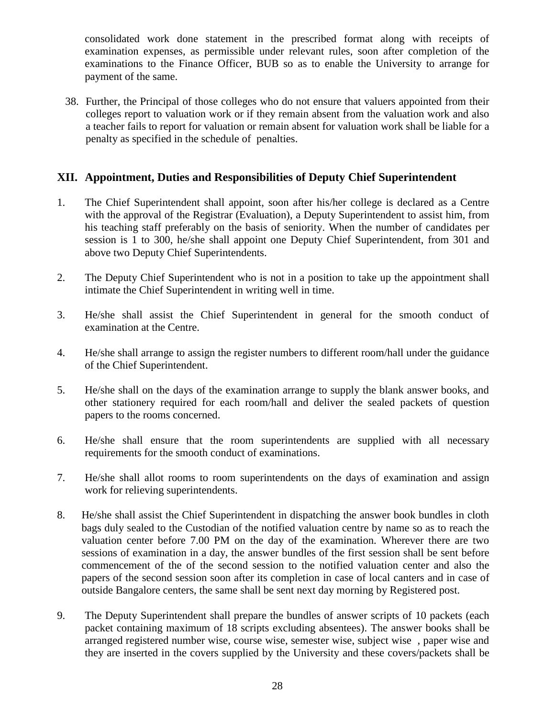consolidated work done statement in the prescribed format along with receipts of examination expenses, as permissible under relevant rules, soon after completion of the examinations to the Finance Officer, BUB so as to enable the University to arrange for payment of the same.

38. Further, the Principal of those colleges who do not ensure that valuers appointed from their colleges report to valuation work or if they remain absent from the valuation work and also a teacher fails to report for valuation or remain absent for valuation work shall be liable for a penalty as specified in the schedule of penalties.

#### **XII. Appointment, Duties and Responsibilities of Deputy Chief Superintendent**

- 1. The Chief Superintendent shall appoint, soon after his/her college is declared as a Centre with the approval of the Registrar (Evaluation), a Deputy Superintendent to assist him, from his teaching staff preferably on the basis of seniority. When the number of candidates per session is 1 to 300, he/she shall appoint one Deputy Chief Superintendent, from 301 and above two Deputy Chief Superintendents.
- 2. The Deputy Chief Superintendent who is not in a position to take up the appointment shall intimate the Chief Superintendent in writing well in time.
- 3. He/she shall assist the Chief Superintendent in general for the smooth conduct of examination at the Centre.
- 4. He/she shall arrange to assign the register numbers to different room/hall under the guidance of the Chief Superintendent.
- 5. He/she shall on the days of the examination arrange to supply the blank answer books, and other stationery required for each room/hall and deliver the sealed packets of question papers to the rooms concerned.
- 6. He/she shall ensure that the room superintendents are supplied with all necessary requirements for the smooth conduct of examinations.
- 7. He/she shall allot rooms to room superintendents on the days of examination and assign work for relieving superintendents.
- 8. He/she shall assist the Chief Superintendent in dispatching the answer book bundles in cloth bags duly sealed to the Custodian of the notified valuation centre by name so as to reach the valuation center before 7.00 PM on the day of the examination. Wherever there are two sessions of examination in a day, the answer bundles of the first session shall be sent before commencement of the of the second session to the notified valuation center and also the papers of the second session soon after its completion in case of local canters and in case of outside Bangalore centers, the same shall be sent next day morning by Registered post.
- 9. The Deputy Superintendent shall prepare the bundles of answer scripts of 10 packets (each packet containing maximum of 18 scripts excluding absentees). The answer books shall be arranged registered number wise, course wise, semester wise, subject wise , paper wise and they are inserted in the covers supplied by the University and these covers/packets shall be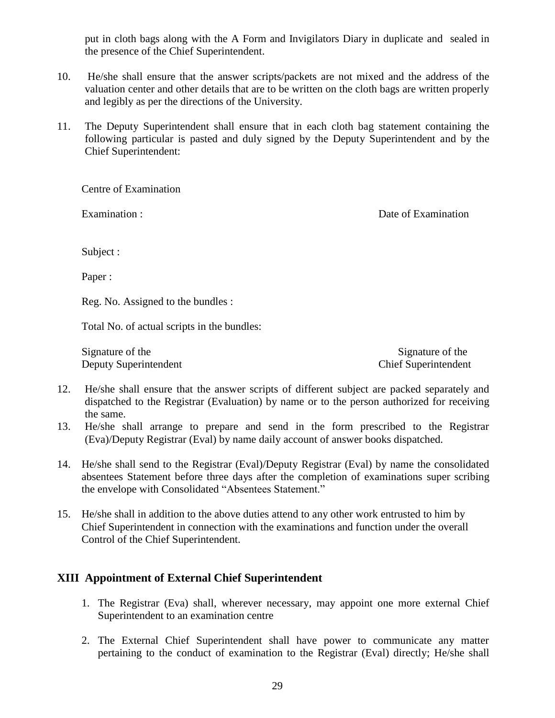put in cloth bags along with the A Form and Invigilators Diary in duplicate and sealed in the presence of the Chief Superintendent.

- 10. He/she shall ensure that the answer scripts/packets are not mixed and the address of the valuation center and other details that are to be written on the cloth bags are written properly and legibly as per the directions of the University.
- 11. The Deputy Superintendent shall ensure that in each cloth bag statement containing the following particular is pasted and duly signed by the Deputy Superintendent and by the Chief Superintendent:

Centre of Examination

Examination : Solution : Date of Examination : Date of Examination :

Subject :

Paper :

Reg. No. Assigned to the bundles :

Total No. of actual scripts in the bundles:

Signature of the Signature of the Signature of the Signature of the Signature of the Signature of the Signature of the Signature of the Signature of the Signature of the Signature of the Signature of the Signature of the S Deputy Superintendent Chief Superintendent

- 12. He/she shall ensure that the answer scripts of different subject are packed separately and dispatched to the Registrar (Evaluation) by name or to the person authorized for receiving the same.
- 13. He/she shall arrange to prepare and send in the form prescribed to the Registrar (Eva)/Deputy Registrar (Eval) by name daily account of answer books dispatched.
- 14. He/she shall send to the Registrar (Eval)/Deputy Registrar (Eval) by name the consolidated absentees Statement before three days after the completion of examinations super scribing the envelope with Consolidated "Absentees Statement."
- 15. He/she shall in addition to the above duties attend to any other work entrusted to him by Chief Superintendent in connection with the examinations and function under the overall Control of the Chief Superintendent.

# **XIII Appointment of External Chief Superintendent**

- 1. The Registrar (Eva) shall, wherever necessary, may appoint one more external Chief Superintendent to an examination centre
- 2. The External Chief Superintendent shall have power to communicate any matter pertaining to the conduct of examination to the Registrar (Eval) directly; He/she shall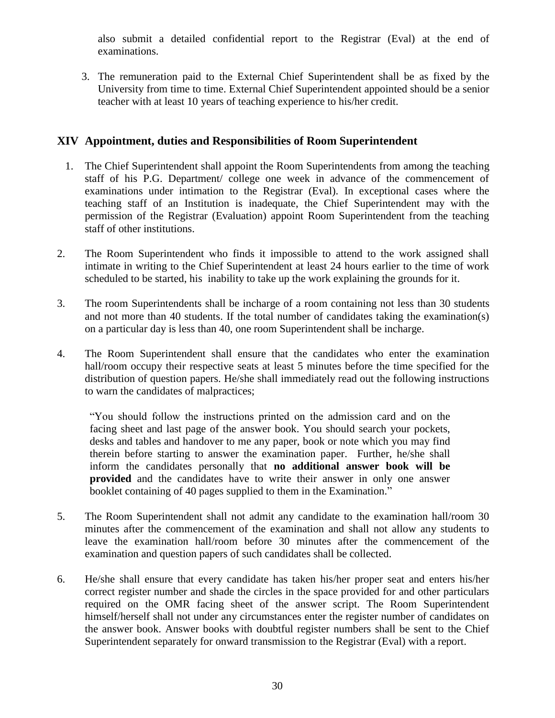also submit a detailed confidential report to the Registrar (Eval) at the end of examinations.

3. The remuneration paid to the External Chief Superintendent shall be as fixed by the University from time to time. External Chief Superintendent appointed should be a senior teacher with at least 10 years of teaching experience to his/her credit.

# **XIV Appointment, duties and Responsibilities of Room Superintendent**

- 1. The Chief Superintendent shall appoint the Room Superintendents from among the teaching staff of his P.G. Department/ college one week in advance of the commencement of examinations under intimation to the Registrar (Eval). In exceptional cases where the teaching staff of an Institution is inadequate, the Chief Superintendent may with the permission of the Registrar (Evaluation) appoint Room Superintendent from the teaching staff of other institutions.
- 2. The Room Superintendent who finds it impossible to attend to the work assigned shall intimate in writing to the Chief Superintendent at least 24 hours earlier to the time of work scheduled to be started, his inability to take up the work explaining the grounds for it.
- 3. The room Superintendents shall be incharge of a room containing not less than 30 students and not more than 40 students. If the total number of candidates taking the examination(s) on a particular day is less than 40, one room Superintendent shall be incharge.
- 4. The Room Superintendent shall ensure that the candidates who enter the examination hall/room occupy their respective seats at least 5 minutes before the time specified for the distribution of question papers. He/she shall immediately read out the following instructions to warn the candidates of malpractices;

"You should follow the instructions printed on the admission card and on the facing sheet and last page of the answer book. You should search your pockets, desks and tables and handover to me any paper, book or note which you may find therein before starting to answer the examination paper. Further, he/she shall inform the candidates personally that **no additional answer book will be provided** and the candidates have to write their answer in only one answer booklet containing of 40 pages supplied to them in the Examination."

- 5. The Room Superintendent shall not admit any candidate to the examination hall/room 30 minutes after the commencement of the examination and shall not allow any students to leave the examination hall/room before 30 minutes after the commencement of the examination and question papers of such candidates shall be collected.
- 6. He/she shall ensure that every candidate has taken his/her proper seat and enters his/her correct register number and shade the circles in the space provided for and other particulars required on the OMR facing sheet of the answer script. The Room Superintendent himself/herself shall not under any circumstances enter the register number of candidates on the answer book. Answer books with doubtful register numbers shall be sent to the Chief Superintendent separately for onward transmission to the Registrar (Eval) with a report.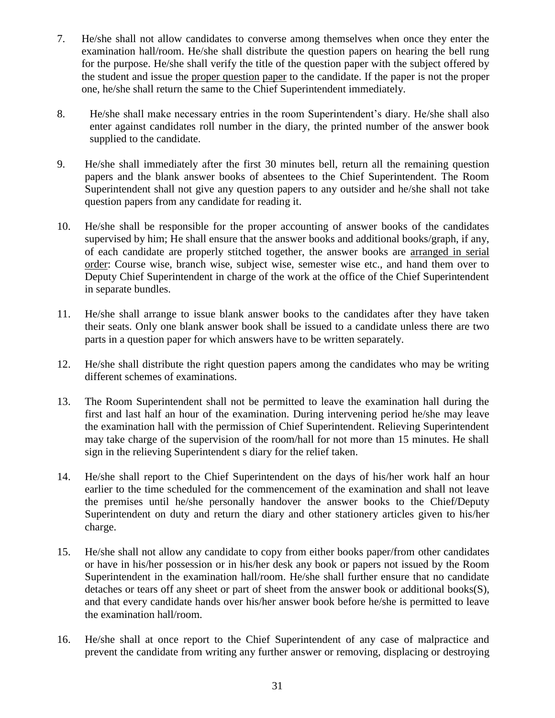- 7. He/she shall not allow candidates to converse among themselves when once they enter the examination hall/room. He/she shall distribute the question papers on hearing the bell rung for the purpose. He/she shall verify the title of the question paper with the subject offered by the student and issue the proper question paper to the candidate. If the paper is not the proper one, he/she shall return the same to the Chief Superintendent immediately.
- 8. He/she shall make necessary entries in the room Superintendent's diary. He/she shall also enter against candidates roll number in the diary, the printed number of the answer book supplied to the candidate.
- 9. He/she shall immediately after the first 30 minutes bell, return all the remaining question papers and the blank answer books of absentees to the Chief Superintendent. The Room Superintendent shall not give any question papers to any outsider and he/she shall not take question papers from any candidate for reading it.
- 10. He/she shall be responsible for the proper accounting of answer books of the candidates supervised by him; He shall ensure that the answer books and additional books/graph, if any, of each candidate are properly stitched together, the answer books are arranged in serial order: Course wise, branch wise, subject wise, semester wise etc., and hand them over to Deputy Chief Superintendent in charge of the work at the office of the Chief Superintendent in separate bundles.
- 11. He/she shall arrange to issue blank answer books to the candidates after they have taken their seats. Only one blank answer book shall be issued to a candidate unless there are two parts in a question paper for which answers have to be written separately.
- 12. He/she shall distribute the right question papers among the candidates who may be writing different schemes of examinations.
- 13. The Room Superintendent shall not be permitted to leave the examination hall during the first and last half an hour of the examination. During intervening period he/she may leave the examination hall with the permission of Chief Superintendent. Relieving Superintendent may take charge of the supervision of the room/hall for not more than 15 minutes. He shall sign in the relieving Superintendent s diary for the relief taken.
- 14. He/she shall report to the Chief Superintendent on the days of his/her work half an hour earlier to the time scheduled for the commencement of the examination and shall not leave the premises until he/she personally handover the answer books to the Chief/Deputy Superintendent on duty and return the diary and other stationery articles given to his/her charge.
- 15. He/she shall not allow any candidate to copy from either books paper/from other candidates or have in his/her possession or in his/her desk any book or papers not issued by the Room Superintendent in the examination hall/room. He/she shall further ensure that no candidate detaches or tears off any sheet or part of sheet from the answer book or additional books $(S)$ , and that every candidate hands over his/her answer book before he/she is permitted to leave the examination hall/room.
- 16. He/she shall at once report to the Chief Superintendent of any case of malpractice and prevent the candidate from writing any further answer or removing, displacing or destroying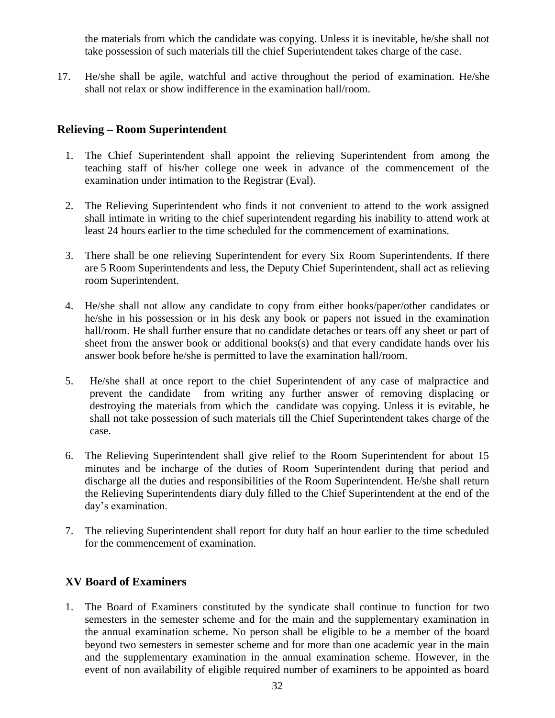the materials from which the candidate was copying. Unless it is inevitable, he/she shall not take possession of such materials till the chief Superintendent takes charge of the case.

17. He/she shall be agile, watchful and active throughout the period of examination. He/she shall not relax or show indifference in the examination hall/room.

# **Relieving – Room Superintendent**

- 1. The Chief Superintendent shall appoint the relieving Superintendent from among the teaching staff of his/her college one week in advance of the commencement of the examination under intimation to the Registrar (Eval).
- 2. The Relieving Superintendent who finds it not convenient to attend to the work assigned shall intimate in writing to the chief superintendent regarding his inability to attend work at least 24 hours earlier to the time scheduled for the commencement of examinations.
- 3. There shall be one relieving Superintendent for every Six Room Superintendents. If there are 5 Room Superintendents and less, the Deputy Chief Superintendent, shall act as relieving room Superintendent.
- 4. He/she shall not allow any candidate to copy from either books/paper/other candidates or he/she in his possession or in his desk any book or papers not issued in the examination hall/room. He shall further ensure that no candidate detaches or tears off any sheet or part of sheet from the answer book or additional books(s) and that every candidate hands over his answer book before he/she is permitted to lave the examination hall/room.
- 5. He/she shall at once report to the chief Superintendent of any case of malpractice and prevent the candidate from writing any further answer of removing displacing or destroying the materials from which the candidate was copying. Unless it is evitable, he shall not take possession of such materials till the Chief Superintendent takes charge of the case.
- 6. The Relieving Superintendent shall give relief to the Room Superintendent for about 15 minutes and be incharge of the duties of Room Superintendent during that period and discharge all the duties and responsibilities of the Room Superintendent. He/she shall return the Relieving Superintendents diary duly filled to the Chief Superintendent at the end of the day's examination.
- 7. The relieving Superintendent shall report for duty half an hour earlier to the time scheduled for the commencement of examination.

# **XV Board of Examiners**

1. The Board of Examiners constituted by the syndicate shall continue to function for two semesters in the semester scheme and for the main and the supplementary examination in the annual examination scheme. No person shall be eligible to be a member of the board beyond two semesters in semester scheme and for more than one academic year in the main and the supplementary examination in the annual examination scheme. However, in the event of non availability of eligible required number of examiners to be appointed as board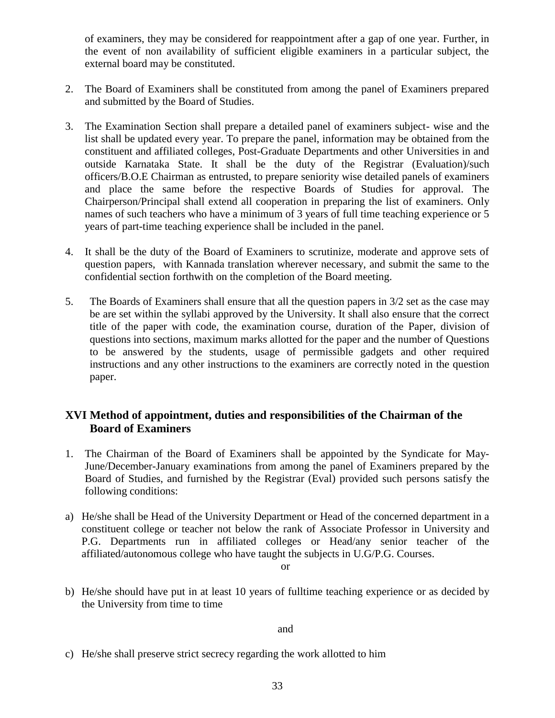of examiners, they may be considered for reappointment after a gap of one year. Further, in the event of non availability of sufficient eligible examiners in a particular subject, the external board may be constituted.

- 2. The Board of Examiners shall be constituted from among the panel of Examiners prepared and submitted by the Board of Studies.
- 3. The Examination Section shall prepare a detailed panel of examiners subject- wise and the list shall be updated every year. To prepare the panel, information may be obtained from the constituent and affiliated colleges, Post-Graduate Departments and other Universities in and outside Karnataka State. It shall be the duty of the Registrar (Evaluation)/such officers/B.O.E Chairman as entrusted, to prepare seniority wise detailed panels of examiners and place the same before the respective Boards of Studies for approval. The Chairperson/Principal shall extend all cooperation in preparing the list of examiners. Only names of such teachers who have a minimum of 3 years of full time teaching experience or 5 years of part-time teaching experience shall be included in the panel.
- 4. It shall be the duty of the Board of Examiners to scrutinize, moderate and approve sets of question papers, with Kannada translation wherever necessary, and submit the same to the confidential section forthwith on the completion of the Board meeting.
- 5. The Boards of Examiners shall ensure that all the question papers in 3/2 set as the case may be are set within the syllabi approved by the University. It shall also ensure that the correct title of the paper with code, the examination course, duration of the Paper, division of questions into sections, maximum marks allotted for the paper and the number of Questions to be answered by the students, usage of permissible gadgets and other required instructions and any other instructions to the examiners are correctly noted in the question paper.

# **XVI Method of appointment, duties and responsibilities of the Chairman of the Board of Examiners**

- 1. The Chairman of the Board of Examiners shall be appointed by the Syndicate for May-June/December-January examinations from among the panel of Examiners prepared by the Board of Studies, and furnished by the Registrar (Eval) provided such persons satisfy the following conditions:
- a) He/she shall be Head of the University Department or Head of the concerned department in a constituent college or teacher not below the rank of Associate Professor in University and P.G. Departments run in affiliated colleges or Head/any senior teacher of the affiliated/autonomous college who have taught the subjects in U.G/P.G. Courses.

or

b) He/she should have put in at least 10 years of fulltime teaching experience or as decided by the University from time to time

and

c) He/she shall preserve strict secrecy regarding the work allotted to him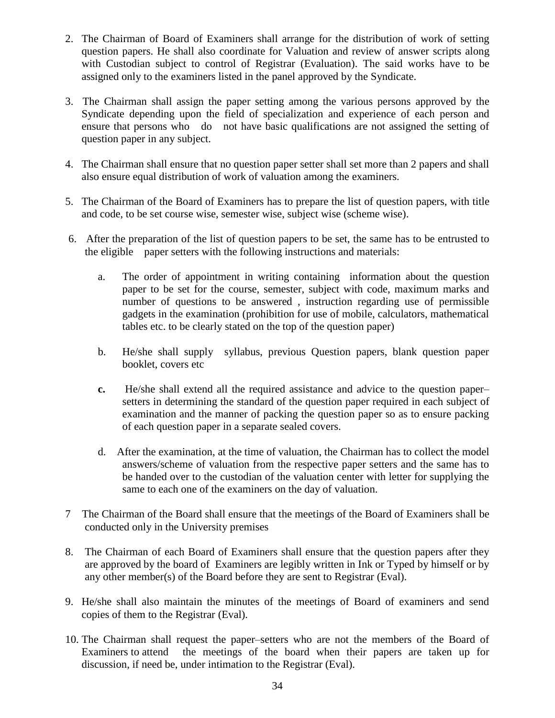- 2. The Chairman of Board of Examiners shall arrange for the distribution of work of setting question papers. He shall also coordinate for Valuation and review of answer scripts along with Custodian subject to control of Registrar (Evaluation). The said works have to be assigned only to the examiners listed in the panel approved by the Syndicate.
- 3. The Chairman shall assign the paper setting among the various persons approved by the Syndicate depending upon the field of specialization and experience of each person and ensure that persons who do not have basic qualifications are not assigned the setting of question paper in any subject.
- 4. The Chairman shall ensure that no question paper setter shall set more than 2 papers and shall also ensure equal distribution of work of valuation among the examiners.
- 5. The Chairman of the Board of Examiners has to prepare the list of question papers, with title and code, to be set course wise, semester wise, subject wise (scheme wise).
- 6. After the preparation of the list of question papers to be set, the same has to be entrusted to the eligible paper setters with the following instructions and materials:
	- a. The order of appointment in writing containing information about the question paper to be set for the course, semester, subject with code, maximum marks and number of questions to be answered , instruction regarding use of permissible gadgets in the examination (prohibition for use of mobile, calculators, mathematical tables etc. to be clearly stated on the top of the question paper)
	- b. He/she shall supply syllabus, previous Question papers, blank question paper booklet, covers etc
	- **c.** He/she shall extend all the required assistance and advice to the question paper– setters in determining the standard of the question paper required in each subject of examination and the manner of packing the question paper so as to ensure packing of each question paper in a separate sealed covers.
	- d. After the examination, at the time of valuation, the Chairman has to collect the model answers/scheme of valuation from the respective paper setters and the same has to be handed over to the custodian of the valuation center with letter for supplying the same to each one of the examiners on the day of valuation.
- 7 The Chairman of the Board shall ensure that the meetings of the Board of Examiners shall be conducted only in the University premises
- 8. The Chairman of each Board of Examiners shall ensure that the question papers after they are approved by the board of Examiners are legibly written in Ink or Typed by himself or by any other member(s) of the Board before they are sent to Registrar (Eval).
- 9. He/she shall also maintain the minutes of the meetings of Board of examiners and send copies of them to the Registrar (Eval).
- 10. The Chairman shall request the paper–setters who are not the members of the Board of Examiners to attend the meetings of the board when their papers are taken up for discussion, if need be, under intimation to the Registrar (Eval).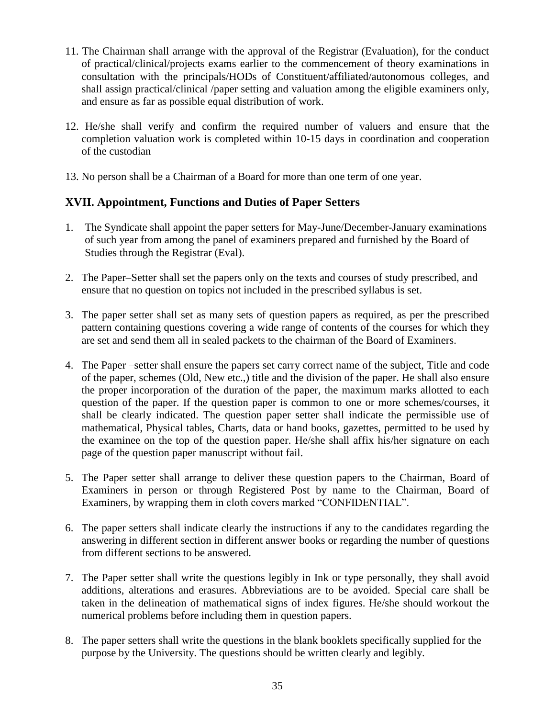- 11. The Chairman shall arrange with the approval of the Registrar (Evaluation), for the conduct of practical/clinical/projects exams earlier to the commencement of theory examinations in consultation with the principals/HODs of Constituent/affiliated/autonomous colleges, and shall assign practical/clinical /paper setting and valuation among the eligible examiners only, and ensure as far as possible equal distribution of work.
- 12. He/she shall verify and confirm the required number of valuers and ensure that the completion valuation work is completed within 10-15 days in coordination and cooperation of the custodian
- 13. No person shall be a Chairman of a Board for more than one term of one year.

#### **XVII. Appointment, Functions and Duties of Paper Setters**

- 1. The Syndicate shall appoint the paper setters for May-June/December-January examinations of such year from among the panel of examiners prepared and furnished by the Board of Studies through the Registrar (Eval).
- 2. The Paper–Setter shall set the papers only on the texts and courses of study prescribed, and ensure that no question on topics not included in the prescribed syllabus is set.
- 3. The paper setter shall set as many sets of question papers as required, as per the prescribed pattern containing questions covering a wide range of contents of the courses for which they are set and send them all in sealed packets to the chairman of the Board of Examiners.
- 4. The Paper –setter shall ensure the papers set carry correct name of the subject, Title and code of the paper, schemes (Old, New etc.,) title and the division of the paper. He shall also ensure the proper incorporation of the duration of the paper, the maximum marks allotted to each question of the paper. If the question paper is common to one or more schemes/courses, it shall be clearly indicated. The question paper setter shall indicate the permissible use of mathematical, Physical tables, Charts, data or hand books, gazettes, permitted to be used by the examinee on the top of the question paper. He/she shall affix his/her signature on each page of the question paper manuscript without fail.
- 5. The Paper setter shall arrange to deliver these question papers to the Chairman, Board of Examiners in person or through Registered Post by name to the Chairman, Board of Examiners, by wrapping them in cloth covers marked "CONFIDENTIAL".
- 6. The paper setters shall indicate clearly the instructions if any to the candidates regarding the answering in different section in different answer books or regarding the number of questions from different sections to be answered.
- 7. The Paper setter shall write the questions legibly in Ink or type personally, they shall avoid additions, alterations and erasures. Abbreviations are to be avoided. Special care shall be taken in the delineation of mathematical signs of index figures. He/she should workout the numerical problems before including them in question papers.
- 8. The paper setters shall write the questions in the blank booklets specifically supplied for the purpose by the University. The questions should be written clearly and legibly.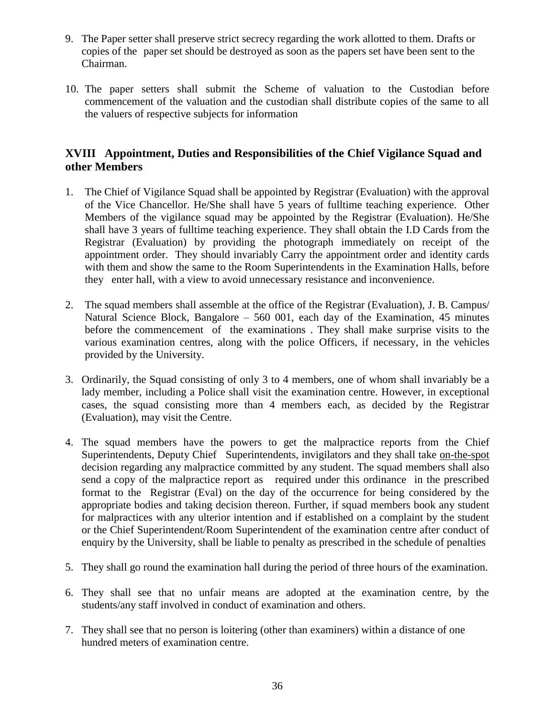- 9. The Paper setter shall preserve strict secrecy regarding the work allotted to them. Drafts or copies of the paper set should be destroyed as soon as the papers set have been sent to the Chairman.
- 10. The paper setters shall submit the Scheme of valuation to the Custodian before commencement of the valuation and the custodian shall distribute copies of the same to all the valuers of respective subjects for information

## **XVIII Appointment, Duties and Responsibilities of the Chief Vigilance Squad and other Members**

- 1. The Chief of Vigilance Squad shall be appointed by Registrar (Evaluation) with the approval of the Vice Chancellor. He/She shall have 5 years of fulltime teaching experience. Other Members of the vigilance squad may be appointed by the Registrar (Evaluation). He/She shall have 3 years of fulltime teaching experience. They shall obtain the I.D Cards from the Registrar (Evaluation) by providing the photograph immediately on receipt of the appointment order. They should invariably Carry the appointment order and identity cards with them and show the same to the Room Superintendents in the Examination Halls, before they enter hall, with a view to avoid unnecessary resistance and inconvenience.
- 2. The squad members shall assemble at the office of the Registrar (Evaluation), J. B. Campus/ Natural Science Block, Bangalore – 560 001, each day of the Examination, 45 minutes before the commencement of the examinations . They shall make surprise visits to the various examination centres, along with the police Officers, if necessary, in the vehicles provided by the University.
- 3. Ordinarily, the Squad consisting of only 3 to 4 members, one of whom shall invariably be a lady member, including a Police shall visit the examination centre. However, in exceptional cases, the squad consisting more than 4 members each, as decided by the Registrar (Evaluation), may visit the Centre.
- 4. The squad members have the powers to get the malpractice reports from the Chief Superintendents, Deputy Chief Superintendents, invigilators and they shall take on-the-spot decision regarding any malpractice committed by any student. The squad members shall also send a copy of the malpractice report as required under this ordinance in the prescribed format to the Registrar (Eval) on the day of the occurrence for being considered by the appropriate bodies and taking decision thereon. Further, if squad members book any student for malpractices with any ulterior intention and if established on a complaint by the student or the Chief Superintendent/Room Superintendent of the examination centre after conduct of enquiry by the University, shall be liable to penalty as prescribed in the schedule of penalties
- 5. They shall go round the examination hall during the period of three hours of the examination.
- 6. They shall see that no unfair means are adopted at the examination centre, by the students/any staff involved in conduct of examination and others.
- 7. They shall see that no person is loitering (other than examiners) within a distance of one hundred meters of examination centre.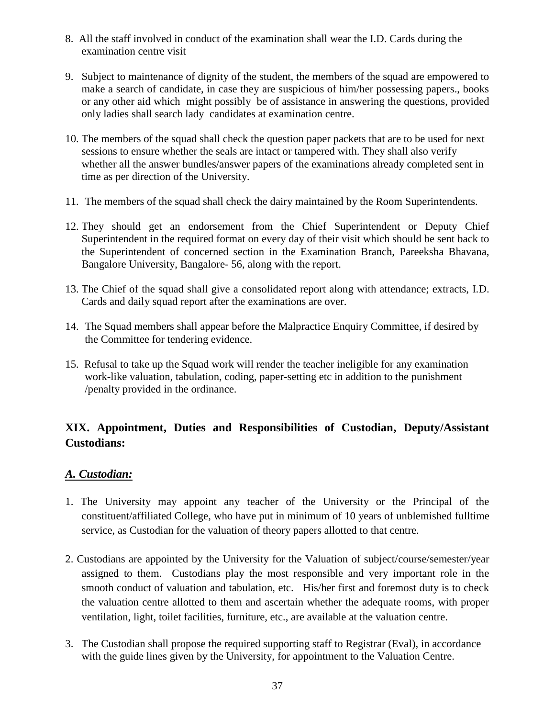- 8. All the staff involved in conduct of the examination shall wear the I.D. Cards during the examination centre visit
- 9. Subject to maintenance of dignity of the student, the members of the squad are empowered to make a search of candidate, in case they are suspicious of him/her possessing papers., books or any other aid which might possibly be of assistance in answering the questions, provided only ladies shall search lady candidates at examination centre.
- 10. The members of the squad shall check the question paper packets that are to be used for next sessions to ensure whether the seals are intact or tampered with. They shall also verify whether all the answer bundles/answer papers of the examinations already completed sent in time as per direction of the University.
- 11. The members of the squad shall check the dairy maintained by the Room Superintendents.
- 12. They should get an endorsement from the Chief Superintendent or Deputy Chief Superintendent in the required format on every day of their visit which should be sent back to the Superintendent of concerned section in the Examination Branch, Pareeksha Bhavana, Bangalore University, Bangalore- 56, along with the report.
- 13. The Chief of the squad shall give a consolidated report along with attendance; extracts, I.D. Cards and daily squad report after the examinations are over.
- 14. The Squad members shall appear before the Malpractice Enquiry Committee, if desired by the Committee for tendering evidence.
- 15. Refusal to take up the Squad work will render the teacher ineligible for any examination work-like valuation, tabulation, coding, paper-setting etc in addition to the punishment /penalty provided in the ordinance.

# **XIX. Appointment, Duties and Responsibilities of Custodian, Deputy/Assistant Custodians:**

# *A. Custodian:*

- 1. The University may appoint any teacher of the University or the Principal of the constituent/affiliated College, who have put in minimum of 10 years of unblemished fulltime service, as Custodian for the valuation of theory papers allotted to that centre.
- 2. Custodians are appointed by the University for the Valuation of subject/course/semester/year assigned to them. Custodians play the most responsible and very important role in the smooth conduct of valuation and tabulation, etc. His/her first and foremost duty is to check the valuation centre allotted to them and ascertain whether the adequate rooms, with proper ventilation, light, toilet facilities, furniture, etc., are available at the valuation centre.
- 3. The Custodian shall propose the required supporting staff to Registrar (Eval), in accordance with the guide lines given by the University, for appointment to the Valuation Centre.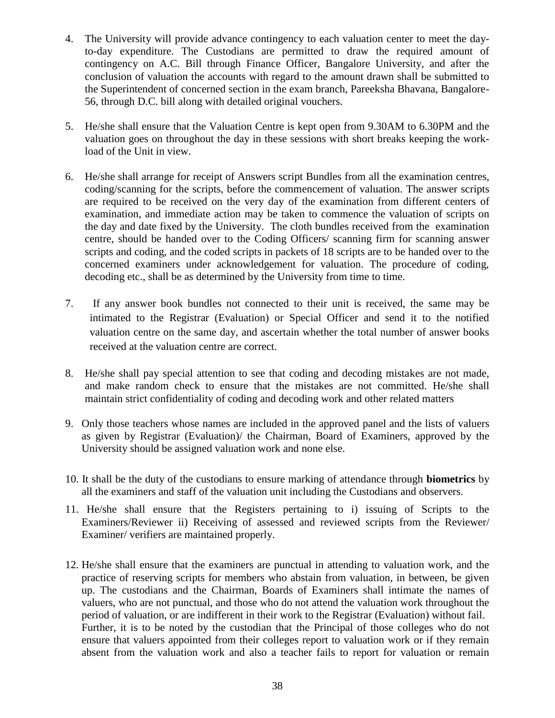- 4. The University will provide advance contingency to each valuation center to meet the dayto-day expenditure. The Custodians are permitted to draw the required amount of contingency on A.C. Bill through Finance Officer, Bangalore University, and after the conclusion of valuation the accounts with regard to the amount drawn shall be submitted to the Superintendent of concerned section in the exam branch, Pareeksha Bhavana, Bangalore-56, through D.C. bill along with detailed original vouchers.
- 5. He/she shall ensure that the Valuation Centre is kept open from 9.30AM to 6.30PM and the valuation goes on throughout the day in these sessions with short breaks keeping the workload of the Unit in view.
- 6. He/she shall arrange for receipt of Answers script Bundles from all the examination centres, coding/scanning for the scripts, before the commencement of valuation. The answer scripts are required to be received on the very day of the examination from different centers of examination, and immediate action may be taken to commence the valuation of scripts on the day and date fixed by the University. The cloth bundles received from the examination centre, should be handed over to the Coding Officers/ scanning firm for scanning answer scripts and coding, and the coded scripts in packets of 18 scripts are to be handed over to the concerned examiners under acknowledgement for valuation. The procedure of coding, decoding etc., shall be as determined by the University from time to time.
- 7. If any answer book bundles not connected to their unit is received, the same may be intimated to the Registrar (Evaluation) or Special Officer and send it to the notified valuation centre on the same day, and ascertain whether the total number of answer books received at the valuation centre are correct.
- 8. He/she shall pay special attention to see that coding and decoding mistakes are not made, and make random check to ensure that the mistakes are not committed. He/she shall maintain strict confidentiality of coding and decoding work and other related matters
- 9. Only those teachers whose names are included in the approved panel and the lists of valuers as given by Registrar (Evaluation)/ the Chairman, Board of Examiners, approved by the University should be assigned valuation work and none else.
- 10. It shall be the duty of the custodians to ensure marking of attendance through **biometrics** by all the examiners and staff of the valuation unit including the Custodians and observers.
- 11. He/she shall ensure that the Registers pertaining to i) issuing of Scripts to the Examiners/Reviewer ii) Receiving of assessed and reviewed scripts from the Reviewer/ Examiner/ verifiers are maintained properly.
- 12. He/she shall ensure that the examiners are punctual in attending to valuation work, and the practice of reserving scripts for members who abstain from valuation, in between, be given up. The custodians and the Chairman, Boards of Examiners shall intimate the names of valuers, who are not punctual, and those who do not attend the valuation work throughout the period of valuation, or are indifferent in their work to the Registrar (Evaluation) without fail. Further, it is to be noted by the custodian that the Principal of those colleges who do not ensure that valuers appointed from their colleges report to valuation work or if they remain absent from the valuation work and also a teacher fails to report for valuation or remain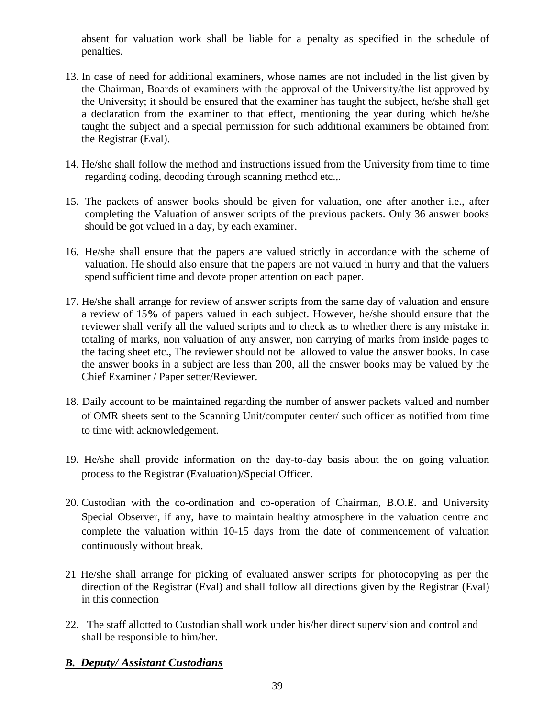absent for valuation work shall be liable for a penalty as specified in the schedule of penalties.

- 13. In case of need for additional examiners, whose names are not included in the list given by the Chairman, Boards of examiners with the approval of the University/the list approved by the University; it should be ensured that the examiner has taught the subject, he/she shall get a declaration from the examiner to that effect, mentioning the year during which he/she taught the subject and a special permission for such additional examiners be obtained from the Registrar (Eval).
- 14. He/she shall follow the method and instructions issued from the University from time to time regarding coding, decoding through scanning method etc...
- 15. The packets of answer books should be given for valuation, one after another i.e., after completing the Valuation of answer scripts of the previous packets. Only 36 answer books should be got valued in a day, by each examiner.
- 16. He/she shall ensure that the papers are valued strictly in accordance with the scheme of valuation. He should also ensure that the papers are not valued in hurry and that the valuers spend sufficient time and devote proper attention on each paper.
- 17. He/she shall arrange for review of answer scripts from the same day of valuation and ensure a review of 15**%** of papers valued in each subject. However, he/she should ensure that the reviewer shall verify all the valued scripts and to check as to whether there is any mistake in totaling of marks, non valuation of any answer, non carrying of marks from inside pages to the facing sheet etc., The reviewer should not be allowed to value the answer books. In case the answer books in a subject are less than 200, all the answer books may be valued by the Chief Examiner / Paper setter/Reviewer.
- 18. Daily account to be maintained regarding the number of answer packets valued and number of OMR sheets sent to the Scanning Unit/computer center/ such officer as notified from time to time with acknowledgement.
- 19. He/she shall provide information on the day-to-day basis about the on going valuation process to the Registrar (Evaluation)/Special Officer.
- 20. Custodian with the co-ordination and co-operation of Chairman, B.O.E. and University Special Observer, if any, have to maintain healthy atmosphere in the valuation centre and complete the valuation within 10-15 days from the date of commencement of valuation continuously without break.
- 21 He/she shall arrange for picking of evaluated answer scripts for photocopying as per the direction of the Registrar (Eval) and shall follow all directions given by the Registrar (Eval) in this connection
- 22. The staff allotted to Custodian shall work under his/her direct supervision and control and shall be responsible to him/her.

# *B. Deputy/ Assistant Custodians*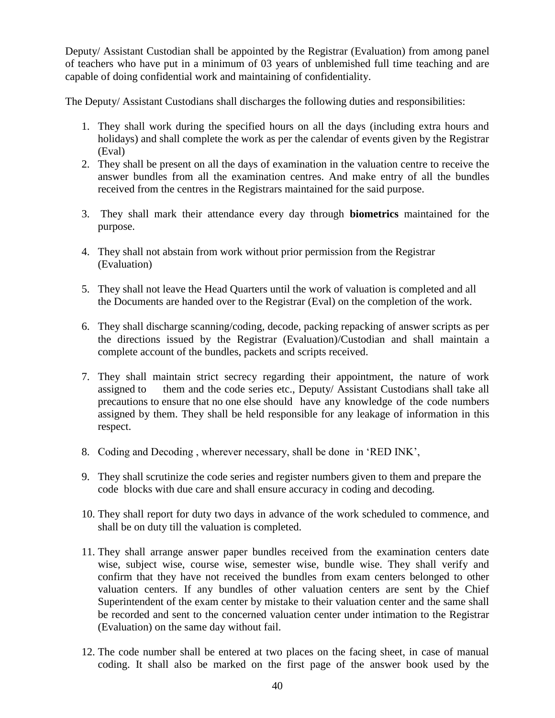Deputy/ Assistant Custodian shall be appointed by the Registrar (Evaluation) from among panel of teachers who have put in a minimum of 03 years of unblemished full time teaching and are capable of doing confidential work and maintaining of confidentiality.

The Deputy/ Assistant Custodians shall discharges the following duties and responsibilities:

- 1. They shall work during the specified hours on all the days (including extra hours and holidays) and shall complete the work as per the calendar of events given by the Registrar (Eval)
- 2. They shall be present on all the days of examination in the valuation centre to receive the answer bundles from all the examination centres. And make entry of all the bundles received from the centres in the Registrars maintained for the said purpose.
- 3. They shall mark their attendance every day through **biometrics** maintained for the purpose.
- 4. They shall not abstain from work without prior permission from the Registrar (Evaluation)
- 5. They shall not leave the Head Quarters until the work of valuation is completed and all the Documents are handed over to the Registrar (Eval) on the completion of the work.
- 6. They shall discharge scanning/coding, decode, packing repacking of answer scripts as per the directions issued by the Registrar (Evaluation)/Custodian and shall maintain a complete account of the bundles, packets and scripts received.
- 7. They shall maintain strict secrecy regarding their appointment, the nature of work assigned to them and the code series etc., Deputy/ Assistant Custodians shall take all precautions to ensure that no one else should have any knowledge of the code numbers assigned by them. They shall be held responsible for any leakage of information in this respect.
- 8. Coding and Decoding , wherever necessary, shall be done in 'RED INK',
- 9. They shall scrutinize the code series and register numbers given to them and prepare the code blocks with due care and shall ensure accuracy in coding and decoding.
- 10. They shall report for duty two days in advance of the work scheduled to commence, and shall be on duty till the valuation is completed.
- 11. They shall arrange answer paper bundles received from the examination centers date wise, subject wise, course wise, semester wise, bundle wise. They shall verify and confirm that they have not received the bundles from exam centers belonged to other valuation centers. If any bundles of other valuation centers are sent by the Chief Superintendent of the exam center by mistake to their valuation center and the same shall be recorded and sent to the concerned valuation center under intimation to the Registrar (Evaluation) on the same day without fail.
- 12. The code number shall be entered at two places on the facing sheet, in case of manual coding. It shall also be marked on the first page of the answer book used by the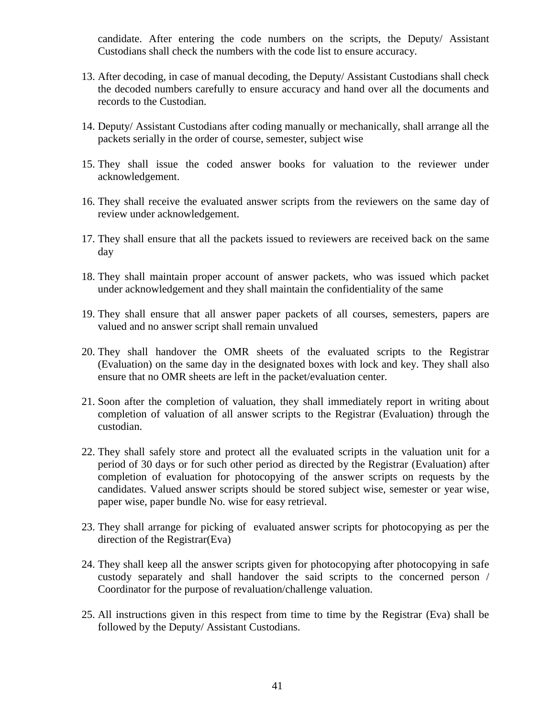candidate. After entering the code numbers on the scripts, the Deputy/ Assistant Custodians shall check the numbers with the code list to ensure accuracy.

- 13. After decoding, in case of manual decoding, the Deputy/ Assistant Custodians shall check the decoded numbers carefully to ensure accuracy and hand over all the documents and records to the Custodian.
- 14. Deputy/ Assistant Custodians after coding manually or mechanically, shall arrange all the packets serially in the order of course, semester, subject wise
- 15. They shall issue the coded answer books for valuation to the reviewer under acknowledgement.
- 16. They shall receive the evaluated answer scripts from the reviewers on the same day of review under acknowledgement.
- 17. They shall ensure that all the packets issued to reviewers are received back on the same day
- 18. They shall maintain proper account of answer packets, who was issued which packet under acknowledgement and they shall maintain the confidentiality of the same
- 19. They shall ensure that all answer paper packets of all courses, semesters, papers are valued and no answer script shall remain unvalued
- 20. They shall handover the OMR sheets of the evaluated scripts to the Registrar (Evaluation) on the same day in the designated boxes with lock and key. They shall also ensure that no OMR sheets are left in the packet/evaluation center.
- 21. Soon after the completion of valuation, they shall immediately report in writing about completion of valuation of all answer scripts to the Registrar (Evaluation) through the custodian.
- 22. They shall safely store and protect all the evaluated scripts in the valuation unit for a period of 30 days or for such other period as directed by the Registrar (Evaluation) after completion of evaluation for photocopying of the answer scripts on requests by the candidates. Valued answer scripts should be stored subject wise, semester or year wise, paper wise, paper bundle No. wise for easy retrieval.
- 23. They shall arrange for picking of evaluated answer scripts for photocopying as per the direction of the Registrar(Eva)
- 24. They shall keep all the answer scripts given for photocopying after photocopying in safe custody separately and shall handover the said scripts to the concerned person / Coordinator for the purpose of revaluation/challenge valuation.
- 25. All instructions given in this respect from time to time by the Registrar (Eva) shall be followed by the Deputy/ Assistant Custodians.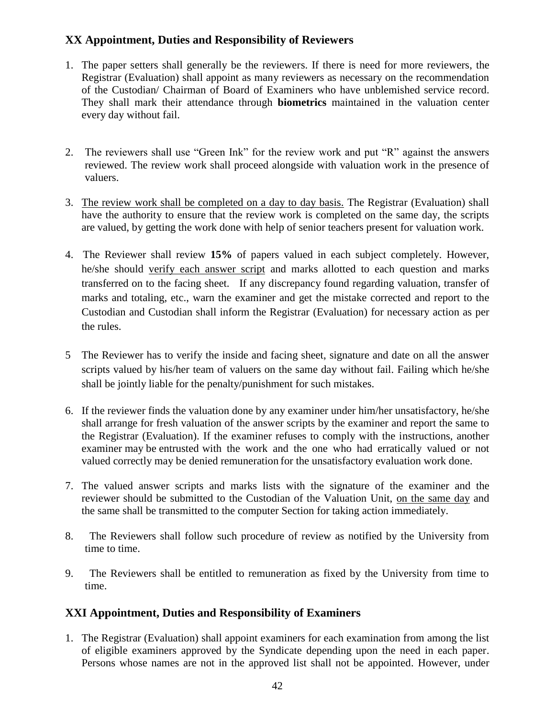# **XX Appointment, Duties and Responsibility of Reviewers**

- 1. The paper setters shall generally be the reviewers. If there is need for more reviewers, the Registrar (Evaluation) shall appoint as many reviewers as necessary on the recommendation of the Custodian/ Chairman of Board of Examiners who have unblemished service record. They shall mark their attendance through **biometrics** maintained in the valuation center every day without fail.
- 2. The reviewers shall use "Green Ink" for the review work and put "R" against the answers reviewed. The review work shall proceed alongside with valuation work in the presence of valuers.
- 3. The review work shall be completed on a day to day basis. The Registrar (Evaluation) shall have the authority to ensure that the review work is completed on the same day, the scripts are valued, by getting the work done with help of senior teachers present for valuation work.
- 4. The Reviewer shall review **15%** of papers valued in each subject completely. However, he/she should verify each answer script and marks allotted to each question and marks transferred on to the facing sheet. If any discrepancy found regarding valuation, transfer of marks and totaling, etc., warn the examiner and get the mistake corrected and report to the Custodian and Custodian shall inform the Registrar (Evaluation) for necessary action as per the rules.
- 5 The Reviewer has to verify the inside and facing sheet, signature and date on all the answer scripts valued by his/her team of valuers on the same day without fail. Failing which he/she shall be jointly liable for the penalty/punishment for such mistakes.
- 6. If the reviewer finds the valuation done by any examiner under him/her unsatisfactory, he/she shall arrange for fresh valuation of the answer scripts by the examiner and report the same to the Registrar (Evaluation). If the examiner refuses to comply with the instructions, another examiner may be entrusted with the work and the one who had erratically valued or not valued correctly may be denied remuneration for the unsatisfactory evaluation work done.
- 7. The valued answer scripts and marks lists with the signature of the examiner and the reviewer should be submitted to the Custodian of the Valuation Unit, on the same day and the same shall be transmitted to the computer Section for taking action immediately.
- 8. The Reviewers shall follow such procedure of review as notified by the University from time to time.
- 9. The Reviewers shall be entitled to remuneration as fixed by the University from time to time.

# **XXI Appointment, Duties and Responsibility of Examiners**

1. The Registrar (Evaluation) shall appoint examiners for each examination from among the list of eligible examiners approved by the Syndicate depending upon the need in each paper. Persons whose names are not in the approved list shall not be appointed. However, under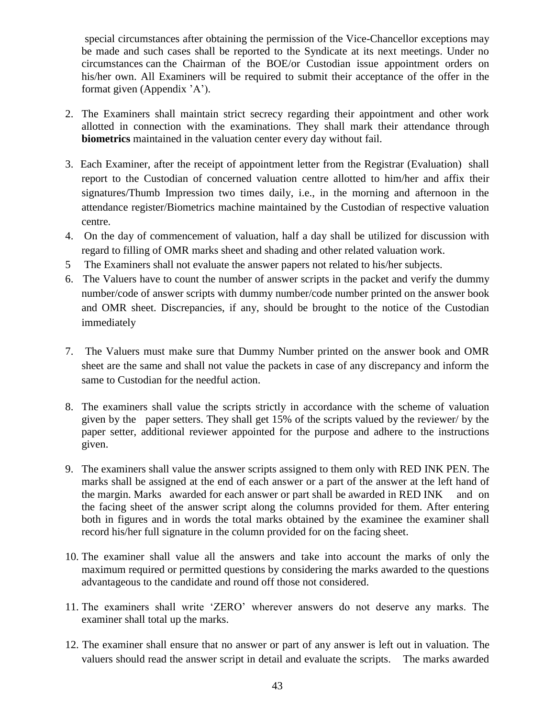special circumstances after obtaining the permission of the Vice-Chancellor exceptions may be made and such cases shall be reported to the Syndicate at its next meetings. Under no circumstances can the Chairman of the BOE/or Custodian issue appointment orders on his/her own. All Examiners will be required to submit their acceptance of the offer in the format given (Appendix 'A').

- 2. The Examiners shall maintain strict secrecy regarding their appointment and other work allotted in connection with the examinations. They shall mark their attendance through **biometrics** maintained in the valuation center every day without fail.
- 3. Each Examiner, after the receipt of appointment letter from the Registrar (Evaluation) shall report to the Custodian of concerned valuation centre allotted to him/her and affix their signatures/Thumb Impression two times daily, i.e., in the morning and afternoon in the attendance register/Biometrics machine maintained by the Custodian of respective valuation centre.
- 4. On the day of commencement of valuation, half a day shall be utilized for discussion with regard to filling of OMR marks sheet and shading and other related valuation work.
- 5 The Examiners shall not evaluate the answer papers not related to his/her subjects.
- 6. The Valuers have to count the number of answer scripts in the packet and verify the dummy number/code of answer scripts with dummy number/code number printed on the answer book and OMR sheet. Discrepancies, if any, should be brought to the notice of the Custodian immediately
- 7. The Valuers must make sure that Dummy Number printed on the answer book and OMR sheet are the same and shall not value the packets in case of any discrepancy and inform the same to Custodian for the needful action.
- 8. The examiners shall value the scripts strictly in accordance with the scheme of valuation given by the paper setters. They shall get 15% of the scripts valued by the reviewer/ by the paper setter, additional reviewer appointed for the purpose and adhere to the instructions given.
- 9. The examiners shall value the answer scripts assigned to them only with RED INK PEN. The marks shall be assigned at the end of each answer or a part of the answer at the left hand of the margin. Marks awarded for each answer or part shall be awarded in RED INK and on the facing sheet of the answer script along the columns provided for them. After entering both in figures and in words the total marks obtained by the examinee the examiner shall record his/her full signature in the column provided for on the facing sheet.
- 10. The examiner shall value all the answers and take into account the marks of only the maximum required or permitted questions by considering the marks awarded to the questions advantageous to the candidate and round off those not considered.
- 11. The examiners shall write 'ZERO' wherever answers do not deserve any marks. The examiner shall total up the marks.
- 12. The examiner shall ensure that no answer or part of any answer is left out in valuation. The valuers should read the answer script in detail and evaluate the scripts. The marks awarded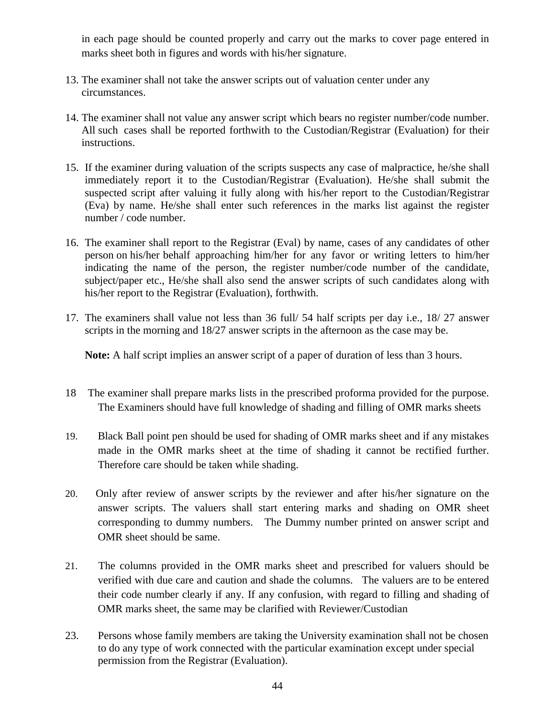in each page should be counted properly and carry out the marks to cover page entered in marks sheet both in figures and words with his/her signature.

- 13. The examiner shall not take the answer scripts out of valuation center under any circumstances.
- 14. The examiner shall not value any answer script which bears no register number/code number. All such cases shall be reported forthwith to the Custodian/Registrar (Evaluation) for their instructions.
- 15. If the examiner during valuation of the scripts suspects any case of malpractice, he/she shall immediately report it to the Custodian/Registrar (Evaluation). He/she shall submit the suspected script after valuing it fully along with his/her report to the Custodian/Registrar (Eva) by name. He/she shall enter such references in the marks list against the register number / code number.
- 16. The examiner shall report to the Registrar (Eval) by name, cases of any candidates of other person on his/her behalf approaching him/her for any favor or writing letters to him/her indicating the name of the person, the register number/code number of the candidate, subject/paper etc., He/she shall also send the answer scripts of such candidates along with his/her report to the Registrar (Evaluation), forthwith.
- 17. The examiners shall value not less than 36 full/ 54 half scripts per day i.e., 18/ 27 answer scripts in the morning and 18/27 answer scripts in the afternoon as the case may be.

**Note:** A half script implies an answer script of a paper of duration of less than 3 hours.

- 18 The examiner shall prepare marks lists in the prescribed proforma provided for the purpose. The Examiners should have full knowledge of shading and filling of OMR marks sheets
- 19. Black Ball point pen should be used for shading of OMR marks sheet and if any mistakes made in the OMR marks sheet at the time of shading it cannot be rectified further. Therefore care should be taken while shading.
- 20. Only after review of answer scripts by the reviewer and after his/her signature on the answer scripts. The valuers shall start entering marks and shading on OMR sheet corresponding to dummy numbers. The Dummy number printed on answer script and OMR sheet should be same.
- 21. The columns provided in the OMR marks sheet and prescribed for valuers should be verified with due care and caution and shade the columns. The valuers are to be entered their code number clearly if any. If any confusion, with regard to filling and shading of OMR marks sheet, the same may be clarified with Reviewer/Custodian
- 23. Persons whose family members are taking the University examination shall not be chosen to do any type of work connected with the particular examination except under special permission from the Registrar (Evaluation).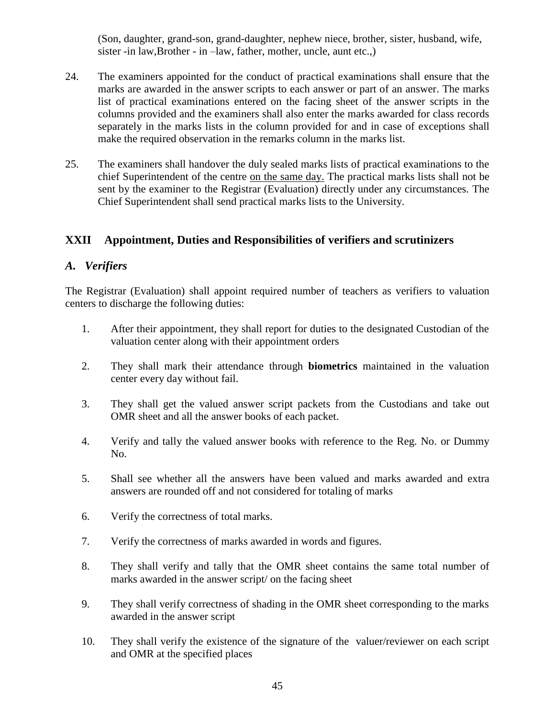(Son, daughter, grand-son, grand-daughter, nephew niece, brother, sister, husband, wife, sister -in law,Brother - in –law, father, mother, uncle, aunt etc.,)

- 24. The examiners appointed for the conduct of practical examinations shall ensure that the marks are awarded in the answer scripts to each answer or part of an answer. The marks list of practical examinations entered on the facing sheet of the answer scripts in the columns provided and the examiners shall also enter the marks awarded for class records separately in the marks lists in the column provided for and in case of exceptions shall make the required observation in the remarks column in the marks list.
- 25. The examiners shall handover the duly sealed marks lists of practical examinations to the chief Superintendent of the centre on the same day. The practical marks lists shall not be sent by the examiner to the Registrar (Evaluation) directly under any circumstances. The Chief Superintendent shall send practical marks lists to the University.

# **XXII Appointment, Duties and Responsibilities of verifiers and scrutinizers**

#### *A. Verifiers*

The Registrar (Evaluation) shall appoint required number of teachers as verifiers to valuation centers to discharge the following duties:

- 1. After their appointment, they shall report for duties to the designated Custodian of the valuation center along with their appointment orders
- 2. They shall mark their attendance through **biometrics** maintained in the valuation center every day without fail.
- 3. They shall get the valued answer script packets from the Custodians and take out OMR sheet and all the answer books of each packet.
- 4. Verify and tally the valued answer books with reference to the Reg. No. or Dummy No.
- 5. Shall see whether all the answers have been valued and marks awarded and extra answers are rounded off and not considered for totaling of marks
- 6. Verify the correctness of total marks.
- 7. Verify the correctness of marks awarded in words and figures.
- 8. They shall verify and tally that the OMR sheet contains the same total number of marks awarded in the answer script/ on the facing sheet
- 9. They shall verify correctness of shading in the OMR sheet corresponding to the marks awarded in the answer script
- 10. They shall verify the existence of the signature of the valuer/reviewer on each script and OMR at the specified places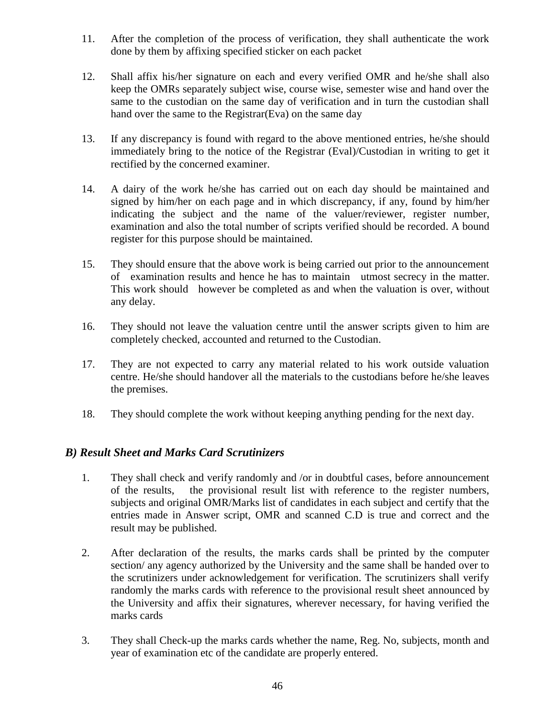- 11. After the completion of the process of verification, they shall authenticate the work done by them by affixing specified sticker on each packet
- 12. Shall affix his/her signature on each and every verified OMR and he/she shall also keep the OMRs separately subject wise, course wise, semester wise and hand over the same to the custodian on the same day of verification and in turn the custodian shall hand over the same to the Registrar(Eva) on the same day
- 13. If any discrepancy is found with regard to the above mentioned entries, he/she should immediately bring to the notice of the Registrar (Eval)/Custodian in writing to get it rectified by the concerned examiner.
- 14. A dairy of the work he/she has carried out on each day should be maintained and signed by him/her on each page and in which discrepancy, if any, found by him/her indicating the subject and the name of the valuer/reviewer, register number, examination and also the total number of scripts verified should be recorded. A bound register for this purpose should be maintained.
- 15. They should ensure that the above work is being carried out prior to the announcement of examination results and hence he has to maintain utmost secrecy in the matter. This work should however be completed as and when the valuation is over, without any delay.
- 16. They should not leave the valuation centre until the answer scripts given to him are completely checked, accounted and returned to the Custodian.
- 17. They are not expected to carry any material related to his work outside valuation centre. He/she should handover all the materials to the custodians before he/she leaves the premises.
- 18. They should complete the work without keeping anything pending for the next day.

#### *B) Result Sheet and Marks Card Scrutinizers*

- 1. They shall check and verify randomly and /or in doubtful cases, before announcement of the results, the provisional result list with reference to the register numbers, subjects and original OMR/Marks list of candidates in each subject and certify that the entries made in Answer script, OMR and scanned C.D is true and correct and the result may be published.
- 2. After declaration of the results, the marks cards shall be printed by the computer section/ any agency authorized by the University and the same shall be handed over to the scrutinizers under acknowledgement for verification. The scrutinizers shall verify randomly the marks cards with reference to the provisional result sheet announced by the University and affix their signatures, wherever necessary, for having verified the marks cards
- 3. They shall Check-up the marks cards whether the name, Reg. No, subjects, month and year of examination etc of the candidate are properly entered.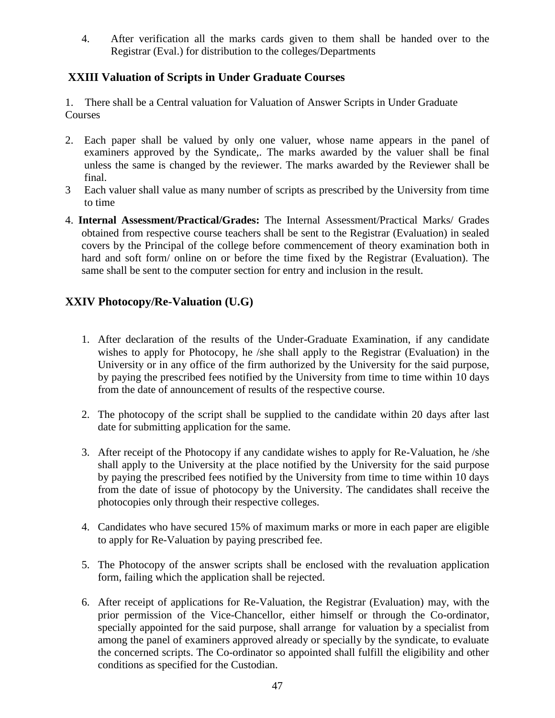4. After verification all the marks cards given to them shall be handed over to the Registrar (Eval.) for distribution to the colleges/Departments

# **XXIII Valuation of Scripts in Under Graduate Courses**

1. There shall be a Central valuation for Valuation of Answer Scripts in Under Graduate **Courses** 

- 2. Each paper shall be valued by only one valuer, whose name appears in the panel of examiners approved by the Syndicate,. The marks awarded by the valuer shall be final unless the same is changed by the reviewer. The marks awarded by the Reviewer shall be final.
- 3 Each valuer shall value as many number of scripts as prescribed by the University from time to time
- 4. **Internal Assessment/Practical/Grades:** The Internal Assessment/Practical Marks/ Grades obtained from respective course teachers shall be sent to the Registrar (Evaluation) in sealed covers by the Principal of the college before commencement of theory examination both in hard and soft form/ online on or before the time fixed by the Registrar (Evaluation). The same shall be sent to the computer section for entry and inclusion in the result.

# **XXIV Photocopy/Re-Valuation (U.G)**

- 1. After declaration of the results of the Under-Graduate Examination, if any candidate wishes to apply for Photocopy, he /she shall apply to the Registrar (Evaluation) in the University or in any office of the firm authorized by the University for the said purpose, by paying the prescribed fees notified by the University from time to time within 10 days from the date of announcement of results of the respective course.
- 2. The photocopy of the script shall be supplied to the candidate within 20 days after last date for submitting application for the same.
- 3. After receipt of the Photocopy if any candidate wishes to apply for Re-Valuation, he /she shall apply to the University at the place notified by the University for the said purpose by paying the prescribed fees notified by the University from time to time within 10 days from the date of issue of photocopy by the University. The candidates shall receive the photocopies only through their respective colleges.
- 4. Candidates who have secured 15% of maximum marks or more in each paper are eligible to apply for Re-Valuation by paying prescribed fee.
- 5. The Photocopy of the answer scripts shall be enclosed with the revaluation application form, failing which the application shall be rejected.
- 6. After receipt of applications for Re-Valuation, the Registrar (Evaluation) may, with the prior permission of the Vice-Chancellor, either himself or through the Co-ordinator, specially appointed for the said purpose, shall arrange for valuation by a specialist from among the panel of examiners approved already or specially by the syndicate, to evaluate the concerned scripts. The Co-ordinator so appointed shall fulfill the eligibility and other conditions as specified for the Custodian.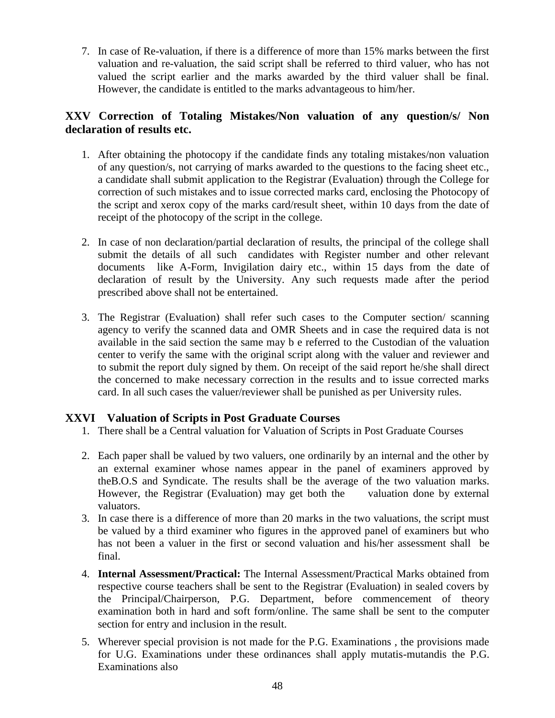7. In case of Re-valuation, if there is a difference of more than 15% marks between the first valuation and re-valuation, the said script shall be referred to third valuer, who has not valued the script earlier and the marks awarded by the third valuer shall be final. However, the candidate is entitled to the marks advantageous to him/her.

## **XXV Correction of Totaling Mistakes/Non valuation of any question/s/ Non declaration of results etc.**

- 1. After obtaining the photocopy if the candidate finds any totaling mistakes/non valuation of any question/s, not carrying of marks awarded to the questions to the facing sheet etc., a candidate shall submit application to the Registrar (Evaluation) through the College for correction of such mistakes and to issue corrected marks card, enclosing the Photocopy of the script and xerox copy of the marks card/result sheet, within 10 days from the date of receipt of the photocopy of the script in the college.
- 2. In case of non declaration/partial declaration of results, the principal of the college shall submit the details of all such candidates with Register number and other relevant documents like A-Form, Invigilation dairy etc., within 15 days from the date of declaration of result by the University. Any such requests made after the period prescribed above shall not be entertained.
- 3. The Registrar (Evaluation) shall refer such cases to the Computer section/ scanning agency to verify the scanned data and OMR Sheets and in case the required data is not available in the said section the same may b e referred to the Custodian of the valuation center to verify the same with the original script along with the valuer and reviewer and to submit the report duly signed by them. On receipt of the said report he/she shall direct the concerned to make necessary correction in the results and to issue corrected marks card. In all such cases the valuer/reviewer shall be punished as per University rules.

# **XXVI Valuation of Scripts in Post Graduate Courses**

- 1. There shall be a Central valuation for Valuation of Scripts in Post Graduate Courses
- 2. Each paper shall be valued by two valuers, one ordinarily by an internal and the other by an external examiner whose names appear in the panel of examiners approved by theB.O.S and Syndicate. The results shall be the average of the two valuation marks. However, the Registrar (Evaluation) may get both the valuation done by external valuators.
- 3. In case there is a difference of more than 20 marks in the two valuations, the script must be valued by a third examiner who figures in the approved panel of examiners but who has not been a valuer in the first or second valuation and his/her assessment shall be final.
- 4. **Internal Assessment/Practical:** The Internal Assessment/Practical Marks obtained from respective course teachers shall be sent to the Registrar (Evaluation) in sealed covers by the Principal/Chairperson, P.G. Department, before commencement of theory examination both in hard and soft form/online. The same shall be sent to the computer section for entry and inclusion in the result.
- 5. Wherever special provision is not made for the P.G. Examinations , the provisions made for U.G. Examinations under these ordinances shall apply mutatis-mutandis the P.G. Examinations also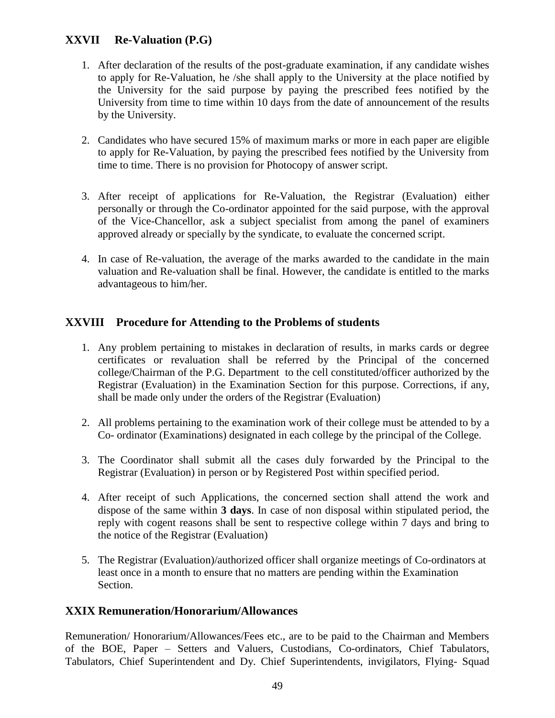# **XXVII Re-Valuation (P.G)**

- 1. After declaration of the results of the post-graduate examination, if any candidate wishes to apply for Re-Valuation, he /she shall apply to the University at the place notified by the University for the said purpose by paying the prescribed fees notified by the University from time to time within 10 days from the date of announcement of the results by the University.
- 2. Candidates who have secured 15% of maximum marks or more in each paper are eligible to apply for Re-Valuation, by paying the prescribed fees notified by the University from time to time. There is no provision for Photocopy of answer script.
- 3. After receipt of applications for Re-Valuation, the Registrar (Evaluation) either personally or through the Co-ordinator appointed for the said purpose, with the approval of the Vice-Chancellor, ask a subject specialist from among the panel of examiners approved already or specially by the syndicate, to evaluate the concerned script.
- 4. In case of Re-valuation, the average of the marks awarded to the candidate in the main valuation and Re-valuation shall be final. However, the candidate is entitled to the marks advantageous to him/her.

# **XXVIII Procedure for Attending to the Problems of students**

- 1. Any problem pertaining to mistakes in declaration of results, in marks cards or degree certificates or revaluation shall be referred by the Principal of the concerned college/Chairman of the P.G. Department to the cell constituted/officer authorized by the Registrar (Evaluation) in the Examination Section for this purpose. Corrections, if any, shall be made only under the orders of the Registrar (Evaluation)
- 2. All problems pertaining to the examination work of their college must be attended to by a Co- ordinator (Examinations) designated in each college by the principal of the College.
- 3. The Coordinator shall submit all the cases duly forwarded by the Principal to the Registrar (Evaluation) in person or by Registered Post within specified period.
- 4. After receipt of such Applications, the concerned section shall attend the work and dispose of the same within **3 days**. In case of non disposal within stipulated period, the reply with cogent reasons shall be sent to respective college within 7 days and bring to the notice of the Registrar (Evaluation)
- 5. The Registrar (Evaluation)/authorized officer shall organize meetings of Co-ordinators at least once in a month to ensure that no matters are pending within the Examination Section.

#### **XXIX Remuneration/Honorarium/Allowances**

Remuneration/ Honorarium/Allowances/Fees etc., are to be paid to the Chairman and Members of the BOE, Paper – Setters and Valuers, Custodians, Co-ordinators, Chief Tabulators, Tabulators, Chief Superintendent and Dy. Chief Superintendents, invigilators, Flying- Squad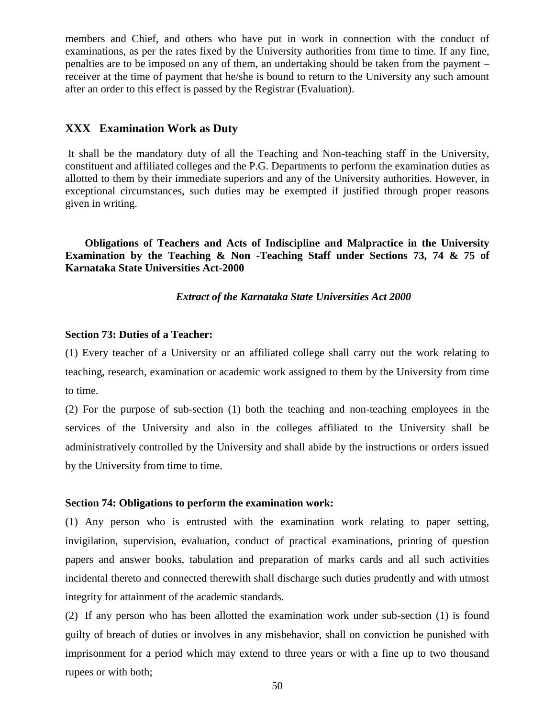members and Chief, and others who have put in work in connection with the conduct of examinations, as per the rates fixed by the University authorities from time to time. If any fine, penalties are to be imposed on any of them, an undertaking should be taken from the payment – receiver at the time of payment that he/she is bound to return to the University any such amount after an order to this effect is passed by the Registrar (Evaluation).

#### **XXX Examination Work as Duty**

It shall be the mandatory duty of all the Teaching and Non-teaching staff in the University, constituent and affiliated colleges and the P.G. Departments to perform the examination duties as allotted to them by their immediate superiors and any of the University authorities. However, in exceptional circumstances, such duties may be exempted if justified through proper reasons given in writing.

**Obligations of Teachers and Acts of Indiscipline and Malpractice in the University Examination by the Teaching & Non -Teaching Staff under Sections 73, 74 & 75 of Karnataka State Universities Act-2000**

*Extract of the Karnataka State Universities Act 2000*

#### **Section 73: Duties of a Teacher:**

(1) Every teacher of a University or an affiliated college shall carry out the work relating to teaching, research, examination or academic work assigned to them by the University from time to time.

(2) For the purpose of sub-section (1) both the teaching and non-teaching employees in the services of the University and also in the colleges affiliated to the University shall be administratively controlled by the University and shall abide by the instructions or orders issued by the University from time to time.

#### **Section 74: Obligations to perform the examination work:**

(1) Any person who is entrusted with the examination work relating to paper setting, invigilation, supervision, evaluation, conduct of practical examinations, printing of question papers and answer books, tabulation and preparation of marks cards and all such activities incidental thereto and connected therewith shall discharge such duties prudently and with utmost integrity for attainment of the academic standards.

(2) If any person who has been allotted the examination work under sub-section (1) is found guilty of breach of duties or involves in any misbehavior, shall on conviction be punished with imprisonment for a period which may extend to three years or with a fine up to two thousand rupees or with both;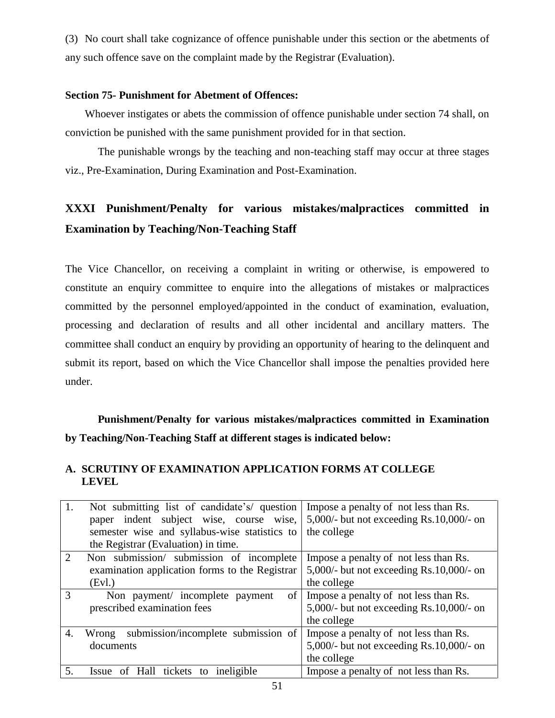(3) No court shall take cognizance of offence punishable under this section or the abetments of any such offence save on the complaint made by the Registrar (Evaluation).

#### **Section 75- Punishment for Abetment of Offences:**

Whoever instigates or abets the commission of offence punishable under section 74 shall, on conviction be punished with the same punishment provided for in that section.

The punishable wrongs by the teaching and non-teaching staff may occur at three stages viz., Pre-Examination, During Examination and Post-Examination.

# **XXXI Punishment/Penalty for various mistakes/malpractices committed in Examination by Teaching/Non-Teaching Staff**

The Vice Chancellor, on receiving a complaint in writing or otherwise, is empowered to constitute an enquiry committee to enquire into the allegations of mistakes or malpractices committed by the personnel employed/appointed in the conduct of examination, evaluation, processing and declaration of results and all other incidental and ancillary matters. The committee shall conduct an enquiry by providing an opportunity of hearing to the delinquent and submit its report, based on which the Vice Chancellor shall impose the penalties provided here under.

**Punishment/Penalty for various mistakes/malpractices committed in Examination by Teaching/Non-Teaching Staff at different stages is indicated below:** 

#### **A. SCRUTINY OF EXAMINATION APPLICATION FORMS AT COLLEGE LEVEL**

| 1.             | Not submitting list of candidate's/ question<br>paper indent subject wise, course wise,<br>semester wise and syllabus-wise statistics to | Impose a penalty of not less than Rs.<br>5,000/- but not exceeding $Rs.10,000/$ - on<br>the college |
|----------------|------------------------------------------------------------------------------------------------------------------------------------------|-----------------------------------------------------------------------------------------------------|
|                | the Registrar (Evaluation) in time.                                                                                                      |                                                                                                     |
| $\overline{2}$ | Non submission/ submission of incomplete<br>examination application forms to the Registrar<br>(Evl.)                                     | Impose a penalty of not less than Rs.<br>5,000/- but not exceeding $Rs.10,000/$ - on<br>the college |
| 3              | of<br>Non payment/ incomplete payment<br>prescribed examination fees                                                                     | Impose a penalty of not less than Rs.<br>5,000/- but not exceeding $Rs.10,000/$ - on<br>the college |
| 4.             | submission/incomplete submission of<br>Wrong<br>documents                                                                                | Impose a penalty of not less than Rs.<br>5,000/- but not exceeding $Rs.10,000/$ - on<br>the college |
| 5.             | Issue of Hall tickets to ineligible                                                                                                      | Impose a penalty of not less than Rs.                                                               |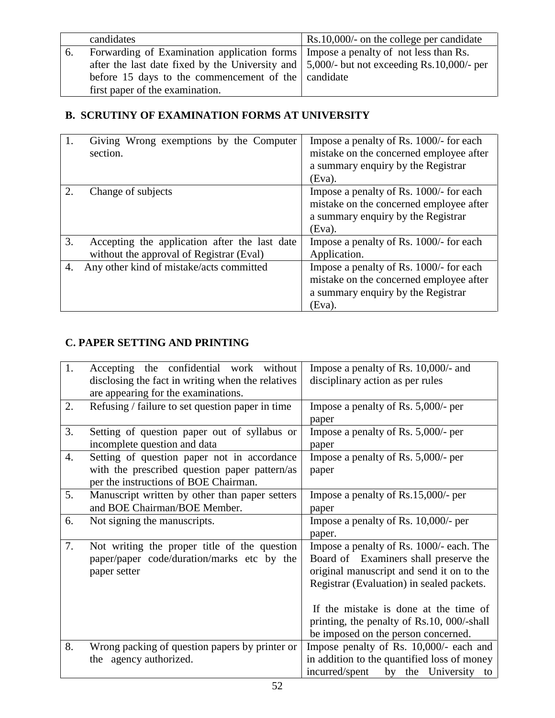|    | candidates                                                                                         | Rs.10,000/- on the college per candidate |
|----|----------------------------------------------------------------------------------------------------|------------------------------------------|
| 6. | Forwarding of Examination application forms   Impose a penalty of not less than Rs.                |                                          |
|    | after the last date fixed by the University and $\vert 5,000/$ - but not exceeding Rs.10,000/- per |                                          |
|    | before 15 days to the commencement of the candidate                                                |                                          |
|    | first paper of the examination.                                                                    |                                          |

# **B. SCRUTINY OF EXAMINATION FORMS AT UNIVERSITY**

| 1. | Giving Wrong exemptions by the Computer<br>section.                                       | Impose a penalty of Rs. 1000/- for each<br>mistake on the concerned employee after<br>a summary enquiry by the Registrar<br>(Eva).    |
|----|-------------------------------------------------------------------------------------------|---------------------------------------------------------------------------------------------------------------------------------------|
| 2. | Change of subjects                                                                        | Impose a penalty of Rs. 1000/- for each<br>mistake on the concerned employee after<br>a summary enquiry by the Registrar<br>(Eva).    |
| 3. | Accepting the application after the last date<br>without the approval of Registrar (Eval) | Impose a penalty of Rs. 1000/- for each<br>Application.                                                                               |
| 4. | Any other kind of mistake/acts committed                                                  | Impose a penalty of Rs. 1000/- for each<br>mistake on the concerned employee after<br>a summary enquiry by the Registrar<br>$(Eva)$ . |

# **C. PAPER SETTING AND PRINTING**

| 1. | Accepting the confidential work without                                                                                               | Impose a penalty of Rs. 10,000/- and                                                                                                                                                                                                                                                                      |
|----|---------------------------------------------------------------------------------------------------------------------------------------|-----------------------------------------------------------------------------------------------------------------------------------------------------------------------------------------------------------------------------------------------------------------------------------------------------------|
|    | disclosing the fact in writing when the relatives<br>are appearing for the examinations.                                              | disciplinary action as per rules                                                                                                                                                                                                                                                                          |
| 2. | Refusing / failure to set question paper in time                                                                                      | Impose a penalty of Rs. $5,000/$ - per<br>paper                                                                                                                                                                                                                                                           |
| 3. | Setting of question paper out of syllabus or<br>incomplete question and data                                                          | Impose a penalty of Rs. $5,000/$ - per<br>paper                                                                                                                                                                                                                                                           |
| 4. | Setting of question paper not in accordance<br>with the prescribed question paper pattern/as<br>per the instructions of BOE Chairman. | Impose a penalty of Rs. 5,000/- per<br>paper                                                                                                                                                                                                                                                              |
| 5. | Manuscript written by other than paper setters<br>and BOE Chairman/BOE Member.                                                        | Impose a penalty of $Rs.15,000/$ - per<br>paper                                                                                                                                                                                                                                                           |
| 6. | Not signing the manuscripts.                                                                                                          | Impose a penalty of Rs. 10,000/- per<br>paper.                                                                                                                                                                                                                                                            |
| 7. | Not writing the proper title of the question<br>paper/paper code/duration/marks etc by the<br>paper setter                            | Impose a penalty of Rs. 1000/- each. The<br>Board of Examiners shall preserve the<br>original manuscript and send it on to the<br>Registrar (Evaluation) in sealed packets.<br>If the mistake is done at the time of<br>printing, the penalty of Rs.10, 000/-shall<br>be imposed on the person concerned. |
| 8. | Wrong packing of question papers by printer or<br>the agency authorized.                                                              | Impose penalty of Rs. 10,000/- each and<br>in addition to the quantified loss of money<br>incurred/spent by the University to                                                                                                                                                                             |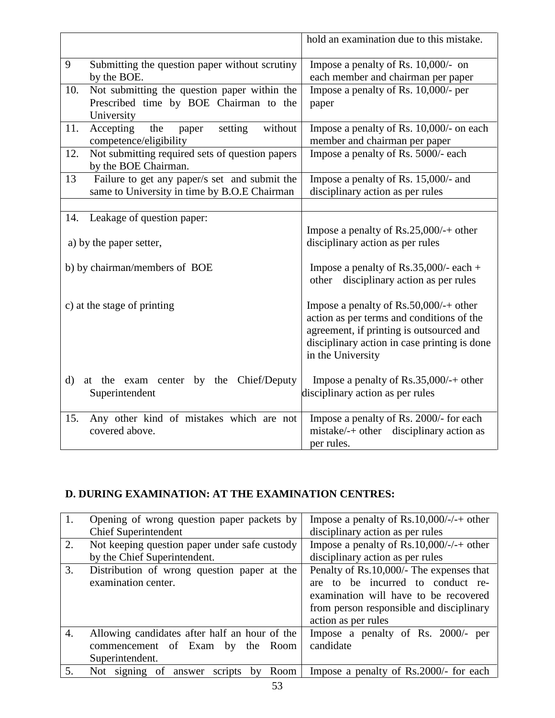|                             |                                                                                                      | hold an examination due to this mistake.                                                                                                                                                             |
|-----------------------------|------------------------------------------------------------------------------------------------------|------------------------------------------------------------------------------------------------------------------------------------------------------------------------------------------------------|
| 9                           | Submitting the question paper without scrutiny<br>by the BOE.                                        | Impose a penalty of Rs. $10,000/-$ on<br>each member and chairman per paper                                                                                                                          |
| 10.                         | Not submitting the question paper within the<br>Prescribed time by BOE Chairman to the<br>University | Impose a penalty of Rs. 10,000/- per<br>paper                                                                                                                                                        |
| 11.                         | Accepting<br>the<br>without<br>paper<br>setting<br>competence/eligibility                            | Impose a penalty of Rs. 10,000/- on each<br>member and chairman per paper                                                                                                                            |
| 12.                         | Not submitting required sets of question papers<br>by the BOE Chairman.                              | Impose a penalty of Rs. 5000/- each                                                                                                                                                                  |
| 13                          | Failure to get any paper/s set and submit the<br>same to University in time by B.O.E Chairman        | Impose a penalty of Rs. 15,000/- and<br>disciplinary action as per rules                                                                                                                             |
| 14.                         | Leakage of question paper:<br>a) by the paper setter,                                                | Impose a penalty of $Rs.25,000/+$ other<br>disciplinary action as per rules                                                                                                                          |
|                             | b) by chairman/members of BOE                                                                        | Impose a penalty of Rs.35,000/- each +<br>disciplinary action as per rules<br>other                                                                                                                  |
| c) at the stage of printing |                                                                                                      | Impose a penalty of Rs.50,000/-+ other<br>action as per terms and conditions of the<br>agreement, if printing is outsourced and<br>disciplinary action in case printing is done<br>in the University |
| $\rm d$                     | at the exam center by the Chief/Deputy<br>Superintendent                                             | Impose a penalty of $\text{Rs.35,000}/+$ other<br>disciplinary action as per rules                                                                                                                   |
| 15.                         | Any other kind of mistakes which are not<br>covered above.                                           | Impose a penalty of Rs. 2000/- for each<br>mistake/-+ other disciplinary action as<br>per rules.                                                                                                     |

# **D. DURING EXAMINATION: AT THE EXAMINATION CENTRES:**

| 1. | Opening of wrong question paper packets by<br><b>Chief Superintendent</b> | Impose a penalty of Rs.10,000/-/-+ other<br>disciplinary action as per rules |
|----|---------------------------------------------------------------------------|------------------------------------------------------------------------------|
| 2. | Not keeping question paper under safe custody                             | Impose a penalty of Rs.10,000/-/-+ other                                     |
|    | by the Chief Superintendent.                                              | disciplinary action as per rules                                             |
| 3. | Distribution of wrong question paper at the                               | Penalty of Rs.10,000/- The expenses that                                     |
|    | examination center.                                                       | to be incurred to conduct re-<br>are                                         |
|    |                                                                           | examination will have to be recovered                                        |
|    |                                                                           | from person responsible and disciplinary                                     |
|    |                                                                           | action as per rules                                                          |
| 4. | Allowing candidates after half an hour of the                             | Impose a penalty of Rs. 2000/-<br>per                                        |
|    | commencement of Exam<br>by<br>the<br>Room                                 | candidate                                                                    |
|    | Superintendent.                                                           |                                                                              |
| 5. | scripts by Room<br>Not signing<br>οf<br>answer                            | Impose a penalty of Rs.2000/- for each                                       |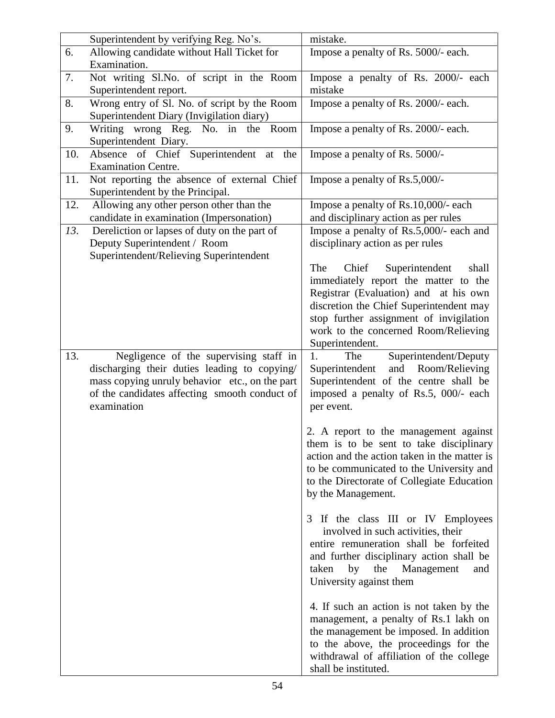|     | Superintendent by verifying Reg. No's.         | mistake.                                     |
|-----|------------------------------------------------|----------------------------------------------|
| 6.  | Allowing candidate without Hall Ticket for     | Impose a penalty of Rs. 5000/- each.         |
|     | Examination.                                   |                                              |
| 7.  | Not writing Sl.No. of script in the Room       | Impose a penalty of Rs. 2000/- each          |
|     | Superintendent report.                         | mistake                                      |
| 8.  | Wrong entry of Sl. No. of script by the Room   | Impose a penalty of Rs. 2000/- each.         |
|     | Superintendent Diary (Invigilation diary)      |                                              |
| 9.  | Writing wrong Reg. No. in the Room             | Impose a penalty of Rs. 2000/- each.         |
|     | Superintendent Diary.                          |                                              |
| 10. | Absence of Chief Superintendent at the         | Impose a penalty of Rs. 5000/-               |
|     | <b>Examination Centre.</b>                     |                                              |
| 11. | Not reporting the absence of external Chief    | Impose a penalty of Rs.5,000/-               |
|     | Superintendent by the Principal.               |                                              |
| 12. | Allowing any other person other than the       | Impose a penalty of Rs.10,000/- each         |
|     | candidate in examination (Impersonation)       | and disciplinary action as per rules         |
| 13. | Dereliction or lapses of duty on the part of   | Impose a penalty of Rs.5,000/- each and      |
|     | Deputy Superintendent / Room                   | disciplinary action as per rules             |
|     | Superintendent/Relieving Superintendent        |                                              |
|     |                                                | Chief<br>Superintendent<br>The<br>shall      |
|     |                                                | immediately report the matter to the         |
|     |                                                | Registrar (Evaluation) and at his own        |
|     |                                                | discretion the Chief Superintendent may      |
|     |                                                | stop further assignment of invigilation      |
|     |                                                | work to the concerned Room/Relieving         |
|     |                                                | Superintendent.                              |
| 13. | Negligence of the supervising staff in         | 1.<br>The<br>Superintendent/Deputy           |
|     | discharging their duties leading to copying/   | and<br>Room/Relieving<br>Superintendent      |
|     | mass copying unruly behavior etc., on the part | Superintendent of the centre shall be        |
|     | of the candidates affecting smooth conduct of  | imposed a penalty of Rs.5, 000/- each        |
|     | examination                                    | per event.                                   |
|     |                                                |                                              |
|     |                                                | 2. A report to the management against        |
|     |                                                |                                              |
|     |                                                | them is to be sent to take disciplinary      |
|     |                                                | action and the action taken in the matter is |
|     |                                                | to be communicated to the University and     |
|     |                                                | to the Directorate of Collegiate Education   |
|     |                                                | by the Management.                           |
|     |                                                |                                              |
|     |                                                | 3 If the class III or IV Employees           |
|     |                                                | involved in such activities, their           |
|     |                                                | entire remuneration shall be forfeited       |
|     |                                                | and further disciplinary action shall be     |
|     |                                                | by<br>the<br>Management<br>taken<br>and      |
|     |                                                | University against them                      |
|     |                                                |                                              |
|     |                                                | 4. If such an action is not taken by the     |
|     |                                                | management, a penalty of Rs.1 lakh on        |
|     |                                                | the management be imposed. In addition       |
|     |                                                | to the above, the proceedings for the        |
|     |                                                | withdrawal of affiliation of the college     |
|     |                                                | shall be instituted.                         |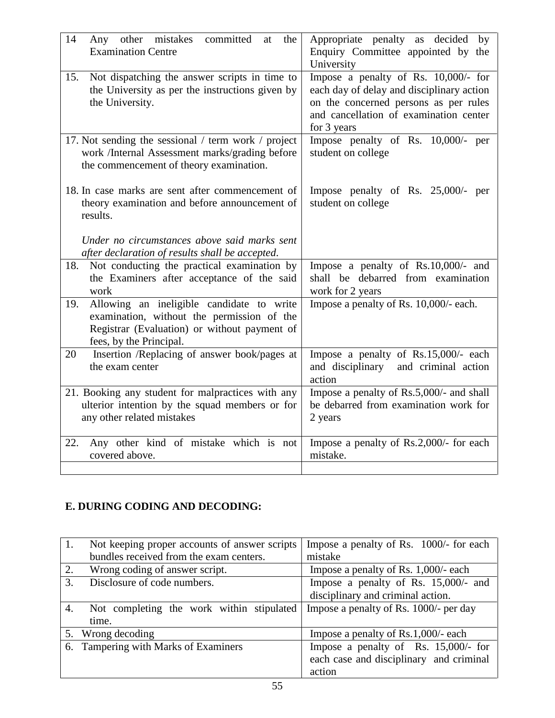| 14<br>Any other mistakes<br>committed<br>the<br>at<br><b>Examination Centre</b>                                                                                           | Appropriate penalty as decided<br>by<br>Enquiry Committee appointed by the<br>University                                                                                            |
|---------------------------------------------------------------------------------------------------------------------------------------------------------------------------|-------------------------------------------------------------------------------------------------------------------------------------------------------------------------------------|
| Not dispatching the answer scripts in time to<br>15.<br>the University as per the instructions given by<br>the University.                                                | Impose a penalty of Rs. 10,000/- for<br>each day of delay and disciplinary action<br>on the concerned persons as per rules<br>and cancellation of examination center<br>for 3 years |
| 17. Not sending the sessional / term work / project<br>work /Internal Assessment marks/grading before<br>the commencement of theory examination.                          | Impose penalty of Rs. 10,000/- per<br>student on college                                                                                                                            |
| 18. In case marks are sent after commencement of<br>theory examination and before announcement of<br>results.                                                             | Impose penalty of Rs. 25,000/- per<br>student on college                                                                                                                            |
| Under no circumstances above said marks sent<br>after declaration of results shall be accepted.                                                                           |                                                                                                                                                                                     |
| 18.<br>Not conducting the practical examination by<br>the Examiners after acceptance of the said<br>work                                                                  | Impose a penalty of Rs.10,000/- and<br>shall be debarred from examination<br>work for 2 years                                                                                       |
| Allowing an ineligible candidate to write<br>19.<br>examination, without the permission of the<br>Registrar (Evaluation) or without payment of<br>fees, by the Principal. | Impose a penalty of Rs. 10,000/- each.                                                                                                                                              |
| Insertion /Replacing of answer book/pages at<br>20<br>the exam center                                                                                                     | Impose a penalty of Rs.15,000/- each<br>and disciplinary<br>and criminal action<br>action                                                                                           |
| 21. Booking any student for malpractices with any<br>ulterior intention by the squad members or for<br>any other related mistakes                                         | Impose a penalty of Rs.5,000/- and shall<br>be debarred from examination work for<br>2 years                                                                                        |
| Any other kind of mistake which is not<br>22.<br>covered above.                                                                                                           | Impose a penalty of Rs.2,000/- for each<br>mistake.                                                                                                                                 |

# **E. DURING CODING AND DECODING:**

| 1. | Not keeping proper accounts of answer scripts | Impose a penalty of Rs. 1000/- for each |
|----|-----------------------------------------------|-----------------------------------------|
|    | bundles received from the exam centers.       | mistake                                 |
| 2. | Wrong coding of answer script.                | Impose a penalty of Rs. 1,000/- each    |
| 3. | Disclosure of code numbers.                   | Impose a penalty of Rs. 15,000/- and    |
|    |                                               | disciplinary and criminal action.       |
| 4. | Not completing the work within stipulated     | Impose a penalty of Rs. 1000/- per day  |
|    | time.                                         |                                         |
|    | 5. Wrong decoding                             | Impose a penalty of $Rs.1,000/-$ each   |
|    | 6. Tampering with Marks of Examiners          | Impose a penalty of Rs. 15,000/- for    |
|    |                                               | each case and disciplinary and criminal |
|    |                                               | action                                  |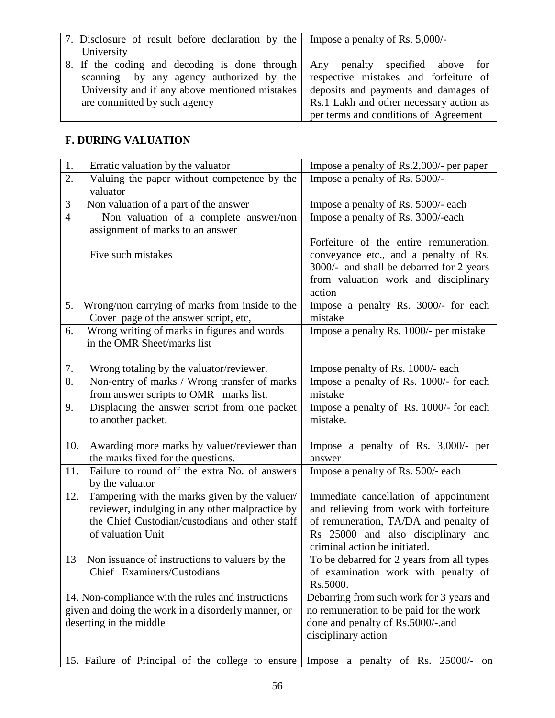| 7. Disclosure of result before declaration by the Impose a penalty of Rs. 5,000/- |                                         |
|-----------------------------------------------------------------------------------|-----------------------------------------|
| University                                                                        |                                         |
| 8. If the coding and decoding is done through                                     | Any penalty specified above for         |
| scanning by any agency authorized by the                                          | respective mistakes and forfeiture of   |
| University and if any above mentioned mistakes                                    | deposits and payments and damages of    |
| are committed by such agency                                                      | Rs.1 Lakh and other necessary action as |
|                                                                                   | per terms and conditions of Agreement   |

## **F. DURING VALUATION**

| 1.                                                  | Erratic valuation by the valuator                                                 | Impose a penalty of Rs.2,000/- per paper                                         |
|-----------------------------------------------------|-----------------------------------------------------------------------------------|----------------------------------------------------------------------------------|
| $\overline{2}$ .                                    | Valuing the paper without competence by the                                       | Impose a penalty of Rs. 5000/-                                                   |
|                                                     | valuator                                                                          |                                                                                  |
| $\mathfrak{Z}$                                      | Non valuation of a part of the answer                                             | Impose a penalty of Rs. 5000/- each                                              |
| $\overline{4}$                                      | Non valuation of a complete answer/non                                            | Impose a penalty of Rs. 3000/-each                                               |
|                                                     | assignment of marks to an answer                                                  |                                                                                  |
|                                                     |                                                                                   | Forfeiture of the entire remuneration,                                           |
|                                                     | Five such mistakes                                                                | conveyance etc., and a penalty of Rs.                                            |
|                                                     |                                                                                   | 3000/- and shall be debarred for 2 years<br>from valuation work and disciplinary |
|                                                     |                                                                                   | action                                                                           |
| 5.                                                  | Wrong/non carrying of marks from inside to the                                    | Impose a penalty Rs. 3000/- for each                                             |
|                                                     | Cover page of the answer script, etc,                                             | mistake                                                                          |
| 6.                                                  | Wrong writing of marks in figures and words                                       | Impose a penalty Rs. 1000/- per mistake                                          |
|                                                     | in the OMR Sheet/marks list                                                       |                                                                                  |
|                                                     |                                                                                   |                                                                                  |
| 7.                                                  | Wrong totaling by the valuator/reviewer.                                          | Impose penalty of Rs. 1000/- each                                                |
| 8.                                                  | Non-entry of marks / Wrong transfer of marks                                      | Impose a penalty of Rs. 1000/- for each                                          |
|                                                     | from answer scripts to OMR marks list.                                            | mistake                                                                          |
| 9.                                                  | Displacing the answer script from one packet                                      | Impose a penalty of Rs. 1000/- for each                                          |
|                                                     | to another packet.                                                                | mistake.                                                                         |
|                                                     |                                                                                   |                                                                                  |
| 10.                                                 | Awarding more marks by valuer/reviewer than<br>the marks fixed for the questions. | Impose a penalty of Rs. 3,000/- per<br>answer                                    |
| 11.                                                 | Failure to round off the extra No. of answers                                     | Impose a penalty of Rs. 500/- each                                               |
|                                                     | by the valuator                                                                   |                                                                                  |
| 12.                                                 | Tampering with the marks given by the valuer/                                     | Immediate cancellation of appointment                                            |
|                                                     | reviewer, indulging in any other malpractice by                                   | and relieving from work with forfeiture                                          |
|                                                     | the Chief Custodian/custodians and other staff                                    | of remuneration, TA/DA and penalty of                                            |
|                                                     | of valuation Unit                                                                 | Rs 25000 and also disciplinary and                                               |
|                                                     |                                                                                   | criminal action be initiated.                                                    |
| 13                                                  | Non issuance of instructions to valuers by the<br>Chief Examiners/Custodians      | To be debarred for 2 years from all types                                        |
|                                                     |                                                                                   | of examination work with penalty of<br>Rs.5000.                                  |
|                                                     | 14. Non-compliance with the rules and instructions                                | Debarring from such work for 3 years and                                         |
| given and doing the work in a disorderly manner, or |                                                                                   | no remuneration to be paid for the work                                          |
| deserting in the middle                             |                                                                                   | done and penalty of Rs.5000/-.and                                                |
|                                                     |                                                                                   | disciplinary action                                                              |
|                                                     |                                                                                   |                                                                                  |
|                                                     | 15. Failure of Principal of the college to ensure                                 | Impose a penalty of Rs. 25000/- on                                               |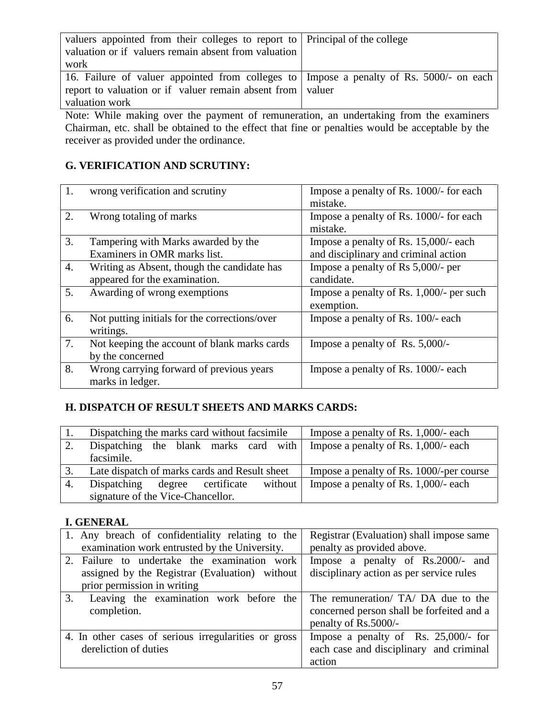| valuers appointed from their colleges to report to   Principal of the college             |  |
|-------------------------------------------------------------------------------------------|--|
| valuation or if valuers remain absent from valuation                                      |  |
| work                                                                                      |  |
| 16. Failure of valuer appointed from colleges to   Impose a penalty of Rs. 5000/- on each |  |
| report to valuation or if valuer remain absent from valuer                                |  |
| valuation work                                                                            |  |

Note: While making over the payment of remuneration, an undertaking from the examiners Chairman, etc. shall be obtained to the effect that fine or penalties would be acceptable by the receiver as provided under the ordinance.

## **G. VERIFICATION AND SCRUTINY:**

| 1. | wrong verification and scrutiny                                              | Impose a penalty of Rs. 1000/- for each<br>mistake.                           |
|----|------------------------------------------------------------------------------|-------------------------------------------------------------------------------|
| 2. | Wrong totaling of marks                                                      | Impose a penalty of Rs. 1000/- for each<br>mistake.                           |
| 3. | Tampering with Marks awarded by the<br>Examiners in OMR marks list.          | Impose a penalty of Rs. 15,000/- each<br>and disciplinary and criminal action |
| 4. | Writing as Absent, though the candidate has<br>appeared for the examination. | Impose a penalty of Rs $5,000/$ - per<br>candidate.                           |
| 5. | Awarding of wrong exemptions                                                 | Impose a penalty of Rs. 1,000/- per such<br>exemption.                        |
| 6. | Not putting initials for the corrections/over<br>writings.                   | Impose a penalty of Rs. 100/- each                                            |
| 7. | Not keeping the account of blank marks cards<br>by the concerned             | Impose a penalty of Rs. $5,000/-$                                             |
| 8. | Wrong carrying forward of previous years<br>marks in ledger.                 | Impose a penalty of Rs. 1000/- each                                           |

# **H. DISPATCH OF RESULT SHEETS AND MARKS CARDS:**

|    | Dispatching the marks card without facsimile  | Impose a penalty of Rs. 1,000/- each     |
|----|-----------------------------------------------|------------------------------------------|
| 2. | Dispatching the blank marks card with         | Impose a penalty of Rs. $1,000/$ - each  |
|    | facsimile.                                    |                                          |
| 3. | Late dispatch of marks cards and Result sheet | Impose a penalty of Rs. 1000/-per course |
| 4. | without<br>Dispatching degree certificate     | Impose a penalty of Rs. $1,000/$ - each  |
|    | signature of the Vice-Chancellor.             |                                          |

#### **I. GENERAL**

| 1. Any breach of confidentiality relating to the     | Registrar (Evaluation) shall impose same  |
|------------------------------------------------------|-------------------------------------------|
| examination work entrusted by the University.        | penalty as provided above.                |
| 2. Failure to undertake the examination work         | Impose a penalty of Rs.2000/- and         |
| assigned by the Registrar (Evaluation) without       | disciplinary action as per service rules  |
| prior permission in writing                          |                                           |
| Leaving the examination work before the<br>3.        | The remuneration/ TA/ DA due to the       |
| completion.                                          | concerned person shall be forfeited and a |
|                                                      | penalty of Rs.5000/-                      |
| 4. In other cases of serious irregularities or gross | Impose a penalty of Rs. $25,000/$ - for   |
| dereliction of duties                                | each case and disciplinary and criminal   |
|                                                      | action                                    |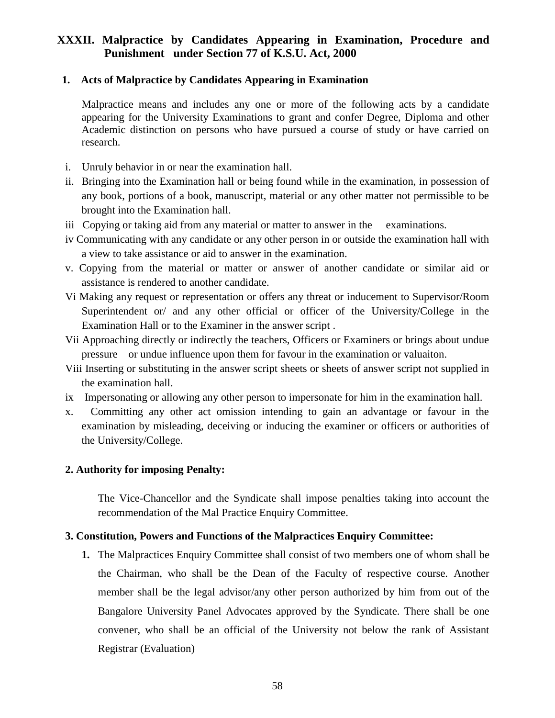# **XXXII. Malpractice by Candidates Appearing in Examination, Procedure and Punishment under Section 77 of K.S.U. Act, 2000**

#### **1. Acts of Malpractice by Candidates Appearing in Examination**

Malpractice means and includes any one or more of the following acts by a candidate appearing for the University Examinations to grant and confer Degree, Diploma and other Academic distinction on persons who have pursued a course of study or have carried on research.

- i. Unruly behavior in or near the examination hall.
- ii. Bringing into the Examination hall or being found while in the examination, in possession of any book, portions of a book, manuscript, material or any other matter not permissible to be brought into the Examination hall.
- iii Copying or taking aid from any material or matter to answer in the examinations.
- iv Communicating with any candidate or any other person in or outside the examination hall with a view to take assistance or aid to answer in the examination.
- v. Copying from the material or matter or answer of another candidate or similar aid or assistance is rendered to another candidate.
- Vi Making any request or representation or offers any threat or inducement to Supervisor/Room Superintendent or/ and any other official or officer of the University/College in the Examination Hall or to the Examiner in the answer script .
- Vii Approaching directly or indirectly the teachers, Officers or Examiners or brings about undue pressure or undue influence upon them for favour in the examination or valuaiton.
- Viii Inserting or substituting in the answer script sheets or sheets of answer script not supplied in the examination hall.
- ix Impersonating or allowing any other person to impersonate for him in the examination hall.
- x. Committing any other act omission intending to gain an advantage or favour in the examination by misleading, deceiving or inducing the examiner or officers or authorities of the University/College.

#### **2. Authority for imposing Penalty:**

The Vice-Chancellor and the Syndicate shall impose penalties taking into account the recommendation of the Mal Practice Enquiry Committee.

#### **3. Constitution, Powers and Functions of the Malpractices Enquiry Committee:**

**1.** The Malpractices Enquiry Committee shall consist of two members one of whom shall be the Chairman, who shall be the Dean of the Faculty of respective course. Another member shall be the legal advisor/any other person authorized by him from out of the Bangalore University Panel Advocates approved by the Syndicate. There shall be one convener, who shall be an official of the University not below the rank of Assistant Registrar (Evaluation)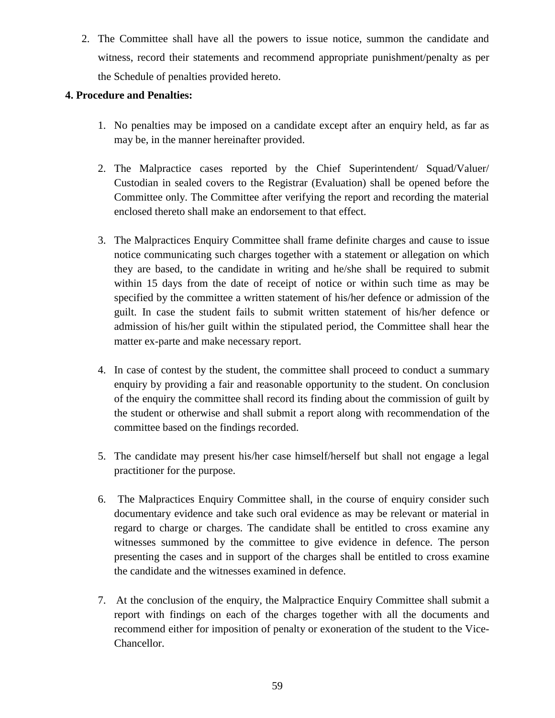2. The Committee shall have all the powers to issue notice, summon the candidate and witness, record their statements and recommend appropriate punishment/penalty as per the Schedule of penalties provided hereto.

#### **4. Procedure and Penalties:**

- 1. No penalties may be imposed on a candidate except after an enquiry held, as far as may be, in the manner hereinafter provided.
- 2. The Malpractice cases reported by the Chief Superintendent/ Squad/Valuer/ Custodian in sealed covers to the Registrar (Evaluation) shall be opened before the Committee only. The Committee after verifying the report and recording the material enclosed thereto shall make an endorsement to that effect.
- 3. The Malpractices Enquiry Committee shall frame definite charges and cause to issue notice communicating such charges together with a statement or allegation on which they are based, to the candidate in writing and he/she shall be required to submit within 15 days from the date of receipt of notice or within such time as may be specified by the committee a written statement of his/her defence or admission of the guilt. In case the student fails to submit written statement of his/her defence or admission of his/her guilt within the stipulated period, the Committee shall hear the matter ex-parte and make necessary report.
- 4. In case of contest by the student, the committee shall proceed to conduct a summary enquiry by providing a fair and reasonable opportunity to the student. On conclusion of the enquiry the committee shall record its finding about the commission of guilt by the student or otherwise and shall submit a report along with recommendation of the committee based on the findings recorded.
- 5. The candidate may present his/her case himself/herself but shall not engage a legal practitioner for the purpose.
- 6. The Malpractices Enquiry Committee shall, in the course of enquiry consider such documentary evidence and take such oral evidence as may be relevant or material in regard to charge or charges. The candidate shall be entitled to cross examine any witnesses summoned by the committee to give evidence in defence. The person presenting the cases and in support of the charges shall be entitled to cross examine the candidate and the witnesses examined in defence.
- 7. At the conclusion of the enquiry, the Malpractice Enquiry Committee shall submit a report with findings on each of the charges together with all the documents and recommend either for imposition of penalty or exoneration of the student to the Vice-Chancellor.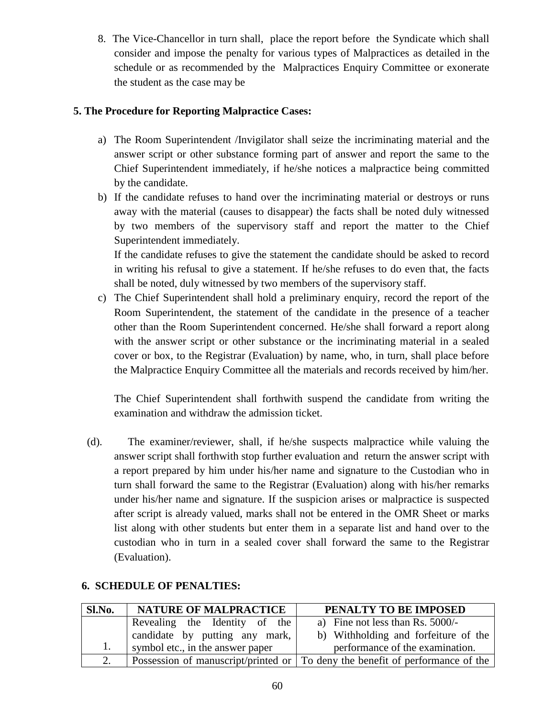8. The Vice-Chancellor in turn shall, place the report before the Syndicate which shall consider and impose the penalty for various types of Malpractices as detailed in the schedule or as recommended by the Malpractices Enquiry Committee or exonerate the student as the case may be

#### **5. The Procedure for Reporting Malpractice Cases:**

- a) The Room Superintendent /Invigilator shall seize the incriminating material and the answer script or other substance forming part of answer and report the same to the Chief Superintendent immediately, if he/she notices a malpractice being committed by the candidate.
- b) If the candidate refuses to hand over the incriminating material or destroys or runs away with the material (causes to disappear) the facts shall be noted duly witnessed by two members of the supervisory staff and report the matter to the Chief Superintendent immediately.

If the candidate refuses to give the statement the candidate should be asked to record in writing his refusal to give a statement. If he/she refuses to do even that, the facts shall be noted, duly witnessed by two members of the supervisory staff.

c) The Chief Superintendent shall hold a preliminary enquiry, record the report of the Room Superintendent, the statement of the candidate in the presence of a teacher other than the Room Superintendent concerned. He/she shall forward a report along with the answer script or other substance or the incriminating material in a sealed cover or box, to the Registrar (Evaluation) by name, who, in turn, shall place before the Malpractice Enquiry Committee all the materials and records received by him/her.

The Chief Superintendent shall forthwith suspend the candidate from writing the examination and withdraw the admission ticket.

 (d). The examiner/reviewer, shall, if he/she suspects malpractice while valuing the answer script shall forthwith stop further evaluation and return the answer script with a report prepared by him under his/her name and signature to the Custodian who in turn shall forward the same to the Registrar (Evaluation) along with his/her remarks under his/her name and signature. If the suspicion arises or malpractice is suspected after script is already valued, marks shall not be entered in the OMR Sheet or marks list along with other students but enter them in a separate list and hand over to the custodian who in turn in a sealed cover shall forward the same to the Registrar (Evaluation).

| Sl.No. | <b>NATURE OF MALPRACTICE</b>     | PENALTY TO BE IMPOSED                                                         |
|--------|----------------------------------|-------------------------------------------------------------------------------|
|        | Revealing the Identity of the    | a) Fine not less than Rs. $5000/-$                                            |
|        | candidate by putting any mark,   | b) Withholding and forfeiture of the                                          |
| 1.     | symbol etc., in the answer paper | performance of the examination.                                               |
|        |                                  | Possession of manuscript/printed or To deny the benefit of performance of the |

# **6. SCHEDULE OF PENALTIES:**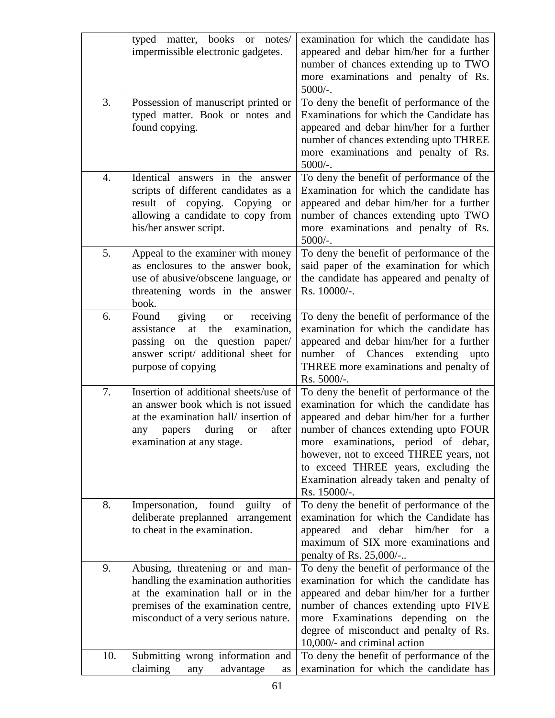|     | matter, books or notes/<br>typed<br>impermissible electronic gadgetes.                                                                                                                             | examination for which the candidate has<br>appeared and debar him/her for a further<br>number of chances extending up to TWO<br>more examinations and penalty of Rs.<br>$5000/-$ .                                                                                                                                                                              |
|-----|----------------------------------------------------------------------------------------------------------------------------------------------------------------------------------------------------|-----------------------------------------------------------------------------------------------------------------------------------------------------------------------------------------------------------------------------------------------------------------------------------------------------------------------------------------------------------------|
| 3.  | Possession of manuscript printed or<br>typed matter. Book or notes and<br>found copying.                                                                                                           | To deny the benefit of performance of the<br>Examinations for which the Candidate has<br>appeared and debar him/her for a further<br>number of chances extending upto THREE<br>more examinations and penalty of Rs.<br>$5000/-$ .                                                                                                                               |
| 4.  | Identical answers in the answer<br>scripts of different candidates as a<br>result of copying. Copying or<br>allowing a candidate to copy from<br>his/her answer script.                            | To deny the benefit of performance of the<br>Examination for which the candidate has<br>appeared and debar him/her for a further<br>number of chances extending upto TWO<br>more examinations and penalty of Rs.<br>$5000/-$ .                                                                                                                                  |
| 5.  | Appeal to the examiner with money<br>as enclosures to the answer book,<br>use of abusive/obscene language, or<br>threatening words in the answer<br>book.                                          | To deny the benefit of performance of the<br>said paper of the examination for which<br>the candidate has appeared and penalty of<br>Rs. 10000/-.                                                                                                                                                                                                               |
| 6.  | giving<br>Found<br>receiving<br><b>or</b><br>examination,<br>at the<br>assistance<br>passing on the question paper/<br>answer script/ additional sheet for<br>purpose of copying                   | To deny the benefit of performance of the<br>examination for which the candidate has<br>appeared and debar him/her for a further<br>of Chances extending<br>number<br>upto<br>THREE more examinations and penalty of<br>Rs. 5000/-.                                                                                                                             |
| 7.  | Insertion of additional sheets/use of<br>an answer book which is not issued<br>at the examination hall/ insertion of<br>during<br>after<br>papers<br>any<br><b>or</b><br>examination at any stage. | To deny the benefit of performance of the<br>examination for which the candidate has<br>appeared and debar him/her for a further<br>number of chances extending upto FOUR<br>more examinations, period of debar,<br>however, not to exceed THREE years, not<br>to exceed THREE years, excluding the<br>Examination already taken and penalty of<br>Rs. 15000/-. |
| 8.  | found<br>Impersonation,<br>guilty<br>of<br>deliberate preplanned arrangement<br>to cheat in the examination.                                                                                       | To deny the benefit of performance of the<br>examination for which the Candidate has<br>appeared and debar him/her for<br><sub>a</sub><br>maximum of SIX more examinations and<br>penalty of Rs. 25,000/-                                                                                                                                                       |
| 9.  | Abusing, threatening or and man-<br>handling the examination authorities<br>at the examination hall or in the<br>premises of the examination centre,<br>misconduct of a very serious nature.       | To deny the benefit of performance of the<br>examination for which the candidate has<br>appeared and debar him/her for a further<br>number of chances extending upto FIVE<br>more Examinations depending on the<br>degree of misconduct and penalty of Rs.<br>10,000/- and criminal action                                                                      |
| 10. | Submitting wrong information and<br>claiming<br>advantage<br>any<br>as                                                                                                                             | To deny the benefit of performance of the<br>examination for which the candidate has                                                                                                                                                                                                                                                                            |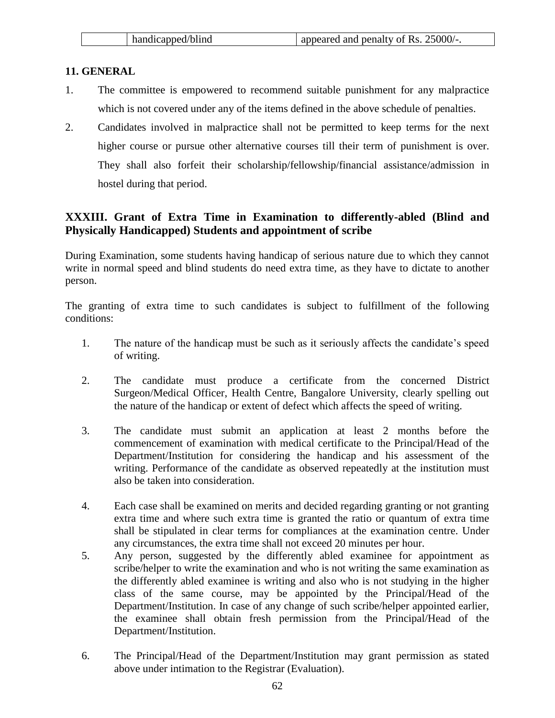| handicapped/blind | appeared and penalty of Rs. 25000/-. |
|-------------------|--------------------------------------|
|-------------------|--------------------------------------|

#### **11. GENERAL**

- 1. The committee is empowered to recommend suitable punishment for any malpractice which is not covered under any of the items defined in the above schedule of penalties.
- 2. Candidates involved in malpractice shall not be permitted to keep terms for the next higher course or pursue other alternative courses till their term of punishment is over. They shall also forfeit their scholarship/fellowship/financial assistance/admission in hostel during that period.

# **XXXIII. Grant of Extra Time in Examination to differently-abled (Blind and Physically Handicapped) Students and appointment of scribe**

During Examination, some students having handicap of serious nature due to which they cannot write in normal speed and blind students do need extra time, as they have to dictate to another person.

The granting of extra time to such candidates is subject to fulfillment of the following conditions:

- 1. The nature of the handicap must be such as it seriously affects the candidate's speed of writing.
- 2. The candidate must produce a certificate from the concerned District Surgeon/Medical Officer, Health Centre, Bangalore University, clearly spelling out the nature of the handicap or extent of defect which affects the speed of writing.
- 3. The candidate must submit an application at least 2 months before the commencement of examination with medical certificate to the Principal/Head of the Department/Institution for considering the handicap and his assessment of the writing. Performance of the candidate as observed repeatedly at the institution must also be taken into consideration.
- 4. Each case shall be examined on merits and decided regarding granting or not granting extra time and where such extra time is granted the ratio or quantum of extra time shall be stipulated in clear terms for compliances at the examination centre. Under any circumstances, the extra time shall not exceed 20 minutes per hour.
- 5. Any person, suggested by the differently abled examinee for appointment as scribe/helper to write the examination and who is not writing the same examination as the differently abled examinee is writing and also who is not studying in the higher class of the same course, may be appointed by the Principal/Head of the Department/Institution. In case of any change of such scribe/helper appointed earlier, the examinee shall obtain fresh permission from the Principal/Head of the Department/Institution.
- 6. The Principal/Head of the Department/Institution may grant permission as stated above under intimation to the Registrar (Evaluation).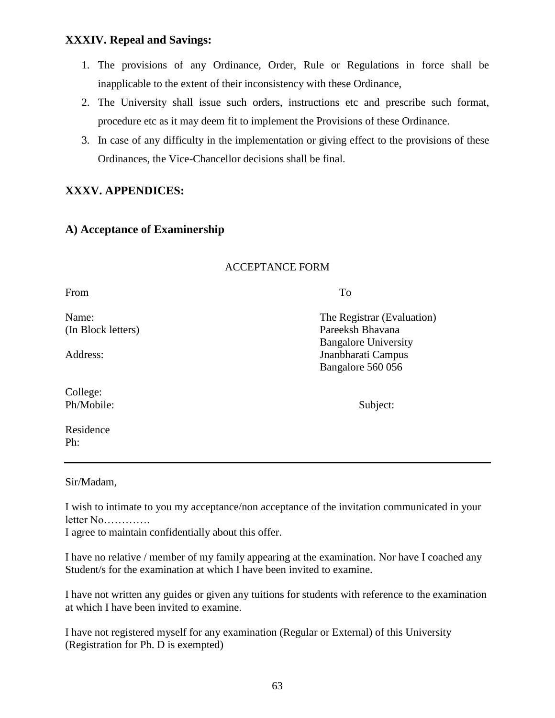#### **XXXIV. Repeal and Savings:**

- 1. The provisions of any Ordinance, Order, Rule or Regulations in force shall be inapplicable to the extent of their inconsistency with these Ordinance,
- 2. The University shall issue such orders, instructions etc and prescribe such format, procedure etc as it may deem fit to implement the Provisions of these Ordinance.
- 3. In case of any difficulty in the implementation or giving effect to the provisions of these Ordinances, the Vice-Chancellor decisions shall be final.

# **XXXV. APPENDICES:**

#### **A) Acceptance of Examinership**

#### ACCEPTANCE FORM

From To

College: Ph/Mobile: Subject:

Residence Ph:

Name: The Registrar (Evaluation) (In Block letters) Pareeksh Bhavana Bangalore University Address: Jnanbharati Campus Bangalore 560 056

Sir/Madam,

I wish to intimate to you my acceptance/non acceptance of the invitation communicated in your letter No………….

I agree to maintain confidentially about this offer.

I have no relative / member of my family appearing at the examination. Nor have I coached any Student/s for the examination at which I have been invited to examine.

I have not written any guides or given any tuitions for students with reference to the examination at which I have been invited to examine.

I have not registered myself for any examination (Regular or External) of this University (Registration for Ph. D is exempted)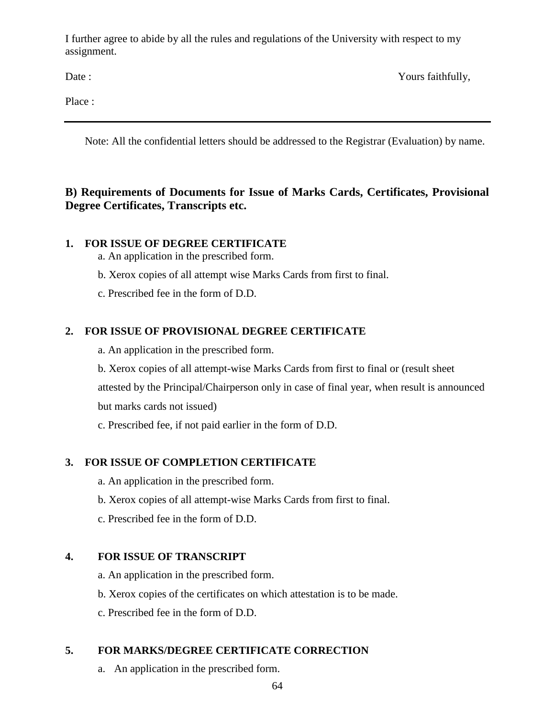I further agree to abide by all the rules and regulations of the University with respect to my assignment.

Date : Yours faithfully,

Place :

Note: All the confidential letters should be addressed to the Registrar (Evaluation) by name.

# **B) Requirements of Documents for Issue of Marks Cards, Certificates, Provisional Degree Certificates, Transcripts etc.**

# **1. FOR ISSUE OF DEGREE CERTIFICATE**

- a. An application in the prescribed form.
- b. Xerox copies of all attempt wise Marks Cards from first to final.
- c. Prescribed fee in the form of D.D.

# **2. FOR ISSUE OF PROVISIONAL DEGREE CERTIFICATE**

- a. An application in the prescribed form.
- b. Xerox copies of all attempt-wise Marks Cards from first to final or (result sheet attested by the Principal/Chairperson only in case of final year, when result is announced

but marks cards not issued)

c. Prescribed fee, if not paid earlier in the form of D.D.

# **3. FOR ISSUE OF COMPLETION CERTIFICATE**

- a. An application in the prescribed form.
- b. Xerox copies of all attempt-wise Marks Cards from first to final.
- c. Prescribed fee in the form of D.D.

# **4. FOR ISSUE OF TRANSCRIPT**

- a. An application in the prescribed form.
- b. Xerox copies of the certificates on which attestation is to be made.
- c. Prescribed fee in the form of D.D.

# **5. FOR MARKS/DEGREE CERTIFICATE CORRECTION**

a. An application in the prescribed form.